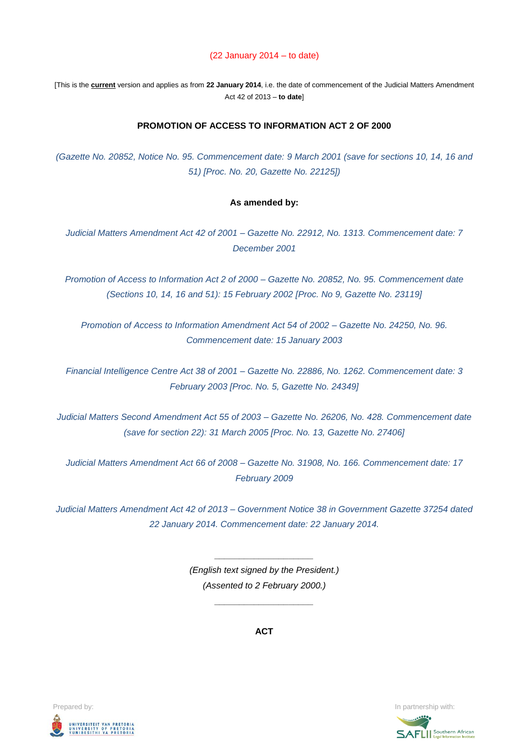### (22 January 2014 – to date)

[This is the **current** version and applies as from **22 January 2014**, i.e. the date of commencement of the Judicial Matters Amendment Act 42 of 2013 – **to date**]

### **PROMOTION OF ACCESS TO INFORMATION ACT 2 OF 2000**

*(Gazette No. 20852, Notice No. 95. Commencement date: 9 March 2001 (save for sections 10, 14, 16 and 51) [Proc. No. 20, Gazette No. 22125])*

#### **As amended by:**

*Judicial Matters Amendment Act 42 of 2001 – Gazette No. 22912, No. 1313. Commencement date: 7 December 2001*

*Promotion of Access to Information Act 2 of 2000 – Gazette No. 20852, No. 95. Commencement date (Sections 10, 14, 16 and 51): 15 February 2002 [Proc. No 9, Gazette No. 23119]*

*Promotion of Access to Information Amendment Act 54 of 2002 – Gazette No. 24250, No. 96. Commencement date: 15 January 2003*

*Financial Intelligence Centre Act 38 of 2001 – Gazette No. 22886, No. 1262. Commencement date: 3 February 2003 [Proc. No. 5, Gazette No. 24349]*

*Judicial Matters Second Amendment Act 55 of 2003 – Gazette No. 26206, No. 428. Commencement date (save for section 22): 31 March 2005 [Proc. No. 13, Gazette No. 27406]* 

*Judicial Matters Amendment Act 66 of 2008 – Gazette No. 31908, No. 166. Commencement date: 17 February 2009*

*Judicial Matters Amendment Act 42 of 2013 – Government Notice 38 in Government Gazette 37254 dated 22 January 2014. Commencement date: 22 January 2014.*

> *(English text signed by the President.) (Assented to 2 February 2000.)*

> > *\_\_\_\_\_\_\_\_\_\_\_\_\_\_\_\_\_\_\_\_*

*\_\_\_\_\_\_\_\_\_\_\_\_\_\_\_\_\_\_\_\_*

**ACT**



**Prepared by:** In partnership with:  $\frac{1}{2}$  in partnership with:  $\frac{1}{2}$  in partnership with:

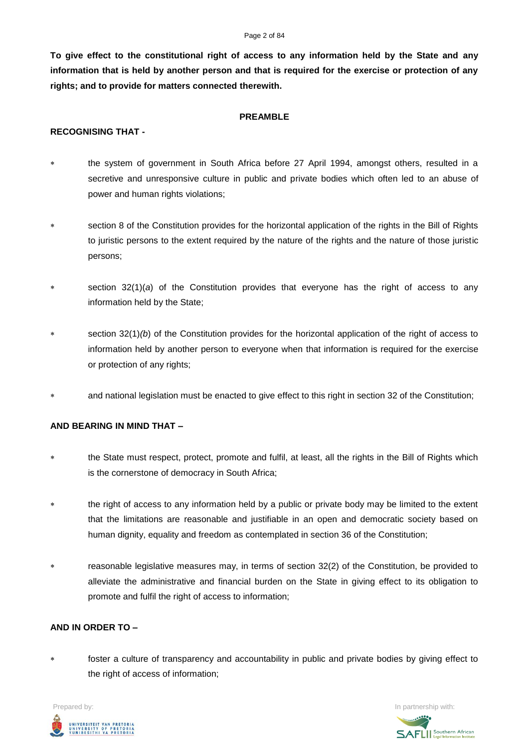#### Page 2 of 84

**To give effect to the constitutional right of access to any information held by the State and any information that is held by another person and that is required for the exercise or protection of any rights; and to provide for matters connected therewith.**

### **PREAMBLE**

# **RECOGNISING THAT -**

- the system of government in South Africa before 27 April 1994, amongst others, resulted in a secretive and unresponsive culture in public and private bodies which often led to an abuse of power and human rights violations;
- section 8 of the Constitution provides for the horizontal application of the rights in the Bill of Rights to juristic persons to the extent required by the nature of the rights and the nature of those juristic persons;
- section 32(1)(*a*) of the Constitution provides that everyone has the right of access to any information held by the State;
- section 32(1)(b) of the Constitution provides for the horizontal application of the right of access to information held by another person to everyone when that information is required for the exercise or protection of any rights;
- and national legislation must be enacted to give effect to this right in section 32 of the Constitution;

# **AND BEARING IN MIND THAT –**

- the State must respect, protect, promote and fulfil, at least, all the rights in the Bill of Rights which is the cornerstone of democracy in South Africa;
- the right of access to any information held by a public or private body may be limited to the extent that the limitations are reasonable and justifiable in an open and democratic society based on human dignity, equality and freedom as contemplated in section 36 of the Constitution;
- reasonable legislative measures may, in terms of section 32(2) of the Constitution, be provided to alleviate the administrative and financial burden on the State in giving effect to its obligation to promote and fulfil the right of access to information;

## **AND IN ORDER TO –**

 foster a culture of transparency and accountability in public and private bodies by giving effect to the right of access of information;



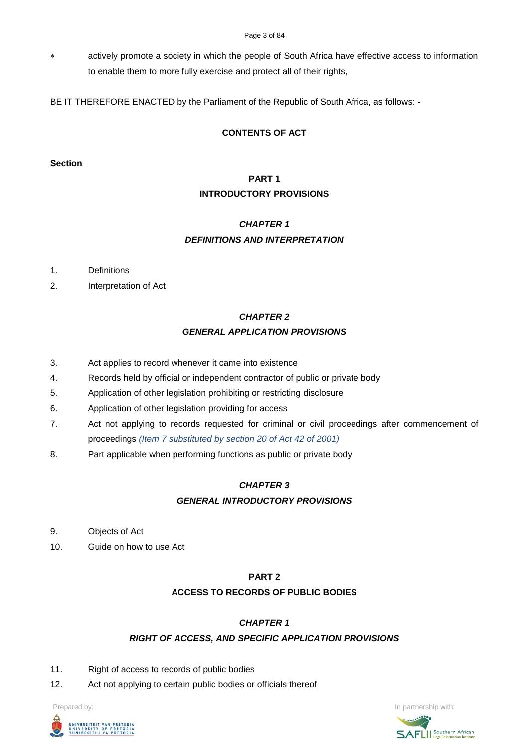actively promote a society in which the people of South Africa have effective access to information to enable them to more fully exercise and protect all of their rights,

BE IT THEREFORE ENACTED by the Parliament of the Republic of South Africa, as follows: -

# **CONTENTS OF ACT**

## **Section**

# **PART 1 INTRODUCTORY PROVISIONS**

# *CHAPTER 1 DEFINITIONS AND INTERPRETATION*

- 1. Definitions
- 2. Interpretation of Act

# *CHAPTER 2 GENERAL APPLICATION PROVISIONS*

- 3. Act applies to record whenever it came into existence
- 4. Records held by official or independent contractor of public or private body
- 5. Application of other legislation prohibiting or restricting disclosure
- 6. Application of other legislation providing for access
- 7. Act not applying to records requested for criminal or civil proceedings after commencement of proceedings *(Item 7 substituted by section 20 of Act 42 of 2001)*
- 8. Part applicable when performing functions as public or private body

# *CHAPTER 3 GENERAL INTRODUCTORY PROVISIONS*

- 9. Objects of Act
- 10. Guide on how to use Act

# **PART 2**

# **ACCESS TO RECORDS OF PUBLIC BODIES**

# *CHAPTER 1*

# *RIGHT OF ACCESS, AND SPECIFIC APPLICATION PROVISIONS*

- 11. Right of access to records of public bodies
- 12. Act not applying to certain public bodies or officials thereof



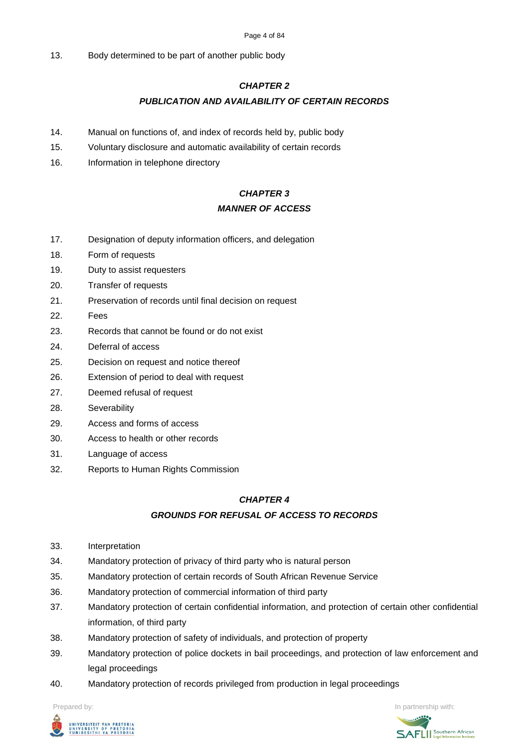#### Page 4 of 84

13. Body determined to be part of another public body

# *CHAPTER 2*

# *PUBLICATION AND AVAILABILITY OF CERTAIN RECORDS*

- 14. Manual on functions of, and index of records held by, public body
- 15. Voluntary disclosure and automatic availability of certain records
- 16. Information in telephone directory

# *CHAPTER 3 MANNER OF ACCESS*

- 17. Designation of deputy information officers, and delegation
- 18. Form of requests
- 19. Duty to assist requesters
- 20. Transfer of requests
- 21. Preservation of records until final decision on request
- 22. Fees
- 23. Records that cannot be found or do not exist
- 24. Deferral of access
- 25. Decision on request and notice thereof
- 26. Extension of period to deal with request
- 27. Deemed refusal of request
- 28. Severability
- 29. Access and forms of access
- 30. Access to health or other records
- 31. Language of access
- 32. Reports to Human Rights Commission

# *CHAPTER 4*

# *GROUNDS FOR REFUSAL OF ACCESS TO RECORDS*

- 33. Interpretation
- 34. Mandatory protection of privacy of third party who is natural person
- 35. Mandatory protection of certain records of South African Revenue Service
- 36. Mandatory protection of commercial information of third party
- 37. Mandatory protection of certain confidential information, and protection of certain other confidential information, of third party
- 38. Mandatory protection of safety of individuals, and protection of property
- 39. Mandatory protection of police dockets in bail proceedings, and protection of law enforcement and legal proceedings
- 40. Mandatory protection of records privileged from production in legal proceedings



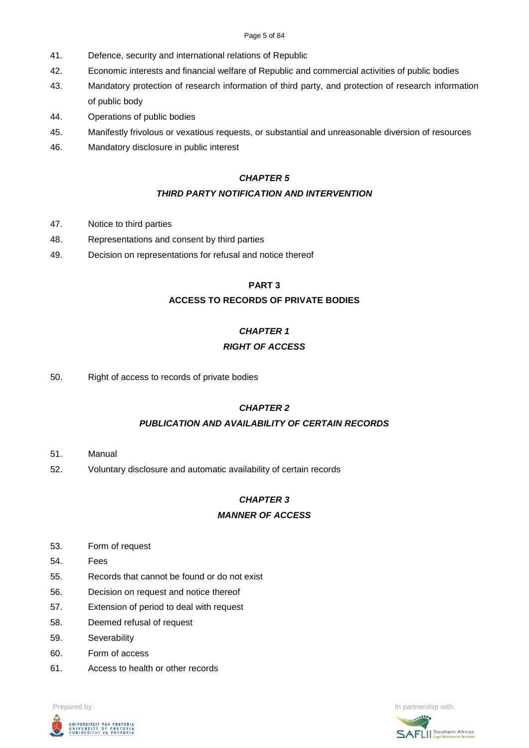#### Page 5 of 84

- 41. Defence, security and international relations of Republic
- 42. Economic interests and financial welfare of Republic and commercial activities of public bodies
- 43. Mandatory protection of research information of third party, and protection of research information of public body
- 44. Operations of public bodies
- 45. Manifestly frivolous or vexatious requests, or substantial and unreasonable diversion of resources
- 46. Mandatory disclosure in public interest

# *CHAPTER 5*

# *THIRD PARTY NOTIFICATION AND INTERVENTION*

- 47. Notice to third parties
- 48. Representations and consent by third parties
- 49. Decision on representations for refusal and notice thereof

# **PART 3**

# **ACCESS TO RECORDS OF PRIVATE BODIES**

# *CHAPTER 1 RIGHT OF ACCESS*

50. Right of access to records of private bodies

# *CHAPTER 2*

# *PUBLICATION AND AVAILABILITY OF CERTAIN RECORDS*

- 51. Manual
- 52. Voluntary disclosure and automatic availability of certain records

# *CHAPTER 3*

# *MANNER OF ACCESS*

- 53. Form of request
- 54. Fees
- 55. Records that cannot be found or do not exist
- 56. Decision on request and notice thereof
- 57. Extension of period to deal with request
- 58. Deemed refusal of request
- 59. Severability
- 60. Form of access
- 61. Access to health or other records



**Prepared by:** In partnership with:  $\frac{1}{2}$  in partnership with:  $\frac{1}{2}$  in partnership with:

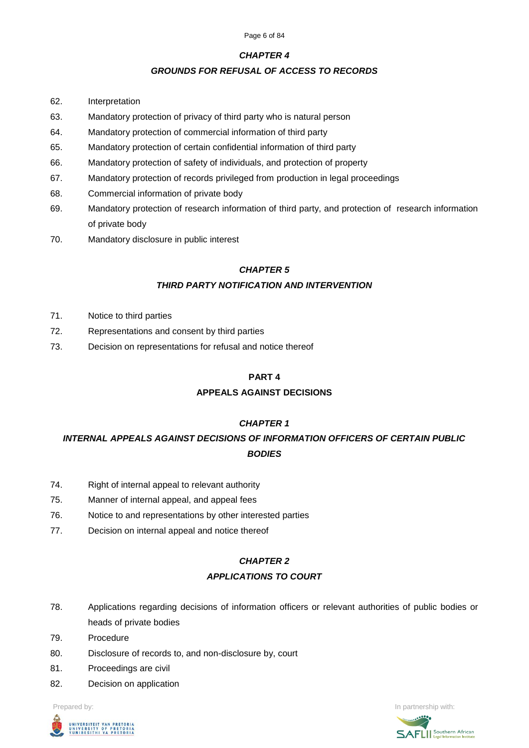# *CHAPTER 4*

# *GROUNDS FOR REFUSAL OF ACCESS TO RECORDS*

- 62. Interpretation
- 63. Mandatory protection of privacy of third party who is natural person
- 64. Mandatory protection of commercial information of third party
- 65. Mandatory protection of certain confidential information of third party
- 66. Mandatory protection of safety of individuals, and protection of property
- 67. Mandatory protection of records privileged from production in legal proceedings
- 68. Commercial information of private body
- 69. Mandatory protection of research information of third party, and protection of research information of private body
- 70. Mandatory disclosure in public interest

# *CHAPTER 5*

# *THIRD PARTY NOTIFICATION AND INTERVENTION*

- 71. Notice to third parties
- 72. Representations and consent by third parties
- 73. Decision on representations for refusal and notice thereof

# **PART 4**

# **APPEALS AGAINST DECISIONS**

# *CHAPTER 1*

*INTERNAL APPEALS AGAINST DECISIONS OF INFORMATION OFFICERS OF CERTAIN PUBLIC BODIES*

- 74. Right of internal appeal to relevant authority
- 75. Manner of internal appeal, and appeal fees
- 76. Notice to and representations by other interested parties
- 77. Decision on internal appeal and notice thereof

### *CHAPTER 2*

### *APPLICATIONS TO COURT*

- 78. Applications regarding decisions of information officers or relevant authorities of public bodies or heads of private bodies
- 79. Procedure
- 80. Disclosure of records to, and non-disclosure by, court
- 81. Proceedings are civil
- 82. Decision on application

**Prepared by:** In partnership with:  $\frac{1}{2}$  in partnership with:  $\frac{1}{2}$  in partnership with:



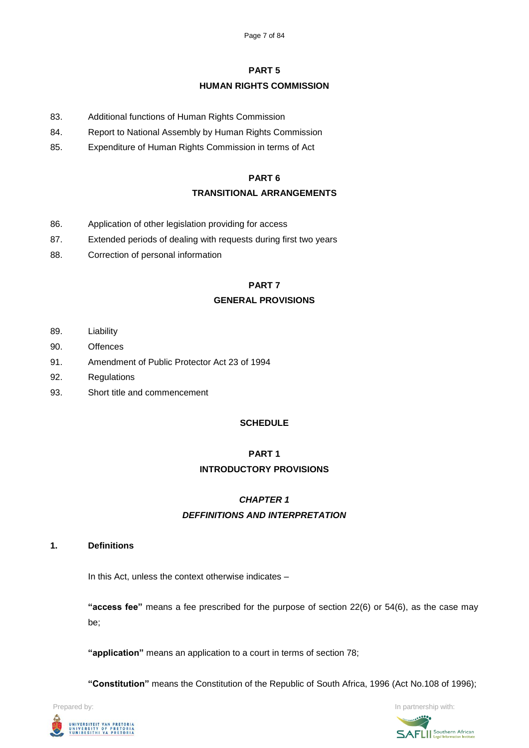# **PART 5**

# **HUMAN RIGHTS COMMISSION**

- 83. Additional functions of Human Rights Commission
- 84. Report to National Assembly by Human Rights Commission
- 85. Expenditure of Human Rights Commission in terms of Act

## **PART 6**

# **TRANSITIONAL ARRANGEMENTS**

- 86. Application of other legislation providing for access
- 87. Extended periods of dealing with requests during first two years
- 88. Correction of personal information

# **PART 7**

# **GENERAL PROVISIONS**

- 89. Liability
- 90. Offences
- 91. Amendment of Public Protector Act 23 of 1994
- 92. Regulations
- 93. Short title and commencement

# **SCHEDULE**

# **PART 1 INTRODUCTORY PROVISIONS**

# *CHAPTER 1*

# *DEFFINITIONS AND INTERPRETATION*

### **1. Definitions**

In this Act, unless the context otherwise indicates –

**"access fee"** means a fee prescribed for the purpose of section 22(6) or 54(6), as the case may be;

**"application"** means an application to a court in terms of section 78;

**"Constitution"** means the Constitution of the Republic of South Africa, 1996 (Act No.108 of 1996);

UNIVERSITEIT VAN PRETORIA<br>UNIVERSITY OF PRETORIA<br>YUNIBESITHI YA PRETORIA

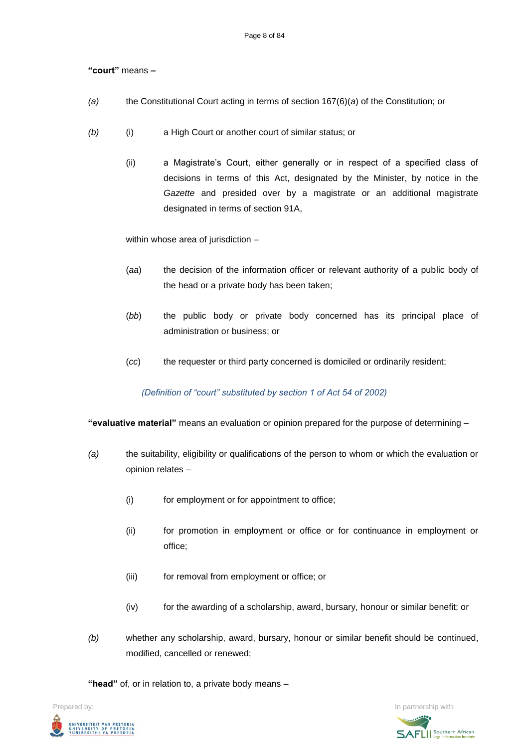# **"court"** means **–**

- *(a)* the Constitutional Court acting in terms of section 167(6)(*a*) of the Constitution; or
- *(b)* (i) a High Court or another court of similar status; or
	- (ii) a Magistrate's Court, either generally or in respect of a specified class of decisions in terms of this Act, designated by the Minister, by notice in the *Gazette* and presided over by a magistrate or an additional magistrate designated in terms of section 91A,

within whose area of jurisdiction –

- (*aa*) the decision of the information officer or relevant authority of a public body of the head or a private body has been taken;
- (*bb*) the public body or private body concerned has its principal place of administration or business; or
- (*cc*) the requester or third party concerned is domiciled or ordinarily resident;

### *(Definition of "court" substituted by section 1 of Act 54 of 2002)*

**"evaluative material"** means an evaluation or opinion prepared for the purpose of determining –

- *(a)* the suitability, eligibility or qualifications of the person to whom or which the evaluation or opinion relates –
	- (i) for employment or for appointment to office;
	- (ii) for promotion in employment or office or for continuance in employment or office;
	- (iii) for removal from employment or office; or
	- (iv) for the awarding of a scholarship, award, bursary, honour or similar benefit; or
- *(b)* whether any scholarship, award, bursary, honour or similar benefit should be continued, modified, cancelled or renewed;

**"head"** of, or in relation to, a private body means –



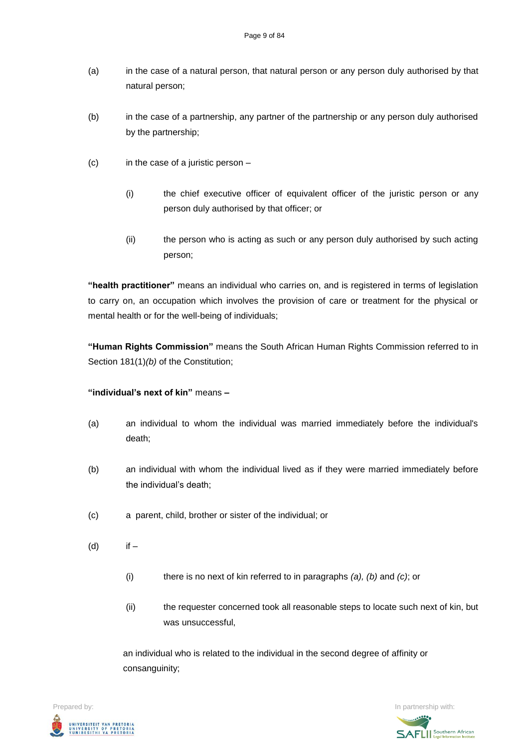- (a) in the case of a natural person, that natural person or any person duly authorised by that natural person;
- (b) in the case of a partnership, any partner of the partnership or any person duly authorised by the partnership;
- (c) in the case of a juristic person
	- (i) the chief executive officer of equivalent officer of the juristic person or any person duly authorised by that officer; or
	- (ii) the person who is acting as such or any person duly authorised by such acting person;

**"health practitioner"** means an individual who carries on, and is registered in terms of legislation to carry on, an occupation which involves the provision of care or treatment for the physical or mental health or for the well-being of individuals;

**"Human Rights Commission"** means the South African Human Rights Commission referred to in Section 181(1)(b) of the Constitution;

# **"individual's next of kin"** means **–**

- (a) an individual to whom the individual was married immediately before the individual's death;
- (b) an individual with whom the individual lived as if they were married immediately before the individual's death;
- (c) a parent, child, brother or sister of the individual; or
- (d) if
	- (i) there is no next of kin referred to in paragraphs *(a), (b)* and *(c)*; or
	- (ii) the requester concerned took all reasonable steps to locate such next of kin, but was unsuccessful,

an individual who is related to the individual in the second degree of affinity or consanguinity;

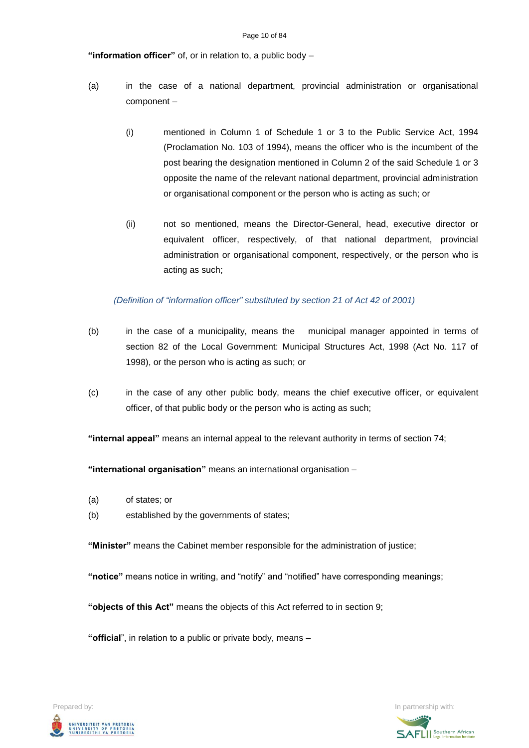### **"information officer"** of, or in relation to, a public body –

- (a) in the case of a national department, provincial administration or organisational component –
	- (i) mentioned in Column 1 of Schedule 1 or 3 to the Public Service Act, 1994 (Proclamation No. 103 of 1994), means the officer who is the incumbent of the post bearing the designation mentioned in Column 2 of the said Schedule 1 or 3 opposite the name of the relevant national department, provincial administration or organisational component or the person who is acting as such; or
	- (ii) not so mentioned, means the Director-General, head, executive director or equivalent officer, respectively, of that national department, provincial administration or organisational component, respectively, or the person who is acting as such;

### *(Definition of "information officer" substituted by section 21 of Act 42 of 2001)*

- (b) in the case of a municipality, means the municipal manager appointed in terms of section 82 of the Local Government: Municipal Structures Act, 1998 (Act No. 117 of 1998), or the person who is acting as such; or
- (c) in the case of any other public body, means the chief executive officer, or equivalent officer, of that public body or the person who is acting as such;

**"internal appeal"** means an internal appeal to the relevant authority in terms of section 74;

**"international organisation"** means an international organisation –

- (a) of states; or
- (b) established by the governments of states;

**"Minister"** means the Cabinet member responsible for the administration of justice;

**"notice"** means notice in writing, and "notify" and "notified" have corresponding meanings;

**"objects of this Act"** means the objects of this Act referred to in section 9;

**"official**", in relation to a public or private body, means –



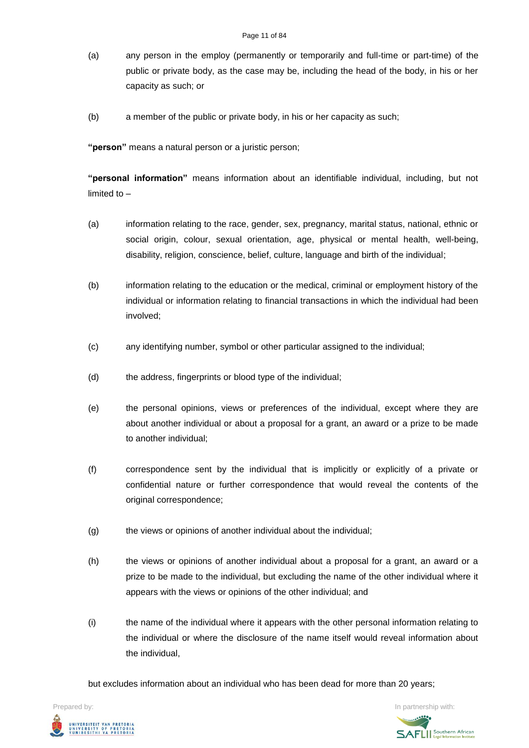- (a) any person in the employ (permanently or temporarily and full-time or part-time) of the public or private body, as the case may be, including the head of the body, in his or her capacity as such; or
- (b) a member of the public or private body, in his or her capacity as such;

**"person"** means a natural person or a juristic person;

**"personal information"** means information about an identifiable individual, including, but not limited to –

- (a) information relating to the race, gender, sex, pregnancy, marital status, national, ethnic or social origin, colour, sexual orientation, age, physical or mental health, well-being, disability, religion, conscience, belief, culture, language and birth of the individual;
- (b) information relating to the education or the medical, criminal or employment history of the individual or information relating to financial transactions in which the individual had been involved;
- (c) any identifying number, symbol or other particular assigned to the individual;
- (d) the address, fingerprints or blood type of the individual;
- (e) the personal opinions, views or preferences of the individual, except where they are about another individual or about a proposal for a grant, an award or a prize to be made to another individual;
- (f) correspondence sent by the individual that is implicitly or explicitly of a private or confidential nature or further correspondence that would reveal the contents of the original correspondence;
- (g) the views or opinions of another individual about the individual;
- (h) the views or opinions of another individual about a proposal for a grant, an award or a prize to be made to the individual, but excluding the name of the other individual where it appears with the views or opinions of the other individual; and
- (i) the name of the individual where it appears with the other personal information relating to the individual or where the disclosure of the name itself would reveal information about the individual,

but excludes information about an individual who has been dead for more than 20 years;

**Prepared by:** In partnership with:  $\frac{1}{2}$  in partnership with:  $\frac{1}{2}$  in partnership with: .<br>UNIVERSITEIT VAN PRETORIA<br>YUNIBESITHI YA PRETORIA

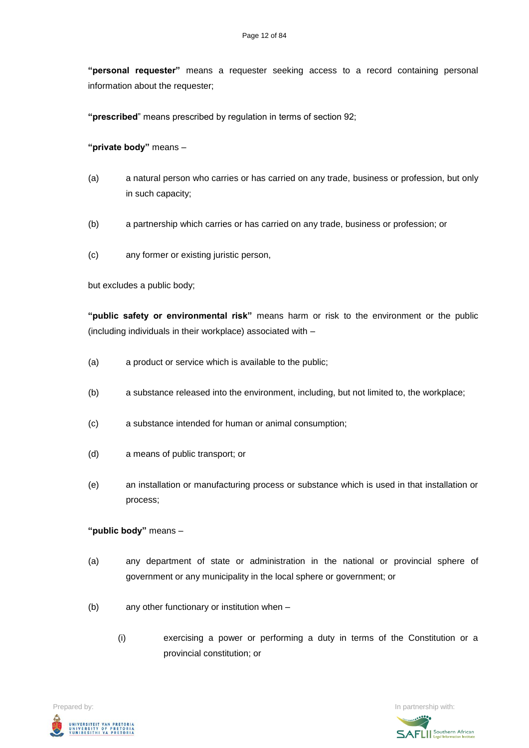**"personal requester"** means a requester seeking access to a record containing personal information about the requester;

**"prescribed**" means prescribed by regulation in terms of section 92;

**"private body"** means –

- (a) a natural person who carries or has carried on any trade, business or profession, but only in such capacity;
- (b) a partnership which carries or has carried on any trade, business or profession; or
- (c) any former or existing juristic person,

but excludes a public body;

**"public safety or environmental risk"** means harm or risk to the environment or the public (including individuals in their workplace) associated with –

- (a) a product or service which is available to the public;
- (b) a substance released into the environment, including, but not limited to, the workplace;
- (c) a substance intended for human or animal consumption;
- (d) a means of public transport; or
- (e) an installation or manufacturing process or substance which is used in that installation or process;

### **"public body"** means –

- (a) any department of state or administration in the national or provincial sphere of government or any municipality in the local sphere or government; or
- (b) any other functionary or institution when
	- (i) exercising a power or performing a duty in terms of the Constitution or a provincial constitution; or



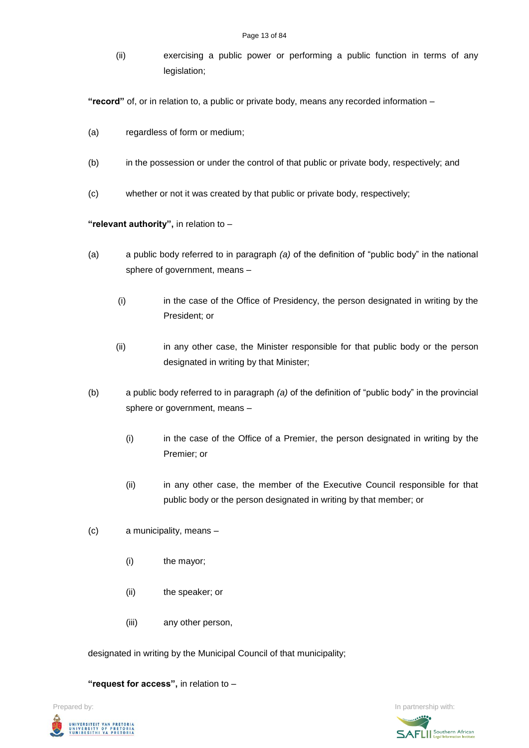(ii) exercising a public power or performing a public function in terms of any legislation;

**"record"** of, or in relation to, a public or private body, means any recorded information –

- (a) regardless of form or medium;
- (b) in the possession or under the control of that public or private body, respectively; and
- (c) whether or not it was created by that public or private body, respectively;

# **"relevant authority",** in relation to –

- (a) a public body referred to in paragraph *(a)* of the definition of "public body" in the national sphere of government, means –
	- (i) in the case of the Office of Presidency, the person designated in writing by the President; or
	- (ii) in any other case, the Minister responsible for that public body or the person designated in writing by that Minister;
- (b) a public body referred to in paragraph *(a)* of the definition of "public body" in the provincial sphere or government, means –
	- (i) in the case of the Office of a Premier, the person designated in writing by the Premier; or
	- (ii) in any other case, the member of the Executive Council responsible for that public body or the person designated in writing by that member; or
- (c) a municipality, means
	- (i) the mayor;
	- (ii) the speaker; or
	- (iii) any other person,

designated in writing by the Municipal Council of that municipality;

**"request for access",** in relation to –

**Prepared by:** In partnership with:  $\frac{1}{2}$  in partnership with:  $\frac{1}{2}$  in partnership with: UNIVERSITEIT VAN PRETORIA<br>UNIVERSITY OF PRETORIA<br>YUNIBESITHI YA PRETORIA

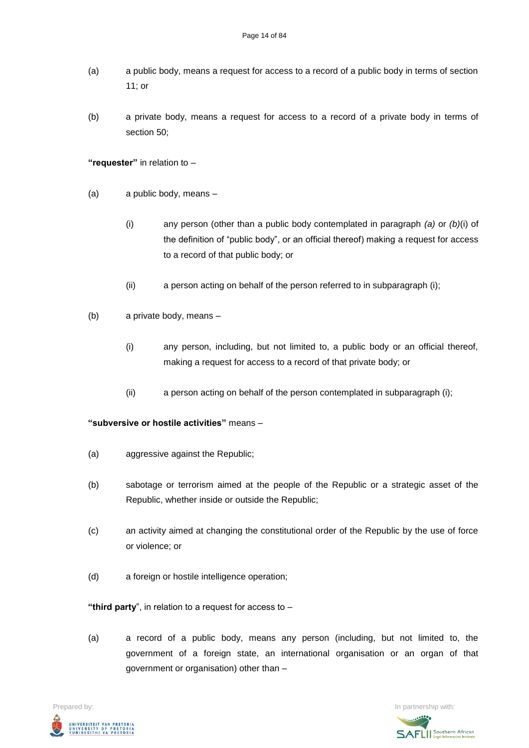- (a) a public body, means a request for access to a record of a public body in terms of section 11; or
- (b) a private body, means a request for access to a record of a private body in terms of section 50;

**"requester"** in relation to –

- (a) a public body, means
	- (i) any person (other than a public body contemplated in paragraph *(a)* or *(b)*(i) of the definition of "public body", or an official thereof) making a request for access to a record of that public body; or
	- (ii) a person acting on behalf of the person referred to in subparagraph (i);
- (b) a private body, means
	- (i) any person, including, but not limited to, a public body or an official thereof, making a request for access to a record of that private body; or
	- (ii) a person acting on behalf of the person contemplated in subparagraph (i);

# **"subversive or hostile activities"** means –

- (a) aggressive against the Republic;
- (b) sabotage or terrorism aimed at the people of the Republic or a strategic asset of the Republic, whether inside or outside the Republic;
- (c) an activity aimed at changing the constitutional order of the Republic by the use of force or violence; or
- (d) a foreign or hostile intelligence operation;

**"third party**", in relation to a request for access to –

(a) a record of a public body, means any person (including, but not limited to, the government of a foreign state, an international organisation or an organ of that government or organisation) other than –



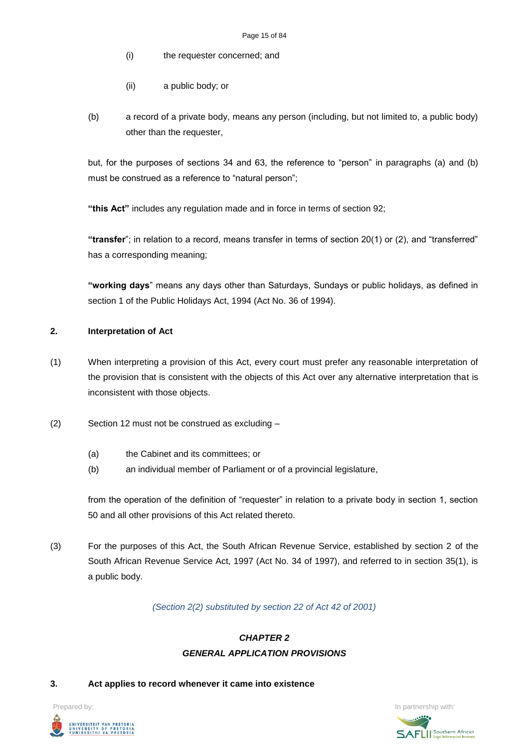- (i) the requester concerned; and
- (ii) a public body; or
- (b) a record of a private body, means any person (including, but not limited to, a public body) other than the requester,

but, for the purposes of sections 34 and 63, the reference to "person" in paragraphs (a) and (b) must be construed as a reference to "natural person";

**"this Act"** includes any regulation made and in force in terms of section 92;

**"transfer**"; in relation to a record, means transfer in terms of section 20(1) or (2), and "transferred" has a corresponding meaning;

**"working days**" means any days other than Saturdays, Sundays or public holidays, as defined in section 1 of the Public Holidays Act, 1994 (Act No. 36 of 1994).

# **2. Interpretation of Act**

- (1) When interpreting a provision of this Act, every court must prefer any reasonable interpretation of the provision that is consistent with the objects of this Act over any alternative interpretation that is inconsistent with those objects.
- (2) Section 12 must not be construed as excluding
	- (a) the Cabinet and its committees; or
	- (b) an individual member of Parliament or of a provincial legislature,

from the operation of the definition of "requester" in relation to a private body in section 1, section 50 and all other provisions of this Act related thereto.

(3) For the purposes of this Act, the South African Revenue Service, established by section 2 of the South African Revenue Service Act, 1997 (Act No. 34 of 1997), and referred to in section 35(1), is a public body.

*(Section 2(2) substituted by section 22 of Act 42 of 2001)*

# *CHAPTER 2 GENERAL APPLICATION PROVISIONS*

### **3. Act applies to record whenever it came into existence**

UNIVERSITEIT VAN PRETORIA<br>UNIVERSITY OF PRETORIA<br>YUNIBESITHI YA PRETORIA

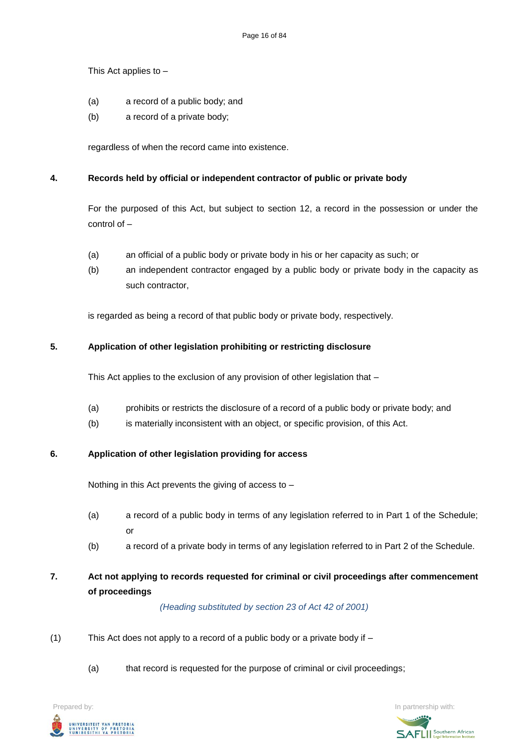This Act applies to –

- (a) a record of a public body; and
- (b) a record of a private body;

regardless of when the record came into existence.

# **4. Records held by official or independent contractor of public or private body**

For the purposed of this Act, but subject to section 12, a record in the possession or under the control of –

- (a) an official of a public body or private body in his or her capacity as such; or
- (b) an independent contractor engaged by a public body or private body in the capacity as such contractor,

is regarded as being a record of that public body or private body, respectively.

# **5. Application of other legislation prohibiting or restricting disclosure**

This Act applies to the exclusion of any provision of other legislation that –

- (a) prohibits or restricts the disclosure of a record of a public body or private body; and
- (b) is materially inconsistent with an object, or specific provision, of this Act.

## **6. Application of other legislation providing for access**

Nothing in this Act prevents the giving of access to –

- (a) a record of a public body in terms of any legislation referred to in Part 1 of the Schedule; or
- (b) a record of a private body in terms of any legislation referred to in Part 2 of the Schedule.

# **7. Act not applying to records requested for criminal or civil proceedings after commencement of proceedings**

*(Heading substituted by section 23 of Act 42 of 2001)*

- (1) This Act does not apply to a record of a public body or a private body if  $-$ 
	- (a) that record is requested for the purpose of criminal or civil proceedings;

**Prepared by:** In partnership with:  $\frac{1}{2}$  in partnership with:  $\frac{1}{2}$  in partnership with: UNIVERSITEIT VAN PRETORIA<br>UNIVERSITY OF PRETORIA<br>YUNIBESITHI YA PRETORIA

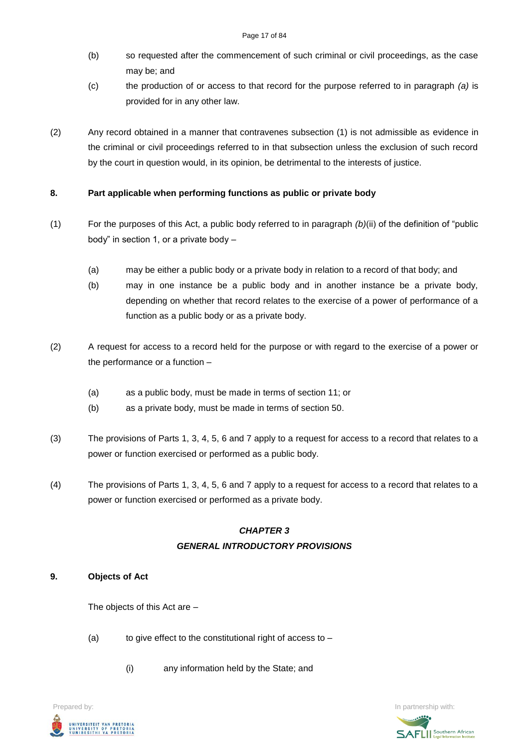- (b) so requested after the commencement of such criminal or civil proceedings, as the case may be; and
- (c) the production of or access to that record for the purpose referred to in paragraph *(a)* is provided for in any other law.
- (2) Any record obtained in a manner that contravenes subsection (1) is not admissible as evidence in the criminal or civil proceedings referred to in that subsection unless the exclusion of such record by the court in question would, in its opinion, be detrimental to the interests of justice.

# **8. Part applicable when performing functions as public or private body**

- (1) For the purposes of this Act, a public body referred to in paragraph *(b)*(ii) of the definition of "public body" in section 1, or a private body –
	- (a) may be either a public body or a private body in relation to a record of that body; and
	- (b) may in one instance be a public body and in another instance be a private body, depending on whether that record relates to the exercise of a power of performance of a function as a public body or as a private body.
- (2) A request for access to a record held for the purpose or with regard to the exercise of a power or the performance or a function –
	- (a) as a public body, must be made in terms of section 11; or
	- (b) as a private body, must be made in terms of section 50.
- (3) The provisions of Parts 1, 3, 4, 5, 6 and 7 apply to a request for access to a record that relates to a power or function exercised or performed as a public body.
- (4) The provisions of Parts 1, 3, 4, 5, 6 and 7 apply to a request for access to a record that relates to a power or function exercised or performed as a private body.

# *CHAPTER 3 GENERAL INTRODUCTORY PROVISIONS*

# **9. Objects of Act**

The objects of this Act are –

- (a) to give effect to the constitutional right of access to  $-$ 
	- (i) any information held by the State; and

**Prepared by:** In partnership with:  $\frac{1}{2}$  in partnership with:  $\frac{1}{2}$  in partnership with: UNIVERSITEIT VAN PRETORIA<br>UNIVERSITY OF PRETORIA<br>YUNIBESITHI YA PRETORIA

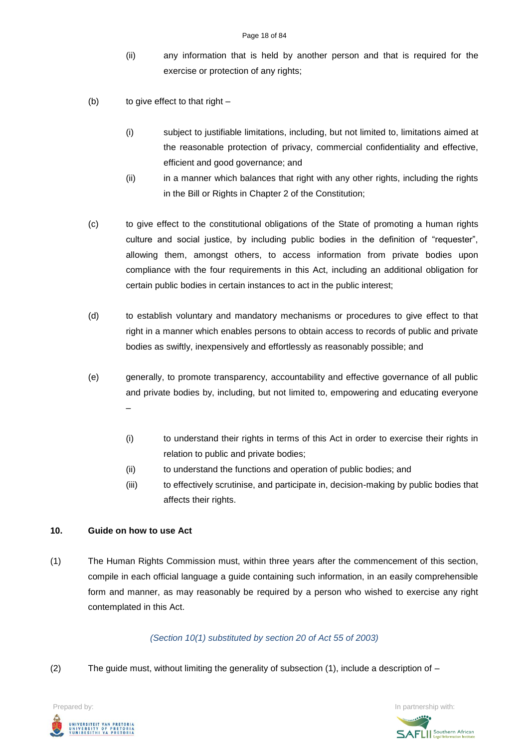- (ii) any information that is held by another person and that is required for the exercise or protection of any rights;
- (b) to give effect to that right
	- (i) subject to justifiable limitations, including, but not limited to, limitations aimed at the reasonable protection of privacy, commercial confidentiality and effective, efficient and good governance; and
	- (ii) in a manner which balances that right with any other rights, including the rights in the Bill or Rights in Chapter 2 of the Constitution;
- (c) to give effect to the constitutional obligations of the State of promoting a human rights culture and social justice, by including public bodies in the definition of "requester", allowing them, amongst others, to access information from private bodies upon compliance with the four requirements in this Act, including an additional obligation for certain public bodies in certain instances to act in the public interest;
- (d) to establish voluntary and mandatory mechanisms or procedures to give effect to that right in a manner which enables persons to obtain access to records of public and private bodies as swiftly, inexpensively and effortlessly as reasonably possible; and
- (e) generally, to promote transparency, accountability and effective governance of all public and private bodies by, including, but not limited to, empowering and educating everyone –
	- (i) to understand their rights in terms of this Act in order to exercise their rights in relation to public and private bodies;
	- (ii) to understand the functions and operation of public bodies; and
	- (iii) to effectively scrutinise, and participate in, decision-making by public bodies that affects their rights.

# **10. Guide on how to use Act**

(1) The Human Rights Commission must, within three years after the commencement of this section, compile in each official language a guide containing such information, in an easily comprehensible form and manner, as may reasonably be required by a person who wished to exercise any right contemplated in this Act.

# *(Section 10(1) substituted by section 20 of Act 55 of 2003)*

(2) The quide must, without limiting the generality of subsection  $(1)$ , include a description of  $-$ 



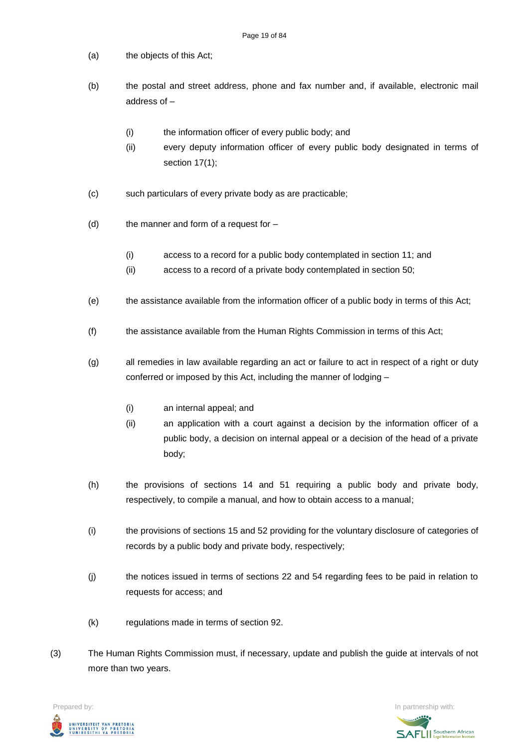- (a) the objects of this Act;
- (b) the postal and street address, phone and fax number and, if available, electronic mail address of –
	- (i) the information officer of every public body; and
	- (ii) every deputy information officer of every public body designated in terms of section 17(1);
- (c) such particulars of every private body as are practicable;
- $(d)$  the manner and form of a request for  $-$ 
	- (i) access to a record for a public body contemplated in section 11; and
	- (ii) access to a record of a private body contemplated in section 50;
- (e) the assistance available from the information officer of a public body in terms of this Act;
- (f) the assistance available from the Human Rights Commission in terms of this Act;
- (g) all remedies in law available regarding an act or failure to act in respect of a right or duty conferred or imposed by this Act, including the manner of lodging –
	- (i) an internal appeal; and
	- (ii) an application with a court against a decision by the information officer of a public body, a decision on internal appeal or a decision of the head of a private body;
- (h) the provisions of sections 14 and 51 requiring a public body and private body, respectively, to compile a manual, and how to obtain access to a manual;
- (i) the provisions of sections 15 and 52 providing for the voluntary disclosure of categories of records by a public body and private body, respectively;
- (j) the notices issued in terms of sections 22 and 54 regarding fees to be paid in relation to requests for access; and
- (k) regulations made in terms of section 92.
- (3) The Human Rights Commission must, if necessary, update and publish the guide at intervals of not more than two years.

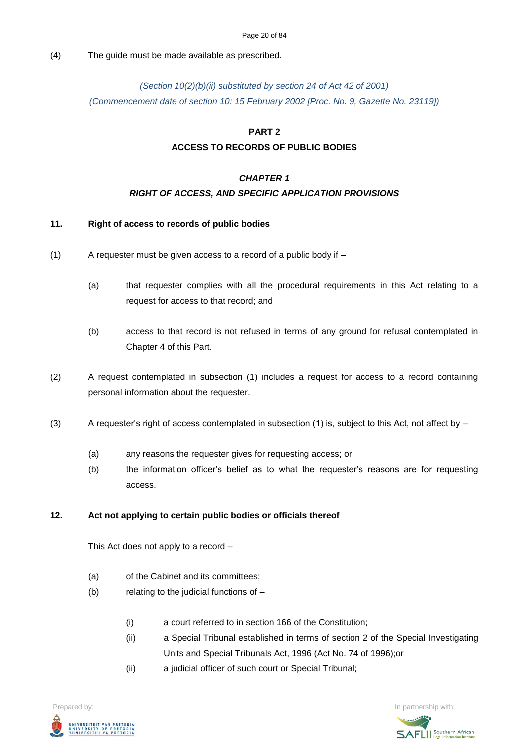### (4) The guide must be made available as prescribed.

# *(Section 10(2)(b)(ii) substituted by section 24 of Act 42 of 2001) (Commencement date of section 10: 15 February 2002 [Proc. No. 9, Gazette No. 23119])*

# **PART 2**

# **ACCESS TO RECORDS OF PUBLIC BODIES**

## *CHAPTER 1*

# *RIGHT OF ACCESS, AND SPECIFIC APPLICATION PROVISIONS*

### **11. Right of access to records of public bodies**

- $(1)$  A requester must be given access to a record of a public body if  $-$ 
	- (a) that requester complies with all the procedural requirements in this Act relating to a request for access to that record; and
	- (b) access to that record is not refused in terms of any ground for refusal contemplated in Chapter 4 of this Part.
- (2) A request contemplated in subsection (1) includes a request for access to a record containing personal information about the requester.
- (3) A requester's right of access contemplated in subsection (1) is, subject to this Act, not affect by  $-$ 
	- (a) any reasons the requester gives for requesting access; or
	- (b) the information officer's belief as to what the requester's reasons are for requesting access.

### **12. Act not applying to certain public bodies or officials thereof**

This Act does not apply to a record –

- (a) of the Cabinet and its committees;
- (b) relating to the judicial functions of
	- (i) a court referred to in section 166 of the Constitution;
	- (ii) a Special Tribunal established in terms of section 2 of the Special Investigating Units and Special Tribunals Act, 1996 (Act No. 74 of 1996);or
	- (ii) a judicial officer of such court or Special Tribunal;

**Prepared by:** In partnership with:  $\frac{1}{2}$  in partnership with:  $\frac{1}{2}$  in partnership with: .<br>Iniversiteit van Pretoria<br>Iniversity of Pretoria<br>Iunibesithi ya Pretoria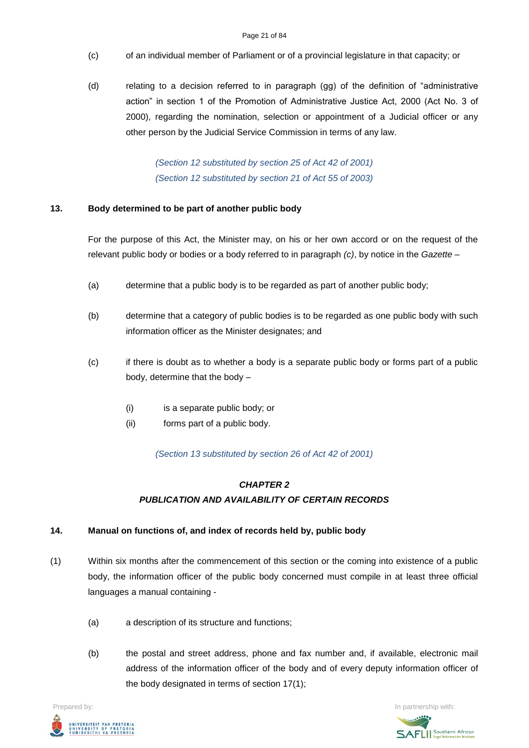- (c) of an individual member of Parliament or of a provincial legislature in that capacity; or
- (d) relating to a decision referred to in paragraph (gg) of the definition of "administrative action" in section 1 of the Promotion of Administrative Justice Act, 2000 (Act No. 3 of 2000), regarding the nomination, selection or appointment of a Judicial officer or any other person by the Judicial Service Commission in terms of any law.

*(Section 12 substituted by section 25 of Act 42 of 2001) (Section 12 substituted by section 21 of Act 55 of 2003)*

# **13. Body determined to be part of another public body**

For the purpose of this Act, the Minister may, on his or her own accord or on the request of the relevant public body or bodies or a body referred to in paragraph *(c)*, by notice in the *Gazette –*

- (a) determine that a public body is to be regarded as part of another public body;
- (b) determine that a category of public bodies is to be regarded as one public body with such information officer as the Minister designates; and
- (c) if there is doubt as to whether a body is a separate public body or forms part of a public body, determine that the body –
	- (i) is a separate public body; or
	- (ii) forms part of a public body.

*(Section 13 substituted by section 26 of Act 42 of 2001)*

# *CHAPTER 2 PUBLICATION AND AVAILABILITY OF CERTAIN RECORDS*

### **14. Manual on functions of, and index of records held by, public body**

- (1) Within six months after the commencement of this section or the coming into existence of a public body, the information officer of the public body concerned must compile in at least three official languages a manual containing -
	- (a) a description of its structure and functions;
	- (b) the postal and street address, phone and fax number and, if available, electronic mail address of the information officer of the body and of every deputy information officer of the body designated in terms of section 17(1);

**Prepared by:** In partnership with:  $\frac{1}{2}$  in partnership with:  $\frac{1}{2}$  in partnership with: .<br>Iniversiteit van Pretoria<br>Iniversity of Pretoria<br>Iunibesithi ya Pretoria

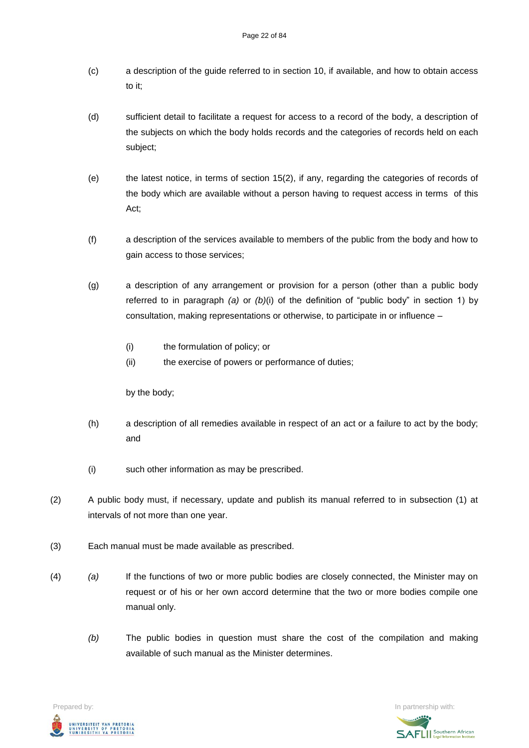- (c) a description of the guide referred to in section 10, if available, and how to obtain access to it;
- (d) sufficient detail to facilitate a request for access to a record of the body, a description of the subjects on which the body holds records and the categories of records held on each subject;
- (e) the latest notice, in terms of section 15(2), if any, regarding the categories of records of the body which are available without a person having to request access in terms of this Act;
- (f) a description of the services available to members of the public from the body and how to gain access to those services;
- (g) a description of any arrangement or provision for a person (other than a public body referred to in paragraph *(a)* or *(b)*(i) of the definition of "public body" in section 1) by consultation, making representations or otherwise, to participate in or influence –
	- (i) the formulation of policy; or
	- (ii) the exercise of powers or performance of duties;

by the body;

- (h) a description of all remedies available in respect of an act or a failure to act by the body; and
- (i) such other information as may be prescribed.
- (2) A public body must, if necessary, update and publish its manual referred to in subsection (1) at intervals of not more than one year.
- (3) Each manual must be made available as prescribed.
- (4) *(a)* If the functions of two or more public bodies are closely connected, the Minister may on request or of his or her own accord determine that the two or more bodies compile one manual only.
	- *(b)* The public bodies in question must share the cost of the compilation and making available of such manual as the Minister determines.

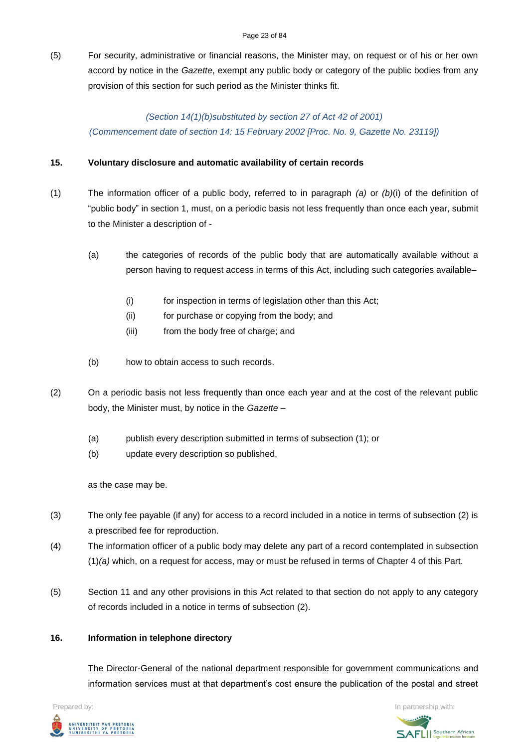(5) For security, administrative or financial reasons, the Minister may, on request or of his or her own accord by notice in the *Gazette*, exempt any public body or category of the public bodies from any provision of this section for such period as the Minister thinks fit.

*(Section 14(1)(b)substituted by section 27 of Act 42 of 2001) (Commencement date of section 14: 15 February 2002 [Proc. No. 9, Gazette No. 23119])*

# **15. Voluntary disclosure and automatic availability of certain records**

- (1) The information officer of a public body, referred to in paragraph *(a)* or *(b)*(i) of the definition of "public body" in section 1, must, on a periodic basis not less frequently than once each year, submit to the Minister a description of -
	- (a) the categories of records of the public body that are automatically available without a person having to request access in terms of this Act, including such categories available–
		- (i) for inspection in terms of legislation other than this Act;
		- (ii) for purchase or copying from the body; and
		- (iii) from the body free of charge; and
	- (b) how to obtain access to such records.
- (2) On a periodic basis not less frequently than once each year and at the cost of the relevant public body, the Minister must, by notice in the *Gazette –*
	- (a) publish every description submitted in terms of subsection (1); or
	- (b) update every description so published,

as the case may be.

- (3) The only fee payable (if any) for access to a record included in a notice in terms of subsection (2) is a prescribed fee for reproduction.
- (4) The information officer of a public body may delete any part of a record contemplated in subsection (1)*(a)* which, on a request for access, may or must be refused in terms of Chapter 4 of this Part.
- (5) Section 11 and any other provisions in this Act related to that section do not apply to any category of records included in a notice in terms of subsection (2).

### **16. Information in telephone directory**

The Director-General of the national department responsible for government communications and information services must at that department's cost ensure the publication of the postal and street

**Prepared by:** In partnership with:  $\frac{1}{2}$  in partnership with:  $\frac{1}{2}$  in partnership with: .<br>Iniversiteit van Pretori*i*<br>Iniversity of Pretori*i*<br>Iunibesithi ya Pretori*i* 

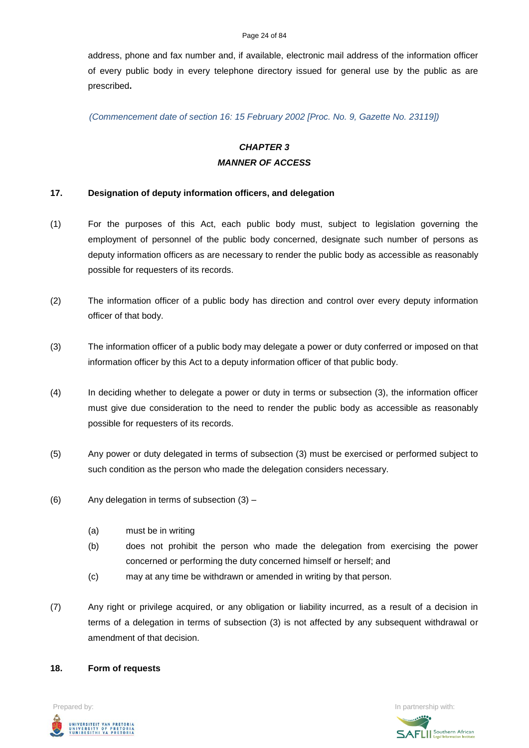#### Page 24 of 84

address, phone and fax number and, if available, electronic mail address of the information officer of every public body in every telephone directory issued for general use by the public as are prescribed**.**

*(Commencement date of section 16: 15 February 2002 [Proc. No. 9, Gazette No. 23119])*

# *CHAPTER 3 MANNER OF ACCESS*

### **17. Designation of deputy information officers, and delegation**

- (1) For the purposes of this Act, each public body must, subject to legislation governing the employment of personnel of the public body concerned, designate such number of persons as deputy information officers as are necessary to render the public body as accessible as reasonably possible for requesters of its records.
- (2) The information officer of a public body has direction and control over every deputy information officer of that body.
- (3) The information officer of a public body may delegate a power or duty conferred or imposed on that information officer by this Act to a deputy information officer of that public body.
- (4) In deciding whether to delegate a power or duty in terms or subsection (3), the information officer must give due consideration to the need to render the public body as accessible as reasonably possible for requesters of its records.
- (5) Any power or duty delegated in terms of subsection (3) must be exercised or performed subject to such condition as the person who made the delegation considers necessary.
- (6) Any delegation in terms of subsection (3)
	- (a) must be in writing
	- (b) does not prohibit the person who made the delegation from exercising the power concerned or performing the duty concerned himself or herself; and
	- (c) may at any time be withdrawn or amended in writing by that person.
- (7) Any right or privilege acquired, or any obligation or liability incurred, as a result of a decision in terms of a delegation in terms of subsection (3) is not affected by any subsequent withdrawal or amendment of that decision.

#### **18. Form of requests**

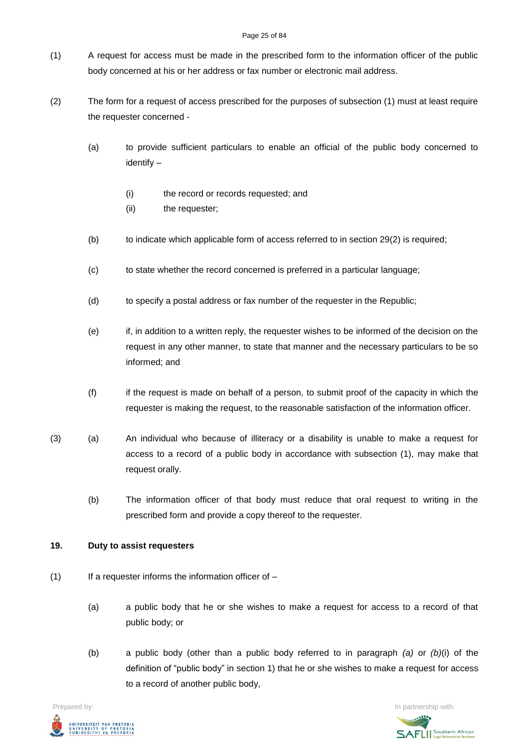#### Page 25 of 84

- (1) A request for access must be made in the prescribed form to the information officer of the public body concerned at his or her address or fax number or electronic mail address.
- (2) The form for a request of access prescribed for the purposes of subsection (1) must at least require the requester concerned -
	- (a) to provide sufficient particulars to enable an official of the public body concerned to identify –
		- (i) the record or records requested; and
		- (ii) the requester;
	- (b) to indicate which applicable form of access referred to in section 29(2) is required;
	- (c) to state whether the record concerned is preferred in a particular language;
	- (d) to specify a postal address or fax number of the requester in the Republic;
	- (e) if, in addition to a written reply, the requester wishes to be informed of the decision on the request in any other manner, to state that manner and the necessary particulars to be so informed; and
	- (f) if the request is made on behalf of a person, to submit proof of the capacity in which the requester is making the request, to the reasonable satisfaction of the information officer.
- (3) (a) An individual who because of illiteracy or a disability is unable to make a request for access to a record of a public body in accordance with subsection (1), may make that request orally.
	- (b) The information officer of that body must reduce that oral request to writing in the prescribed form and provide a copy thereof to the requester.

# **19. Duty to assist requesters**

- $(1)$  If a requester informs the information officer of
	- (a) a public body that he or she wishes to make a request for access to a record of that public body; or
	- (b) a public body (other than a public body referred to in paragraph *(a)* or *(b)*(i) of the definition of "public body" in section 1) that he or she wishes to make a request for access to a record of another public body,



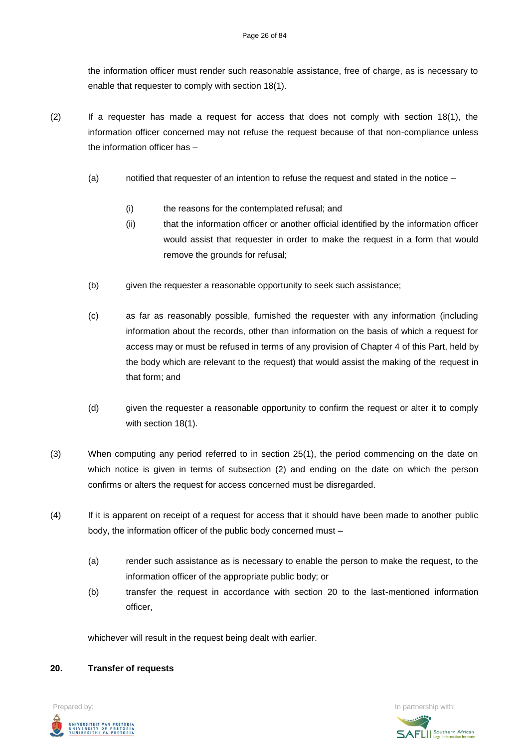the information officer must render such reasonable assistance, free of charge, as is necessary to enable that requester to comply with section 18(1).

- (2) If a requester has made a request for access that does not comply with section 18(1), the information officer concerned may not refuse the request because of that non-compliance unless the information officer has –
	- (a) notified that requester of an intention to refuse the request and stated in the notice
		- (i) the reasons for the contemplated refusal; and
		- (ii) that the information officer or another official identified by the information officer would assist that requester in order to make the request in a form that would remove the grounds for refusal;
	- (b) given the requester a reasonable opportunity to seek such assistance;
	- (c) as far as reasonably possible, furnished the requester with any information (including information about the records, other than information on the basis of which a request for access may or must be refused in terms of any provision of Chapter 4 of this Part, held by the body which are relevant to the request) that would assist the making of the request in that form; and
	- (d) given the requester a reasonable opportunity to confirm the request or alter it to comply with section 18(1).
- (3) When computing any period referred to in section 25(1), the period commencing on the date on which notice is given in terms of subsection (2) and ending on the date on which the person confirms or alters the request for access concerned must be disregarded.
- (4) If it is apparent on receipt of a request for access that it should have been made to another public body, the information officer of the public body concerned must –
	- (a) render such assistance as is necessary to enable the person to make the request, to the information officer of the appropriate public body; or
	- (b) transfer the request in accordance with section 20 to the last-mentioned information officer,

whichever will result in the request being dealt with earlier.

# **20. Transfer of requests**



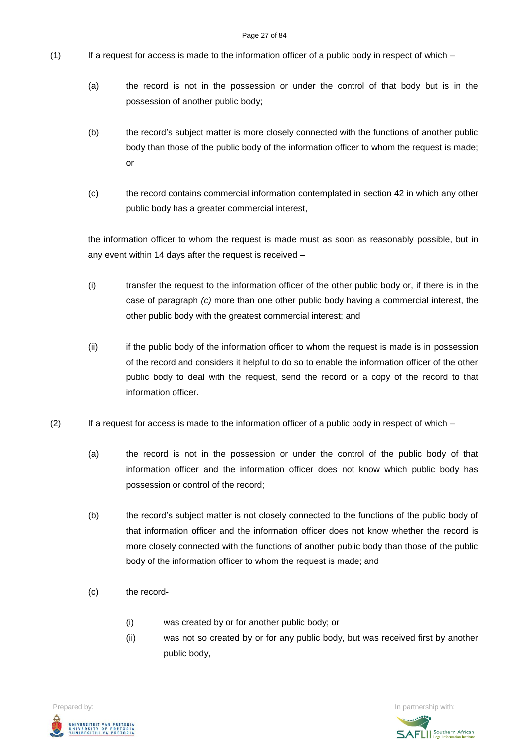- (1) If a request for access is made to the information officer of a public body in respect of which
	- (a) the record is not in the possession or under the control of that body but is in the possession of another public body;
	- (b) the record's subject matter is more closely connected with the functions of another public body than those of the public body of the information officer to whom the request is made; or
	- (c) the record contains commercial information contemplated in section 42 in which any other public body has a greater commercial interest,

the information officer to whom the request is made must as soon as reasonably possible, but in any event within 14 days after the request is received –

- (i) transfer the request to the information officer of the other public body or, if there is in the case of paragraph *(c)* more than one other public body having a commercial interest, the other public body with the greatest commercial interest; and
- (ii) if the public body of the information officer to whom the request is made is in possession of the record and considers it helpful to do so to enable the information officer of the other public body to deal with the request, send the record or a copy of the record to that information officer.
- $(2)$  If a request for access is made to the information officer of a public body in respect of which
	- (a) the record is not in the possession or under the control of the public body of that information officer and the information officer does not know which public body has possession or control of the record;
	- (b) the record's subject matter is not closely connected to the functions of the public body of that information officer and the information officer does not know whether the record is more closely connected with the functions of another public body than those of the public body of the information officer to whom the request is made; and
	- (c) the record-
		- (i) was created by or for another public body; or
		- (ii) was not so created by or for any public body, but was received first by another public body,

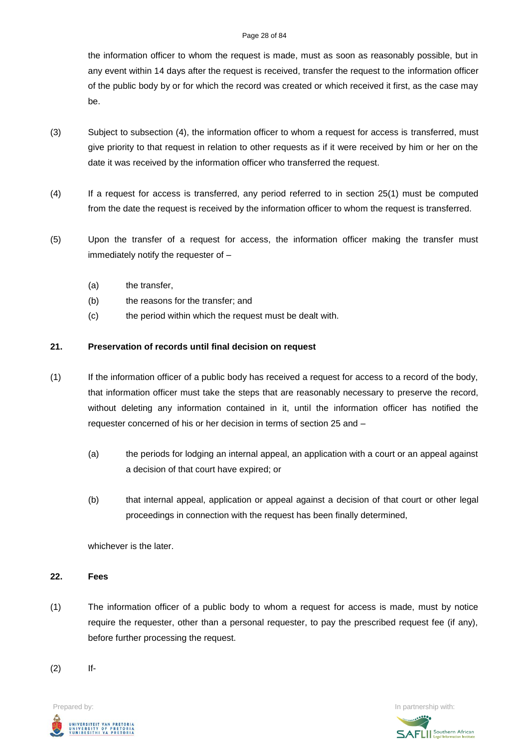#### Page 28 of 84

the information officer to whom the request is made, must as soon as reasonably possible, but in any event within 14 days after the request is received, transfer the request to the information officer of the public body by or for which the record was created or which received it first, as the case may be.

- (3) Subject to subsection (4), the information officer to whom a request for access is transferred, must give priority to that request in relation to other requests as if it were received by him or her on the date it was received by the information officer who transferred the request.
- (4) If a request for access is transferred, any period referred to in section 25(1) must be computed from the date the request is received by the information officer to whom the request is transferred.
- (5) Upon the transfer of a request for access, the information officer making the transfer must immediately notify the requester of –
	- (a) the transfer,
	- (b) the reasons for the transfer; and
	- (c) the period within which the request must be dealt with.

# **21. Preservation of records until final decision on request**

- (1) If the information officer of a public body has received a request for access to a record of the body, that information officer must take the steps that are reasonably necessary to preserve the record, without deleting any information contained in it, until the information officer has notified the requester concerned of his or her decision in terms of section 25 and –
	- (a) the periods for lodging an internal appeal, an application with a court or an appeal against a decision of that court have expired; or
	- (b) that internal appeal, application or appeal against a decision of that court or other legal proceedings in connection with the request has been finally determined,

whichever is the later.

### **22. Fees**

(1) The information officer of a public body to whom a request for access is made, must by notice require the requester, other than a personal requester, to pay the prescribed request fee (if any), before further processing the request.

(2) If-

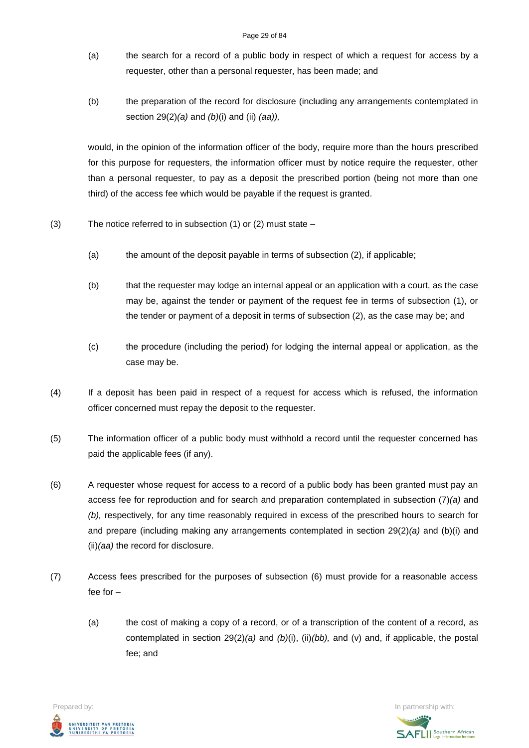- (a) the search for a record of a public body in respect of which a request for access by a requester, other than a personal requester, has been made; and
- (b) the preparation of the record for disclosure (including any arrangements contemplated in section 29(2)*(a)* and *(b)*(i) and (ii) *(aa)),*

would, in the opinion of the information officer of the body, require more than the hours prescribed for this purpose for requesters, the information officer must by notice require the requester, other than a personal requester, to pay as a deposit the prescribed portion (being not more than one third) of the access fee which would be payable if the request is granted.

- (3) The notice referred to in subsection (1) or (2) must state
	- (a) the amount of the deposit payable in terms of subsection (2), if applicable;
	- (b) that the requester may lodge an internal appeal or an application with a court, as the case may be, against the tender or payment of the request fee in terms of subsection (1), or the tender or payment of a deposit in terms of subsection (2), as the case may be; and
	- (c) the procedure (including the period) for lodging the internal appeal or application, as the case may be.
- (4) If a deposit has been paid in respect of a request for access which is refused, the information officer concerned must repay the deposit to the requester.
- (5) The information officer of a public body must withhold a record until the requester concerned has paid the applicable fees (if any).
- (6) A requester whose request for access to a record of a public body has been granted must pay an access fee for reproduction and for search and preparation contemplated in subsection (7)*(a)* and *(b),* respectively, for any time reasonably required in excess of the prescribed hours to search for and prepare (including making any arrangements contemplated in section 29(2)*(a)* and (b)(i) and (ii)*(aa)* the record for disclosure.
- (7) Access fees prescribed for the purposes of subsection (6) must provide for a reasonable access fee for –
	- (a) the cost of making a copy of a record, or of a transcription of the content of a record, as contemplated in section 29(2)*(a)* and *(b)*(i), (ii)*(bb),* and (v) and, if applicable, the postal fee; and

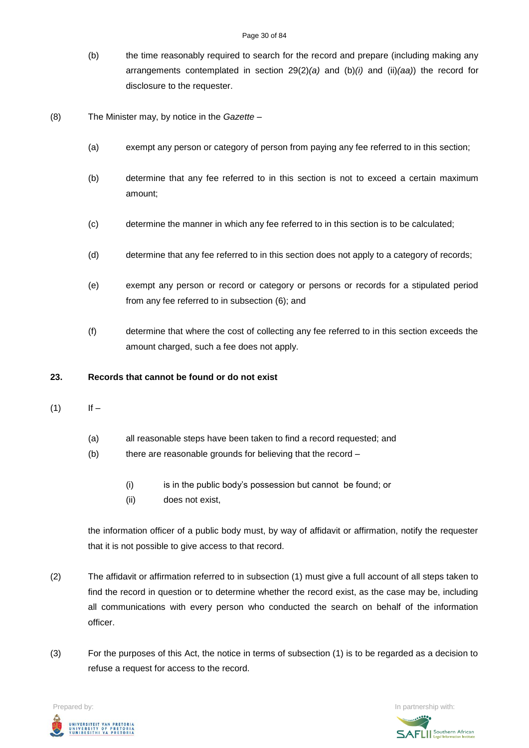#### Page 30 of 84

- (b) the time reasonably required to search for the record and prepare (including making any arrangements contemplated in section 29(2)*(a)* and (b)*(i)* and (ii)*(aa)*) the record for disclosure to the requester.
- (8) The Minister may, by notice in the *Gazette –*
	- (a) exempt any person or category of person from paying any fee referred to in this section;
	- (b) determine that any fee referred to in this section is not to exceed a certain maximum amount;
	- (c) determine the manner in which any fee referred to in this section is to be calculated;
	- (d) determine that any fee referred to in this section does not apply to a category of records;
	- (e) exempt any person or record or category or persons or records for a stipulated period from any fee referred to in subsection (6); and
	- (f) determine that where the cost of collecting any fee referred to in this section exceeds the amount charged, such a fee does not apply.

## **23. Records that cannot be found or do not exist**

- $(1)$  If
	- (a) all reasonable steps have been taken to find a record requested; and
	- (b) there are reasonable grounds for believing that the record
		- (i) is in the public body's possession but cannot be found; or
		- (ii) does not exist,

the information officer of a public body must, by way of affidavit or affirmation, notify the requester that it is not possible to give access to that record.

- (2) The affidavit or affirmation referred to in subsection (1) must give a full account of all steps taken to find the record in question or to determine whether the record exist, as the case may be, including all communications with every person who conducted the search on behalf of the information officer.
- (3) For the purposes of this Act, the notice in terms of subsection (1) is to be regarded as a decision to refuse a request for access to the record.

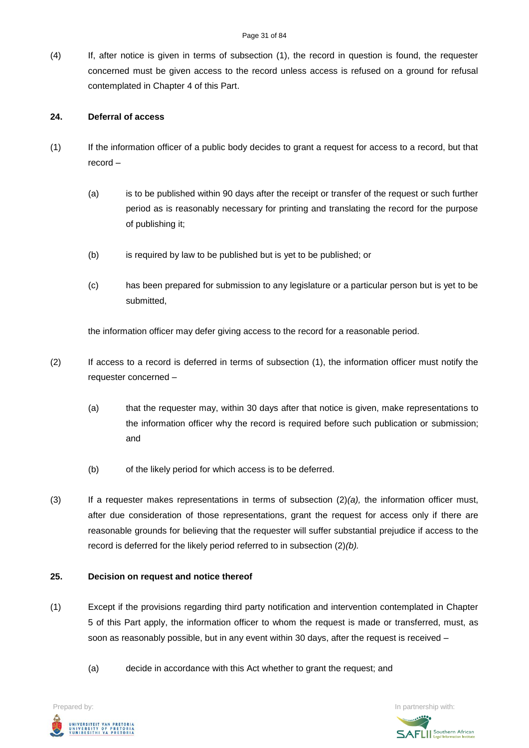(4) If, after notice is given in terms of subsection (1), the record in question is found, the requester concerned must be given access to the record unless access is refused on a ground for refusal contemplated in Chapter 4 of this Part.

# **24. Deferral of access**

- (1) If the information officer of a public body decides to grant a request for access to a record, but that record –
	- (a) is to be published within 90 days after the receipt or transfer of the request or such further period as is reasonably necessary for printing and translating the record for the purpose of publishing it;
	- (b) is required by law to be published but is yet to be published; or
	- (c) has been prepared for submission to any legislature or a particular person but is yet to be submitted,

the information officer may defer giving access to the record for a reasonable period.

- (2) If access to a record is deferred in terms of subsection (1), the information officer must notify the requester concerned –
	- (a) that the requester may, within 30 days after that notice is given, make representations to the information officer why the record is required before such publication or submission; and
	- (b) of the likely period for which access is to be deferred.
- (3) If a requester makes representations in terms of subsection (2)*(a),* the information officer must, after due consideration of those representations, grant the request for access only if there are reasonable grounds for believing that the requester will suffer substantial prejudice if access to the record is deferred for the likely period referred to in subsection (2)*(b).*

### **25. Decision on request and notice thereof**

- (1) Except if the provisions regarding third party notification and intervention contemplated in Chapter 5 of this Part apply, the information officer to whom the request is made or transferred, must, as soon as reasonably possible, but in any event within 30 days, after the request is received –
	- (a) decide in accordance with this Act whether to grant the request; and



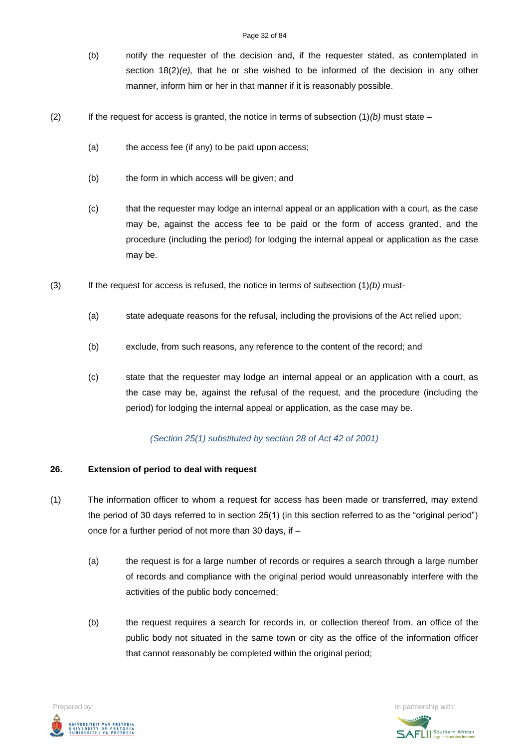- (b) notify the requester of the decision and, if the requester stated, as contemplated in section  $18(2)(e)$ , that he or she wished to be informed of the decision in any other manner, inform him or her in that manner if it is reasonably possible.
- (2) If the request for access is granted, the notice in terms of subsection  $(1)(b)$  must state
	- (a) the access fee (if any) to be paid upon access;
	- (b) the form in which access will be given; and
	- (c) that the requester may lodge an internal appeal or an application with a court, as the case may be, against the access fee to be paid or the form of access granted, and the procedure (including the period) for lodging the internal appeal or application as the case may be.
- (3) If the request for access is refused, the notice in terms of subsection (1)*(b)* must-
	- (a) state adequate reasons for the refusal, including the provisions of the Act relied upon;
	- (b) exclude, from such reasons, any reference to the content of the record; and
	- (c) state that the requester may lodge an internal appeal or an application with a court, as the case may be, against the refusal of the request, and the procedure (including the period) for lodging the internal appeal or application, as the case may be.

### *(Section 25(1) substituted by section 28 of Act 42 of 2001)*

### **26. Extension of period to deal with request**

- (1) The information officer to whom a request for access has been made or transferred, may extend the period of 30 days referred to in section 25(1) (in this section referred to as the "original period") once for a further period of not more than 30 days, if –
	- (a) the request is for a large number of records or requires a search through a large number of records and compliance with the original period would unreasonably interfere with the activities of the public body concerned;
	- (b) the request requires a search for records in, or collection thereof from, an office of the public body not situated in the same town or city as the office of the information officer that cannot reasonably be completed within the original period;

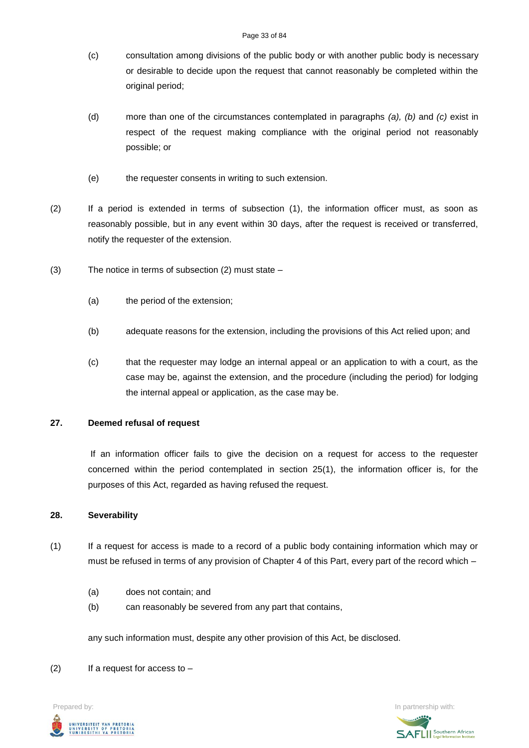- (c) consultation among divisions of the public body or with another public body is necessary or desirable to decide upon the request that cannot reasonably be completed within the original period;
- (d) more than one of the circumstances contemplated in paragraphs *(a), (b)* and *(c)* exist in respect of the request making compliance with the original period not reasonably possible; or
- (e) the requester consents in writing to such extension.
- (2) If a period is extended in terms of subsection (1), the information officer must, as soon as reasonably possible, but in any event within 30 days, after the request is received or transferred, notify the requester of the extension.
- (3) The notice in terms of subsection (2) must state
	- (a) the period of the extension;
	- (b) adequate reasons for the extension, including the provisions of this Act relied upon; and
	- (c) that the requester may lodge an internal appeal or an application to with a court, as the case may be, against the extension, and the procedure (including the period) for lodging the internal appeal or application, as the case may be.

## **27. Deemed refusal of request**

If an information officer fails to give the decision on a request for access to the requester concerned within the period contemplated in section 25(1), the information officer is, for the purposes of this Act, regarded as having refused the request.

### **28. Severability**

- (1) If a request for access is made to a record of a public body containing information which may or must be refused in terms of any provision of Chapter 4 of this Part, every part of the record which –
	- (a) does not contain; and
	- (b) can reasonably be severed from any part that contains,

any such information must, despite any other provision of this Act, be disclosed.

 $(2)$  If a request for access to –



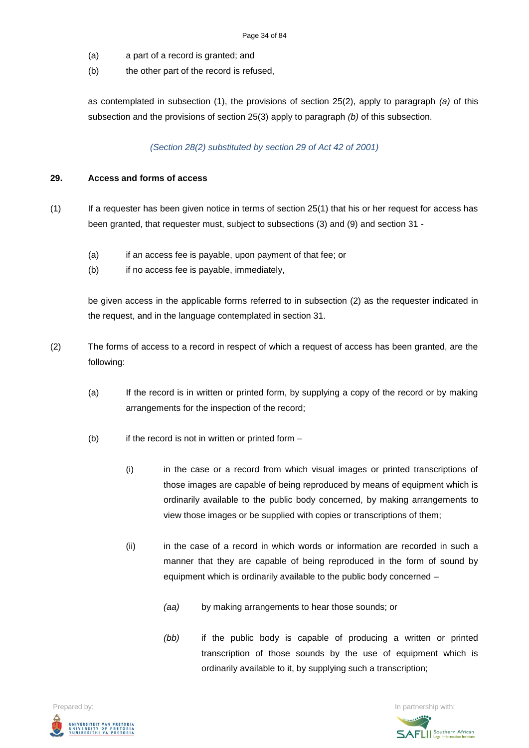- (a) a part of a record is granted; and
- (b) the other part of the record is refused,

as contemplated in subsection (1), the provisions of section 25(2), apply to paragraph *(a)* of this subsection and the provisions of section 25(3) apply to paragraph *(b)* of this subsection.

# *(Section 28(2) substituted by section 29 of Act 42 of 2001)*

## **29. Access and forms of access**

- (1) If a requester has been given notice in terms of section 25(1) that his or her request for access has been granted, that requester must, subject to subsections (3) and (9) and section 31 -
	- (a) if an access fee is payable, upon payment of that fee; or
	- (b) if no access fee is payable, immediately,

be given access in the applicable forms referred to in subsection (2) as the requester indicated in the request, and in the language contemplated in section 31.

- (2) The forms of access to a record in respect of which a request of access has been granted, are the following:
	- (a) If the record is in written or printed form, by supplying a copy of the record or by making arrangements for the inspection of the record;
	- $(b)$  if the record is not in written or printed form  $-$ 
		- (i) in the case or a record from which visual images or printed transcriptions of those images are capable of being reproduced by means of equipment which is ordinarily available to the public body concerned, by making arrangements to view those images or be supplied with copies or transcriptions of them;
		- (ii) in the case of a record in which words or information are recorded in such a manner that they are capable of being reproduced in the form of sound by equipment which is ordinarily available to the public body concerned –
			- *(aa)* by making arrangements to hear those sounds; or
			- *(bb)* if the public body is capable of producing a written or printed transcription of those sounds by the use of equipment which is ordinarily available to it, by supplying such a transcription;



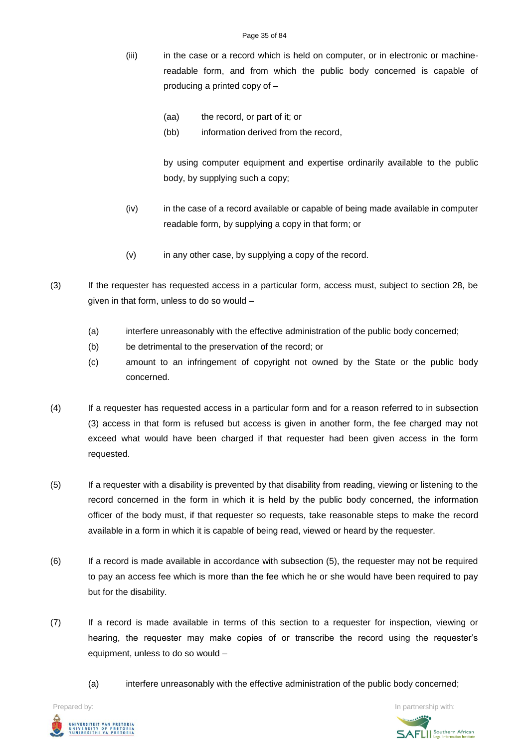#### Page 35 of 84

- (iii) in the case or a record which is held on computer, or in electronic or machinereadable form, and from which the public body concerned is capable of producing a printed copy of –
	- (aa) the record, or part of it; or
	- (bb) information derived from the record,

by using computer equipment and expertise ordinarily available to the public body, by supplying such a copy;

- (iv) in the case of a record available or capable of being made available in computer readable form, by supplying a copy in that form; or
- (v) in any other case, by supplying a copy of the record.
- (3) If the requester has requested access in a particular form, access must, subject to section 28, be given in that form, unless to do so would –
	- (a) interfere unreasonably with the effective administration of the public body concerned;
	- (b) be detrimental to the preservation of the record; or
	- (c) amount to an infringement of copyright not owned by the State or the public body concerned.
- (4) If a requester has requested access in a particular form and for a reason referred to in subsection (3) access in that form is refused but access is given in another form, the fee charged may not exceed what would have been charged if that requester had been given access in the form requested.
- (5) If a requester with a disability is prevented by that disability from reading, viewing or listening to the record concerned in the form in which it is held by the public body concerned, the information officer of the body must, if that requester so requests, take reasonable steps to make the record available in a form in which it is capable of being read, viewed or heard by the requester.
- (6) If a record is made available in accordance with subsection (5), the requester may not be required to pay an access fee which is more than the fee which he or she would have been required to pay but for the disability.
- (7) If a record is made available in terms of this section to a requester for inspection, viewing or hearing, the requester may make copies of or transcribe the record using the requester's equipment, unless to do so would –
	- (a) interfere unreasonably with the effective administration of the public body concerned;

UNIVERSITEIT VAN PRETORIA<br>UNIVERSITY OF PRETORIA<br>YUNIBESITHI YA PRETORIA

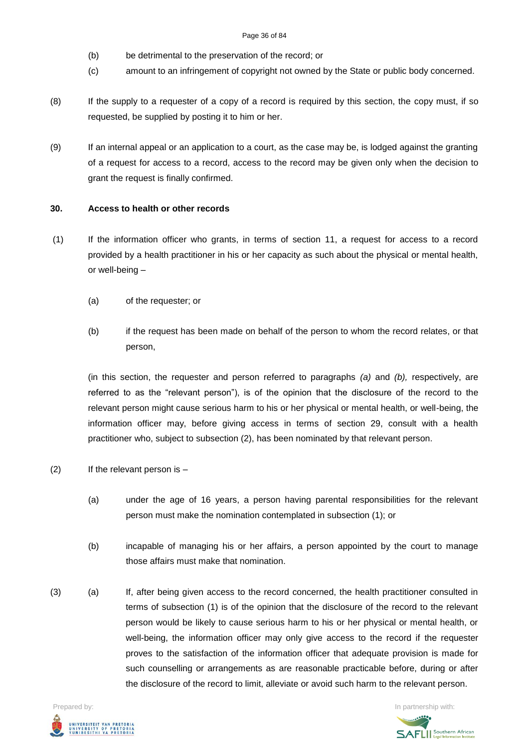- (b) be detrimental to the preservation of the record; or
- (c) amount to an infringement of copyright not owned by the State or public body concerned.
- (8) If the supply to a requester of a copy of a record is required by this section, the copy must, if so requested, be supplied by posting it to him or her.
- (9) If an internal appeal or an application to a court, as the case may be, is lodged against the granting of a request for access to a record, access to the record may be given only when the decision to grant the request is finally confirmed.

# **30. Access to health or other records**

- (1) If the information officer who grants, in terms of section 11, a request for access to a record provided by a health practitioner in his or her capacity as such about the physical or mental health, or well-being –
	- (a) of the requester; or
	- (b) if the request has been made on behalf of the person to whom the record relates, or that person,

(in this section, the requester and person referred to paragraphs *(a)* and *(b),* respectively, are referred to as the "relevant person"), is of the opinion that the disclosure of the record to the relevant person might cause serious harm to his or her physical or mental health, or well-being, the information officer may, before giving access in terms of section 29, consult with a health practitioner who, subject to subsection (2), has been nominated by that relevant person.

- (2) If the relevant person is
	- (a) under the age of 16 years, a person having parental responsibilities for the relevant person must make the nomination contemplated in subsection (1); or
	- (b) incapable of managing his or her affairs, a person appointed by the court to manage those affairs must make that nomination.
- (3) (a) If, after being given access to the record concerned, the health practitioner consulted in terms of subsection (1) is of the opinion that the disclosure of the record to the relevant person would be likely to cause serious harm to his or her physical or mental health, or well-being, the information officer may only give access to the record if the requester proves to the satisfaction of the information officer that adequate provision is made for such counselling or arrangements as are reasonable practicable before, during or after the disclosure of the record to limit, alleviate or avoid such harm to the relevant person.



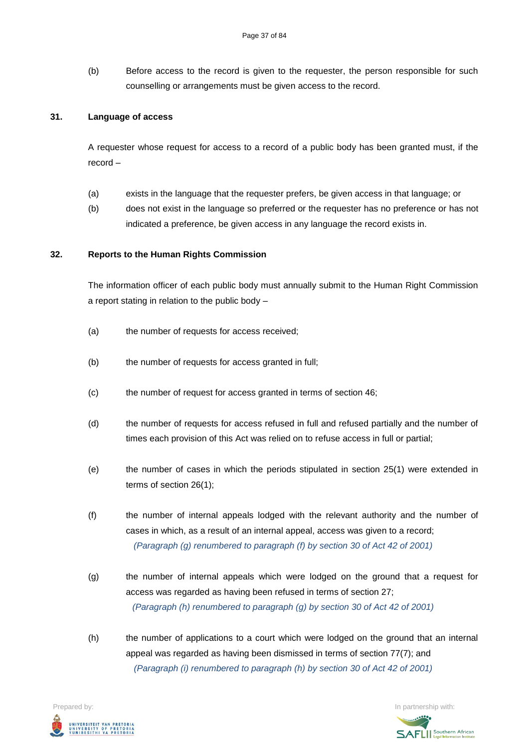(b) Before access to the record is given to the requester, the person responsible for such counselling or arrangements must be given access to the record.

#### **31. Language of access**

A requester whose request for access to a record of a public body has been granted must, if the record –

- (a) exists in the language that the requester prefers, be given access in that language; or
- (b) does not exist in the language so preferred or the requester has no preference or has not indicated a preference, be given access in any language the record exists in.

#### **32. Reports to the Human Rights Commission**

The information officer of each public body must annually submit to the Human Right Commission a report stating in relation to the public body –

- (a) the number of requests for access received;
- (b) the number of requests for access granted in full;
- (c) the number of request for access granted in terms of section 46;
- (d) the number of requests for access refused in full and refused partially and the number of times each provision of this Act was relied on to refuse access in full or partial;
- (e) the number of cases in which the periods stipulated in section 25(1) were extended in terms of section 26(1);
- (f) the number of internal appeals lodged with the relevant authority and the number of cases in which, as a result of an internal appeal, access was given to a record; *(Paragraph (g) renumbered to paragraph (f) by section 30 of Act 42 of 2001)*
- (g) the number of internal appeals which were lodged on the ground that a request for access was regarded as having been refused in terms of section 27: *(Paragraph (h) renumbered to paragraph (g) by section 30 of Act 42 of 2001)*
- (h) the number of applications to a court which were lodged on the ground that an internal appeal was regarded as having been dismissed in terms of section 77(7); and *(Paragraph (i) renumbered to paragraph (h) by section 30 of Act 42 of 2001)*

UNIVERSITEIT VAN PRETORIA<br>UNIVERSITY OF PRETORIA<br>YUNIBESITHI YA PRETORIA

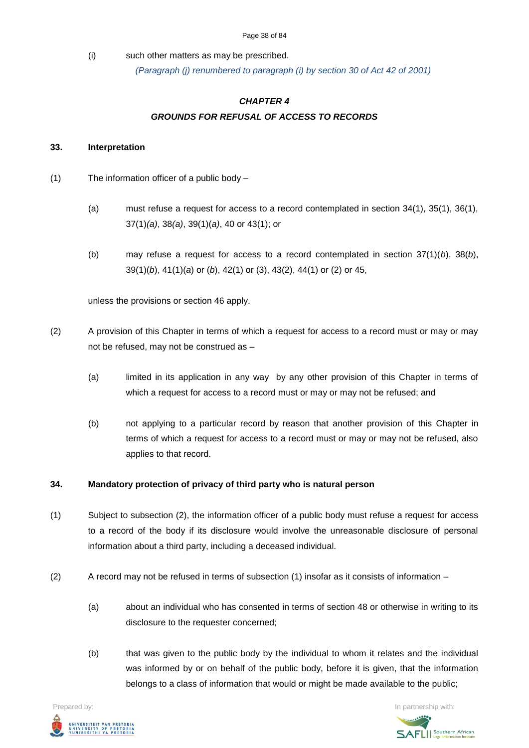#### Page 38 of 84

(i) such other matters as may be prescribed.

*(Paragraph (j) renumbered to paragraph (i) by section 30 of Act 42 of 2001)*

# *CHAPTER 4 GROUNDS FOR REFUSAL OF ACCESS TO RECORDS*

#### **33. Interpretation**

- (1) The information officer of a public body
	- (a) must refuse a request for access to a record contemplated in section 34(1), 35(1), 36(1), 37(1)*(a)*, 38*(a)*, 39(1)(*a)*, 40 or 43(1); or
	- (b) may refuse a request for access to a record contemplated in section 37(1)(*b*), 38(*b*), 39(1)(*b*), 41(1)(*a*) or (*b*), 42(1) or (3), 43(2), 44(1) or (2) or 45,

unless the provisions or section 46 apply.

- (2) A provision of this Chapter in terms of which a request for access to a record must or may or may not be refused, may not be construed as –
	- (a) limited in its application in any way by any other provision of this Chapter in terms of which a request for access to a record must or may or may not be refused; and
	- (b) not applying to a particular record by reason that another provision of this Chapter in terms of which a request for access to a record must or may or may not be refused, also applies to that record.

# **34. Mandatory protection of privacy of third party who is natural person**

- (1) Subject to subsection (2), the information officer of a public body must refuse a request for access to a record of the body if its disclosure would involve the unreasonable disclosure of personal information about a third party, including a deceased individual.
- (2) A record may not be refused in terms of subsection (1) insofar as it consists of information
	- (a) about an individual who has consented in terms of section 48 or otherwise in writing to its disclosure to the requester concerned;
	- (b) that was given to the public body by the individual to whom it relates and the individual was informed by or on behalf of the public body, before it is given, that the information belongs to a class of information that would or might be made available to the public;

**Prepared by:** In partnership with:  $\frac{1}{2}$  in partnership with:  $\frac{1}{2}$  in partnership with: .<br>Iniversiteit van Pretoria<br>Iniversity of Pretoria<br>Iunibesithi ya Pretoria

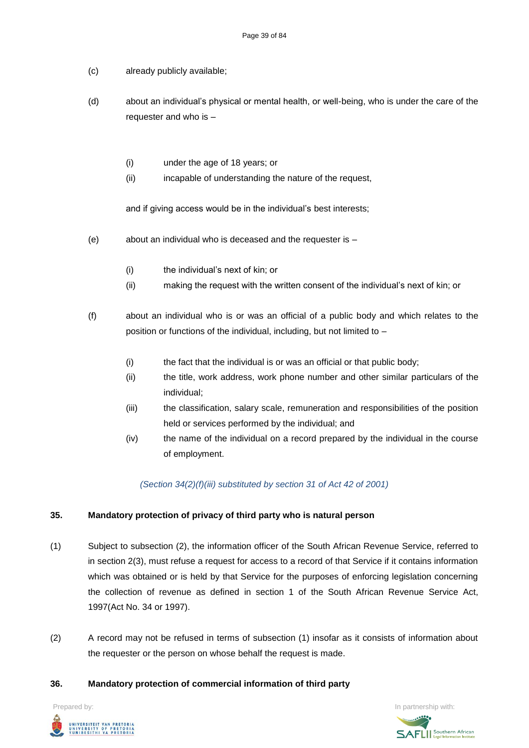- (c) already publicly available;
- (d) about an individual's physical or mental health, or well-being, who is under the care of the requester and who is –
	- (i) under the age of 18 years; or
	- (ii) incapable of understanding the nature of the request,

and if giving access would be in the individual's best interests;

- (e) about an individual who is deceased and the requester is
	- (i) the individual's next of kin; or
	- (ii) making the request with the written consent of the individual's next of kin; or

(f) about an individual who is or was an official of a public body and which relates to the position or functions of the individual, including, but not limited to –

- (i) the fact that the individual is or was an official or that public body;
- (ii) the title, work address, work phone number and other similar particulars of the individual;
- (iii) the classification, salary scale, remuneration and responsibilities of the position held or services performed by the individual; and
- (iv) the name of the individual on a record prepared by the individual in the course of employment.

*(Section 34(2)(f)(iii) substituted by section 31 of Act 42 of 2001)*

#### **35. Mandatory protection of privacy of third party who is natural person**

- (1) Subject to subsection (2), the information officer of the South African Revenue Service, referred to in section 2(3), must refuse a request for access to a record of that Service if it contains information which was obtained or is held by that Service for the purposes of enforcing legislation concerning the collection of revenue as defined in section 1 of the South African Revenue Service Act, 1997(Act No. 34 or 1997).
- (2) A record may not be refused in terms of subsection (1) insofar as it consists of information about the requester or the person on whose behalf the request is made.

#### **36. Mandatory protection of commercial information of third party**



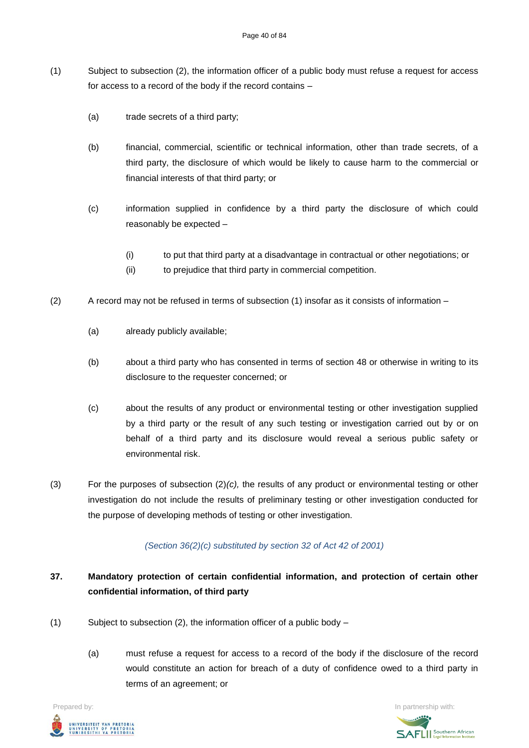- (1) Subject to subsection (2), the information officer of a public body must refuse a request for access for access to a record of the body if the record contains –
	- (a) trade secrets of a third party;
	- (b) financial, commercial, scientific or technical information, other than trade secrets, of a third party, the disclosure of which would be likely to cause harm to the commercial or financial interests of that third party; or
	- (c) information supplied in confidence by a third party the disclosure of which could reasonably be expected –
		- (i) to put that third party at a disadvantage in contractual or other negotiations; or
		- (ii) to prejudice that third party in commercial competition.
- (2) A record may not be refused in terms of subsection (1) insofar as it consists of information
	- (a) already publicly available;
	- (b) about a third party who has consented in terms of section 48 or otherwise in writing to its disclosure to the requester concerned; or
	- (c) about the results of any product or environmental testing or other investigation supplied by a third party or the result of any such testing or investigation carried out by or on behalf of a third party and its disclosure would reveal a serious public safety or environmental risk.
- (3) For the purposes of subsection (2)*(c),* the results of any product or environmental testing or other investigation do not include the results of preliminary testing or other investigation conducted for the purpose of developing methods of testing or other investigation.

# *(Section 36(2)(c) substituted by section 32 of Act 42 of 2001)*

# **37. Mandatory protection of certain confidential information, and protection of certain other confidential information, of third party**

- (1) Subject to subsection (2), the information officer of a public body  $-$ 
	- (a) must refuse a request for access to a record of the body if the disclosure of the record would constitute an action for breach of a duty of confidence owed to a third party in terms of an agreement; or

**Prepared by:** In partnership with:  $\frac{1}{2}$  in partnership with:  $\frac{1}{2}$  in partnership with: .<br>UNIVERSITEIT VAN PRETORIA<br>YUNIBESITHI YA PRETORIA

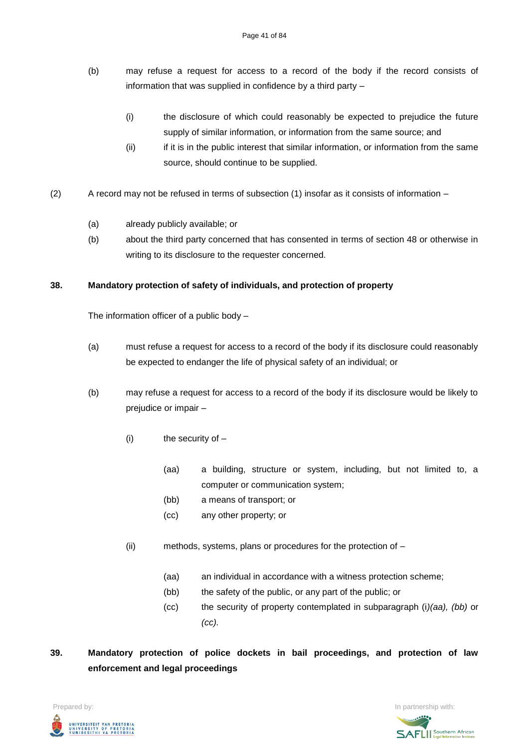- (b) may refuse a request for access to a record of the body if the record consists of information that was supplied in confidence by a third party –
	- (i) the disclosure of which could reasonably be expected to prejudice the future supply of similar information, or information from the same source; and
	- (ii) if it is in the public interest that similar information, or information from the same source, should continue to be supplied.
- (2) A record may not be refused in terms of subsection (1) insofar as it consists of information
	- (a) already publicly available; or
	- (b) about the third party concerned that has consented in terms of section 48 or otherwise in writing to its disclosure to the requester concerned.

# **38. Mandatory protection of safety of individuals, and protection of property**

The information officer of a public body –

- (a) must refuse a request for access to a record of the body if its disclosure could reasonably be expected to endanger the life of physical safety of an individual; or
- (b) may refuse a request for access to a record of the body if its disclosure would be likely to prejudice or impair –
	- $(i)$  the security of  $-$ 
		- (aa) a building, structure or system, including, but not limited to, a computer or communication system;
		- (bb) a means of transport; or
		- (cc) any other property; or
	- (ii) methods, systems, plans or procedures for the protection of
		- (aa) an individual in accordance with a witness protection scheme;
		- (bb) the safety of the public, or any part of the public; or
		- (cc) the security of property contemplated in subparagraph (i*)(aa), (bb)* or *(cc).*
- **39. Mandatory protection of police dockets in bail proceedings, and protection of law enforcement and legal proceedings**



**SAFLI** Southern African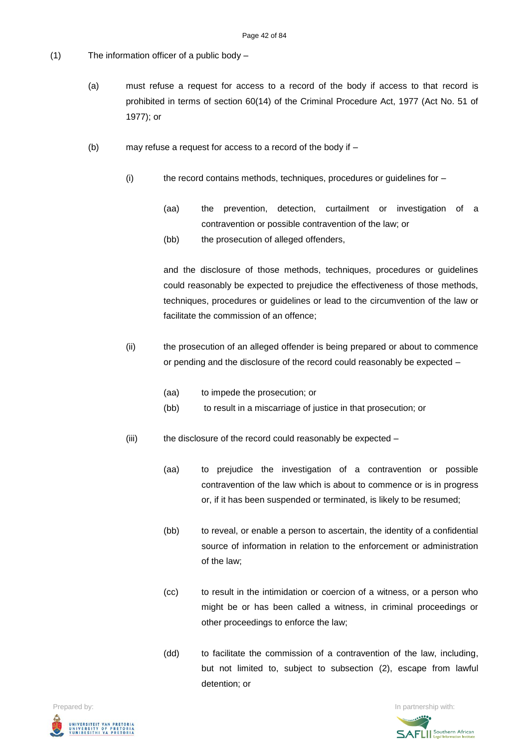- (1) The information officer of a public body
	- (a) must refuse a request for access to a record of the body if access to that record is prohibited in terms of section 60(14) of the Criminal Procedure Act, 1977 (Act No. 51 of 1977); or
	- (b) may refuse a request for access to a record of the body if
		- (i) the record contains methods, techniques, procedures or guidelines for
			- (aa) the prevention, detection, curtailment or investigation of a contravention or possible contravention of the law; or
			- (bb) the prosecution of alleged offenders,

and the disclosure of those methods, techniques, procedures or guidelines could reasonably be expected to prejudice the effectiveness of those methods, techniques, procedures or guidelines or lead to the circumvention of the law or facilitate the commission of an offence;

- (ii) the prosecution of an alleged offender is being prepared or about to commence or pending and the disclosure of the record could reasonably be expected –
	- (aa) to impede the prosecution; or
	- (bb) to result in a miscarriage of justice in that prosecution; or
- (iii) the disclosure of the record could reasonably be expected
	- (aa) to prejudice the investigation of a contravention or possible contravention of the law which is about to commence or is in progress or, if it has been suspended or terminated, is likely to be resumed;
	- (bb) to reveal, or enable a person to ascertain, the identity of a confidential source of information in relation to the enforcement or administration of the law;
	- (cc) to result in the intimidation or coercion of a witness, or a person who might be or has been called a witness, in criminal proceedings or other proceedings to enforce the law;
	- (dd) to facilitate the commission of a contravention of the law, including, but not limited to, subject to subsection (2), escape from lawful detention; or



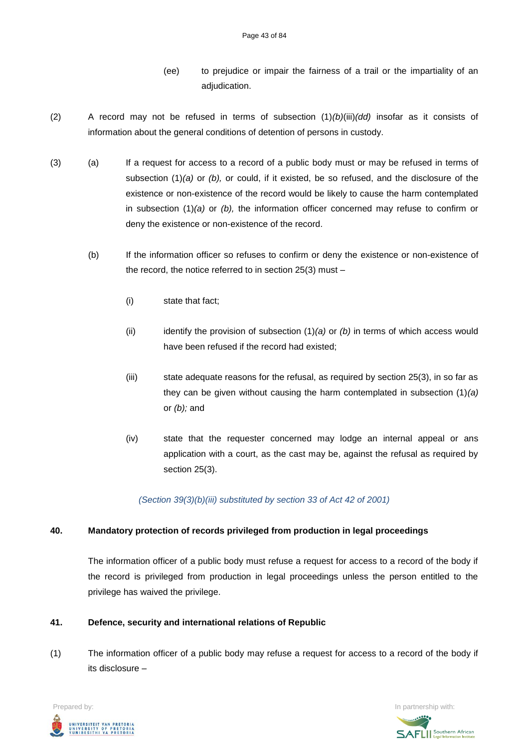- (ee) to prejudice or impair the fairness of a trail or the impartiality of an adjudication.
- (2) A record may not be refused in terms of subsection (1)*(b)*(iii)*(dd)* insofar as it consists of information about the general conditions of detention of persons in custody.
- (3) (a) If a request for access to a record of a public body must or may be refused in terms of subsection (1)*(a)* or *(b),* or could, if it existed, be so refused, and the disclosure of the existence or non-existence of the record would be likely to cause the harm contemplated in subsection (1)*(a)* or *(b),* the information officer concerned may refuse to confirm or deny the existence or non-existence of the record.
	- (b) If the information officer so refuses to confirm or deny the existence or non-existence of the record, the notice referred to in section 25(3) must –
		- (i) state that fact;
		- (ii) identify the provision of subsection (1)*(a)* or *(b)* in terms of which access would have been refused if the record had existed;
		- (iii) state adequate reasons for the refusal, as required by section 25(3), in so far as they can be given without causing the harm contemplated in subsection (1)*(a)*  or *(b);* and
		- (iv) state that the requester concerned may lodge an internal appeal or ans application with a court, as the cast may be, against the refusal as required by section 25(3).

*(Section 39(3)(b)(iii) substituted by section 33 of Act 42 of 2001)*

# **40. Mandatory protection of records privileged from production in legal proceedings**

The information officer of a public body must refuse a request for access to a record of the body if the record is privileged from production in legal proceedings unless the person entitled to the privilege has waived the privilege.

# **41. Defence, security and international relations of Republic**

(1) The information officer of a public body may refuse a request for access to a record of the body if its disclosure –



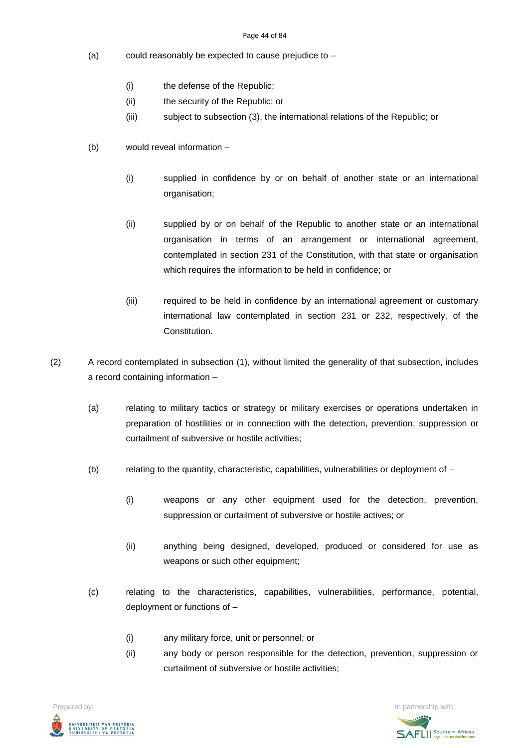#### Page 44 of 84

- (a) could reasonably be expected to cause prejudice to
	- (i) the defense of the Republic;
	- (ii) the security of the Republic; or
	- (iii) subject to subsection (3), the international relations of the Republic; or
- (b) would reveal information
	- (i) supplied in confidence by or on behalf of another state or an international organisation;
	- (ii) supplied by or on behalf of the Republic to another state or an international organisation in terms of an arrangement or international agreement, contemplated in section 231 of the Constitution, with that state or organisation which requires the information to be held in confidence; or
	- (iii) required to be held in confidence by an international agreement or customary international law contemplated in section 231 or 232, respectively, of the Constitution.
- (2) A record contemplated in subsection (1), without limited the generality of that subsection, includes a record containing information –
	- (a) relating to military tactics or strategy or military exercises or operations undertaken in preparation of hostilities or in connection with the detection, prevention, suppression or curtailment of subversive or hostile activities;
	- (b) relating to the quantity, characteristic, capabilities, vulnerabilities or deployment of
		- (i) weapons or any other equipment used for the detection, prevention, suppression or curtailment of subversive or hostile actives; or
		- (ii) anything being designed, developed, produced or considered for use as weapons or such other equipment:
	- (c) relating to the characteristics, capabilities, vulnerabilities, performance, potential, deployment or functions of –
		- (i) any military force, unit or personnel; or
		- (ii) any body or person responsible for the detection, prevention, suppression or curtailment of subversive or hostile activities;

UNIVERSITEIT VAN PRETORIA<br>UNIVERSITY OF PRETORIA<br>YUNIBESITHI YA PRETORIA

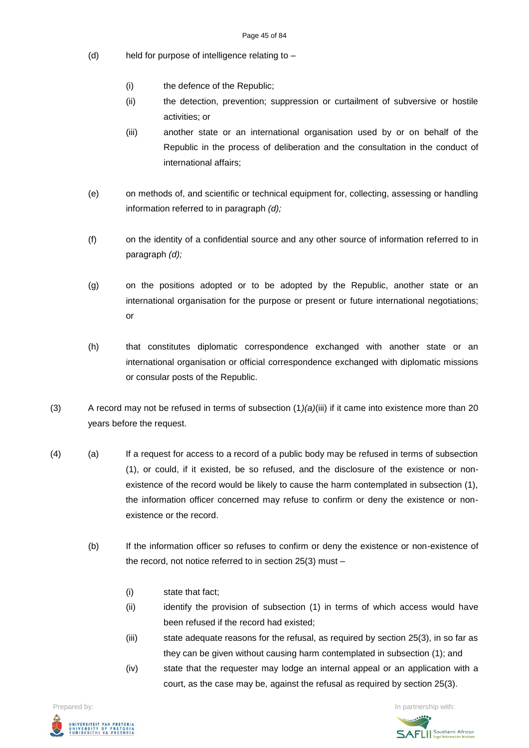- (d) held for purpose of intelligence relating to
	- (i) the defence of the Republic;
	- (ii) the detection, prevention; suppression or curtailment of subversive or hostile activities; or
	- (iii) another state or an international organisation used by or on behalf of the Republic in the process of deliberation and the consultation in the conduct of international affairs;
- (e) on methods of, and scientific or technical equipment for, collecting, assessing or handling information referred to in paragraph *(d);*
- (f) on the identity of a confidential source and any other source of information referred to in paragraph *(d);*
- (g) on the positions adopted or to be adopted by the Republic, another state or an international organisation for the purpose or present or future international negotiations; or
- (h) that constitutes diplomatic correspondence exchanged with another state or an international organisation or official correspondence exchanged with diplomatic missions or consular posts of the Republic.
- (3) A record may not be refused in terms of subsection (1*)(a)*(iii) if it came into existence more than 20 years before the request.
- (4) (a) If a request for access to a record of a public body may be refused in terms of subsection (1), or could, if it existed, be so refused, and the disclosure of the existence or nonexistence of the record would be likely to cause the harm contemplated in subsection (1), the information officer concerned may refuse to confirm or deny the existence or nonexistence or the record.
	- (b) If the information officer so refuses to confirm or deny the existence or non-existence of the record, not notice referred to in section 25(3) must –
		- (i) state that fact;
		- (ii) identify the provision of subsection (1) in terms of which access would have been refused if the record had existed;
		- (iii) state adequate reasons for the refusal, as required by section 25(3), in so far as they can be given without causing harm contemplated in subsection (1); and
		- (iv) state that the requester may lodge an internal appeal or an application with a court, as the case may be, against the refusal as required by section 25(3).

**Prepared by:** In partnership with:  $\frac{1}{2}$  in partnership with:  $\frac{1}{2}$  in partnership with: .<br>Iniversiteit van Pretori*i*<br>Iniversity of Pretori*i*<br>Iunibesithi ya Pretori*i* 

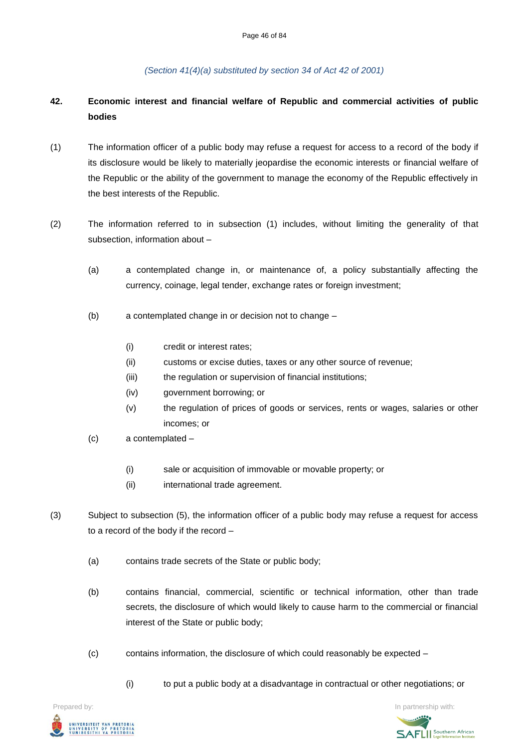*(Section 41(4)(a) substituted by section 34 of Act 42 of 2001)*

# **42. Economic interest and financial welfare of Republic and commercial activities of public bodies**

- (1) The information officer of a public body may refuse a request for access to a record of the body if its disclosure would be likely to materially jeopardise the economic interests or financial welfare of the Republic or the ability of the government to manage the economy of the Republic effectively in the best interests of the Republic.
- (2) The information referred to in subsection (1) includes, without limiting the generality of that subsection, information about –
	- (a) a contemplated change in, or maintenance of, a policy substantially affecting the currency, coinage, legal tender, exchange rates or foreign investment;
	- (b) a contemplated change in or decision not to change
		- (i) credit or interest rates;
		- (ii) customs or excise duties, taxes or any other source of revenue;
		- (iii) the regulation or supervision of financial institutions;
		- (iv) government borrowing; or
		- (v) the regulation of prices of goods or services, rents or wages, salaries or other incomes; or
	- (c) a contemplated
		- (i) sale or acquisition of immovable or movable property; or
		- (ii) international trade agreement.
- (3) Subject to subsection (5), the information officer of a public body may refuse a request for access to a record of the body if the record –
	- (a) contains trade secrets of the State or public body;
	- (b) contains financial, commercial, scientific or technical information, other than trade secrets, the disclosure of which would likely to cause harm to the commercial or financial interest of the State or public body;
	- (c) contains information, the disclosure of which could reasonably be expected
		- (i) to put a public body at a disadvantage in contractual or other negotiations; or



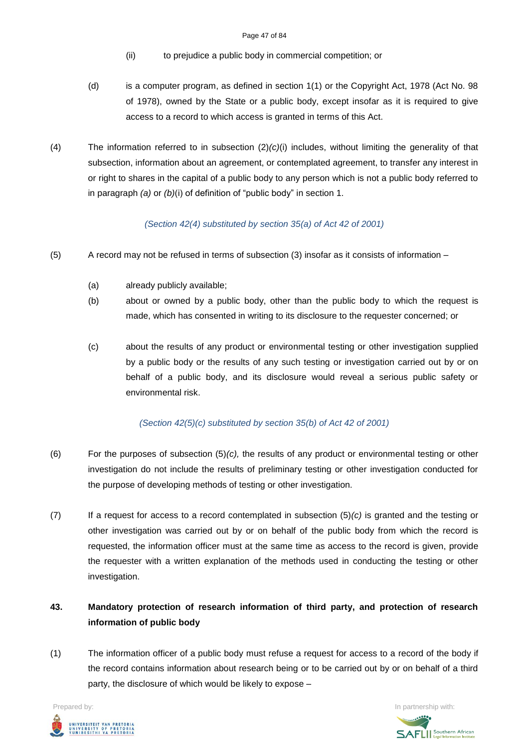- (ii) to prejudice a public body in commercial competition; or
- (d) is a computer program, as defined in section 1(1) or the Copyright Act, 1978 (Act No. 98 of 1978), owned by the State or a public body, except insofar as it is required to give access to a record to which access is granted in terms of this Act.
- (4) The information referred to in subsection (2)*(c)*(i) includes, without limiting the generality of that subsection, information about an agreement, or contemplated agreement, to transfer any interest in or right to shares in the capital of a public body to any person which is not a public body referred to in paragraph *(a)* or *(b)*(i) of definition of "public body" in section 1.

### *(Section 42(4) substituted by section 35(a) of Act 42 of 2001)*

- (5) A record may not be refused in terms of subsection (3) insofar as it consists of information
	- (a) already publicly available;
	- (b) about or owned by a public body, other than the public body to which the request is made, which has consented in writing to its disclosure to the requester concerned; or
	- (c) about the results of any product or environmental testing or other investigation supplied by a public body or the results of any such testing or investigation carried out by or on behalf of a public body, and its disclosure would reveal a serious public safety or environmental risk.

# *(Section 42(5)(c) substituted by section 35(b) of Act 42 of 2001)*

- (6) For the purposes of subsection (5)*(c),* the results of any product or environmental testing or other investigation do not include the results of preliminary testing or other investigation conducted for the purpose of developing methods of testing or other investigation.
- (7) If a request for access to a record contemplated in subsection (5)*(c)* is granted and the testing or other investigation was carried out by or on behalf of the public body from which the record is requested, the information officer must at the same time as access to the record is given, provide the requester with a written explanation of the methods used in conducting the testing or other investigation.

# **43. Mandatory protection of research information of third party, and protection of research information of public body**

(1) The information officer of a public body must refuse a request for access to a record of the body if the record contains information about research being or to be carried out by or on behalf of a third party, the disclosure of which would be likely to expose –

**Prepared by:** In partnership with:  $\frac{1}{2}$  in partnership with:  $\frac{1}{2}$  in partnership with: UNIVERSITEIT VAN PRETORIA<br>UNIVERSITY OF PRETORIA<br>YUNIBESITHI YA PRETORIA

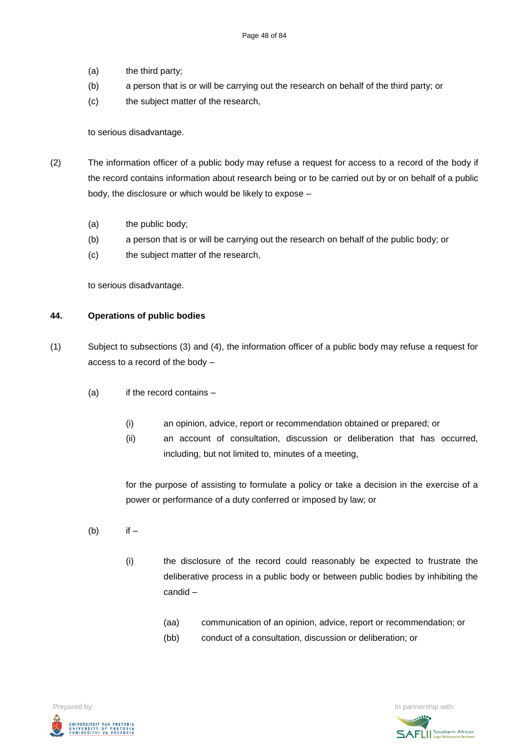- (a) the third party;
- (b) a person that is or will be carrying out the research on behalf of the third party; or
- (c) the subject matter of the research,

#### to serious disadvantage.

- (2) The information officer of a public body may refuse a request for access to a record of the body if the record contains information about research being or to be carried out by or on behalf of a public body, the disclosure or which would be likely to expose –
	- (a) the public body;
	- (b) a person that is or will be carrying out the research on behalf of the public body; or
	- (c) the subject matter of the research,

to serious disadvantage.

#### **44. Operations of public bodies**

- (1) Subject to subsections (3) and (4), the information officer of a public body may refuse a request for access to a record of the body –
	- $(a)$  if the record contains
		- (i) an opinion, advice, report or recommendation obtained or prepared; or
		- (ii) an account of consultation, discussion or deliberation that has occurred, including, but not limited to, minutes of a meeting,

for the purpose of assisting to formulate a policy or take a decision in the exercise of a power or performance of a duty conferred or imposed by law; or

- $(b)$  if  $-$ 
	- (i) the disclosure of the record could reasonably be expected to frustrate the deliberative process in a public body or between public bodies by inhibiting the candid –
		- (aa) communication of an opinion, advice, report or recommendation; or
		- (bb) conduct of a consultation, discussion or deliberation; or



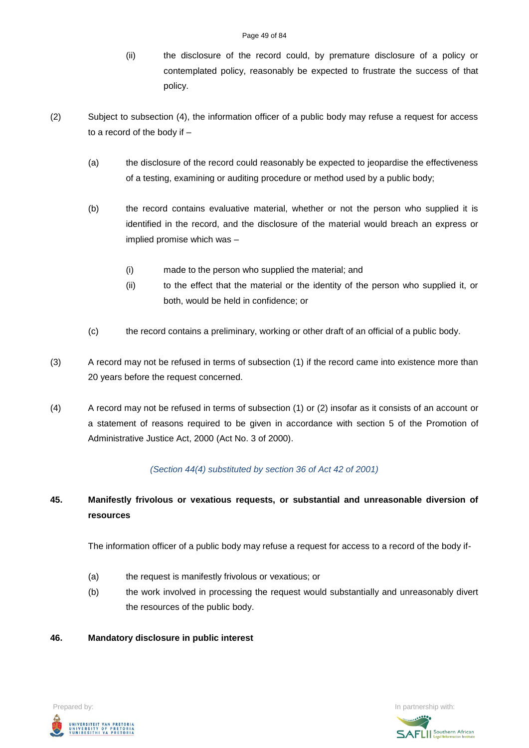- (ii) the disclosure of the record could, by premature disclosure of a policy or contemplated policy, reasonably be expected to frustrate the success of that policy.
- (2) Subject to subsection (4), the information officer of a public body may refuse a request for access to a record of the body if –
	- (a) the disclosure of the record could reasonably be expected to jeopardise the effectiveness of a testing, examining or auditing procedure or method used by a public body;
	- (b) the record contains evaluative material, whether or not the person who supplied it is identified in the record, and the disclosure of the material would breach an express or implied promise which was –
		- (i) made to the person who supplied the material; and
		- (ii) to the effect that the material or the identity of the person who supplied it, or both, would be held in confidence; or
	- (c) the record contains a preliminary, working or other draft of an official of a public body.
- (3) A record may not be refused in terms of subsection (1) if the record came into existence more than 20 years before the request concerned.
- (4) A record may not be refused in terms of subsection (1) or (2) insofar as it consists of an account or a statement of reasons required to be given in accordance with section 5 of the Promotion of Administrative Justice Act, 2000 (Act No. 3 of 2000).

# *(Section 44(4) substituted by section 36 of Act 42 of 2001)*

# **45. Manifestly frivolous or vexatious requests, or substantial and unreasonable diversion of resources**

The information officer of a public body may refuse a request for access to a record of the body if-

- (a) the request is manifestly frivolous or vexatious; or
- (b) the work involved in processing the request would substantially and unreasonably divert the resources of the public body.

# **46. Mandatory disclosure in public interest**



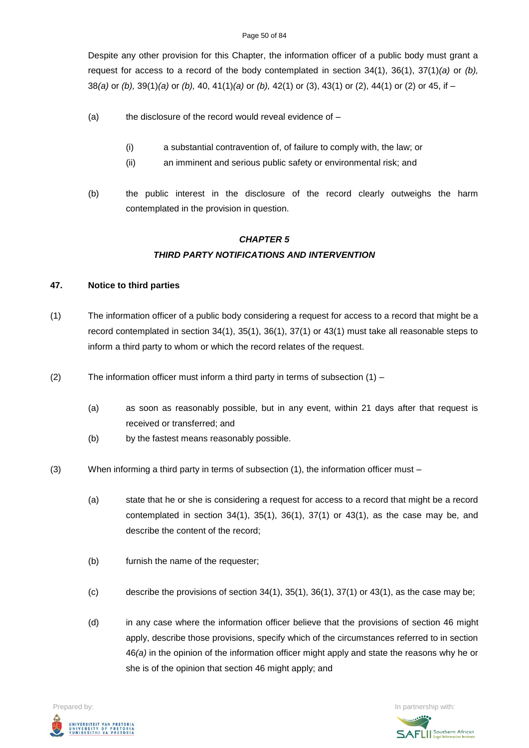Despite any other provision for this Chapter, the information officer of a public body must grant a request for access to a record of the body contemplated in section 34(1), 36(1), 37(1)*(a)* or *(b),* 38*(a)* or *(b),* 39(1)*(a)* or *(b),* 40, 41(1)*(a)* or *(b),* 42(1) or (3), 43(1) or (2), 44(1) or (2) or 45, if –

- (a) the disclosure of the record would reveal evidence of  $-$ 
	- (i) a substantial contravention of, of failure to comply with, the law; or
	- (ii) an imminent and serious public safety or environmental risk; and
- (b) the public interest in the disclosure of the record clearly outweighs the harm contemplated in the provision in question.

# *CHAPTER 5 THIRD PARTY NOTIFICATIONS AND INTERVENTION*

# **47. Notice to third parties**

- (1) The information officer of a public body considering a request for access to a record that might be a record contemplated in section 34(1), 35(1), 36(1), 37(1) or 43(1) must take all reasonable steps to inform a third party to whom or which the record relates of the request.
- (2) The information officer must inform a third party in terms of subsection  $(1)$ 
	- (a) as soon as reasonably possible, but in any event, within 21 days after that request is received or transferred; and
	- (b) by the fastest means reasonably possible.
- (3) When informing a third party in terms of subsection (1), the information officer must
	- (a) state that he or she is considering a request for access to a record that might be a record contemplated in section  $34(1)$ ,  $35(1)$ ,  $36(1)$ ,  $37(1)$  or  $43(1)$ , as the case may be, and describe the content of the record;
	- (b) furnish the name of the requester;
	- (c) describe the provisions of section  $34(1)$ ,  $35(1)$ ,  $36(1)$ ,  $37(1)$  or  $43(1)$ , as the case may be;
	- (d) in any case where the information officer believe that the provisions of section 46 might apply, describe those provisions, specify which of the circumstances referred to in section 46*(a)* in the opinion of the information officer might apply and state the reasons why he or she is of the opinion that section 46 might apply; and



**SAFLI** Southern African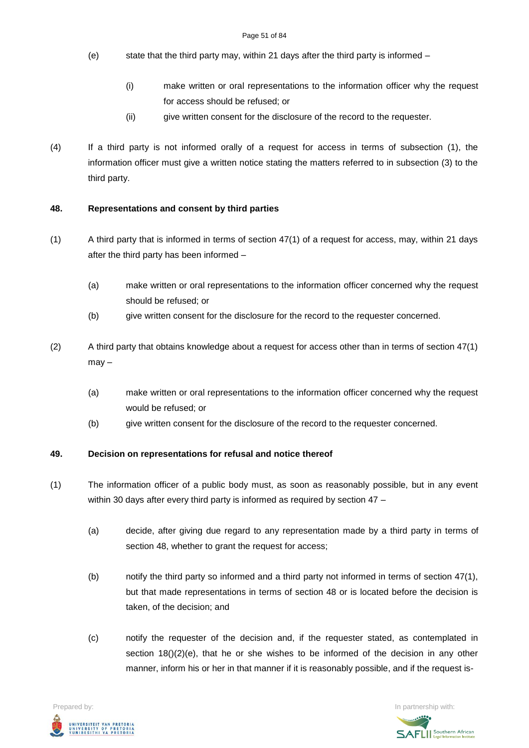- (e) state that the third party may, within 21 days after the third party is informed
	- (i) make written or oral representations to the information officer why the request for access should be refused; or
	- (ii) give written consent for the disclosure of the record to the requester.
- (4) If a third party is not informed orally of a request for access in terms of subsection (1), the information officer must give a written notice stating the matters referred to in subsection (3) to the third party.

### **48. Representations and consent by third parties**

- (1) A third party that is informed in terms of section 47(1) of a request for access, may, within 21 days after the third party has been informed –
	- (a) make written or oral representations to the information officer concerned why the request should be refused; or
	- (b) give written consent for the disclosure for the record to the requester concerned.
- (2) A third party that obtains knowledge about a request for access other than in terms of section 47(1) may –
	- (a) make written or oral representations to the information officer concerned why the request would be refused; or
	- (b) give written consent for the disclosure of the record to the requester concerned.

#### **49. Decision on representations for refusal and notice thereof**

- (1) The information officer of a public body must, as soon as reasonably possible, but in any event within 30 days after every third party is informed as required by section 47 -
	- (a) decide, after giving due regard to any representation made by a third party in terms of section 48, whether to grant the request for access;
	- (b) notify the third party so informed and a third party not informed in terms of section 47(1), but that made representations in terms of section 48 or is located before the decision is taken, of the decision; and
	- (c) notify the requester of the decision and, if the requester stated, as contemplated in section  $18() (2) (e)$ , that he or she wishes to be informed of the decision in any other manner, inform his or her in that manner if it is reasonably possible, and if the request is-



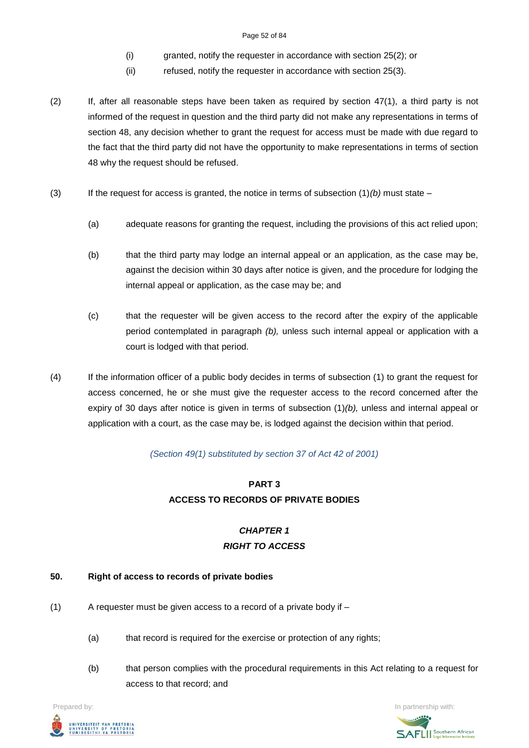#### Page 52 of 84

- (i) granted, notify the requester in accordance with section 25(2); or
- (ii) refused, notify the requester in accordance with section 25(3).
- (2) If, after all reasonable steps have been taken as required by section 47(1), a third party is not informed of the request in question and the third party did not make any representations in terms of section 48, any decision whether to grant the request for access must be made with due regard to the fact that the third party did not have the opportunity to make representations in terms of section 48 why the request should be refused.
- (3) If the request for access is granted, the notice in terms of subsection  $(1)(b)$  must state
	- (a) adequate reasons for granting the request, including the provisions of this act relied upon;
	- (b) that the third party may lodge an internal appeal or an application, as the case may be, against the decision within 30 days after notice is given, and the procedure for lodging the internal appeal or application, as the case may be; and
	- (c) that the requester will be given access to the record after the expiry of the applicable period contemplated in paragraph *(b),* unless such internal appeal or application with a court is lodged with that period.
- (4) If the information officer of a public body decides in terms of subsection (1) to grant the request for access concerned, he or she must give the requester access to the record concerned after the expiry of 30 days after notice is given in terms of subsection (1)*(b),* unless and internal appeal or application with a court, as the case may be, is lodged against the decision within that period.

#### *(Section 49(1) substituted by section 37 of Act 42 of 2001)*

# **PART 3 ACCESS TO RECORDS OF PRIVATE BODIES**

# *CHAPTER 1 RIGHT TO ACCESS*

#### **50. Right of access to records of private bodies**

- $(1)$  A requester must be given access to a record of a private body if
	- (a) that record is required for the exercise or protection of any rights;
	- (b) that person complies with the procedural requirements in this Act relating to a request for access to that record; and



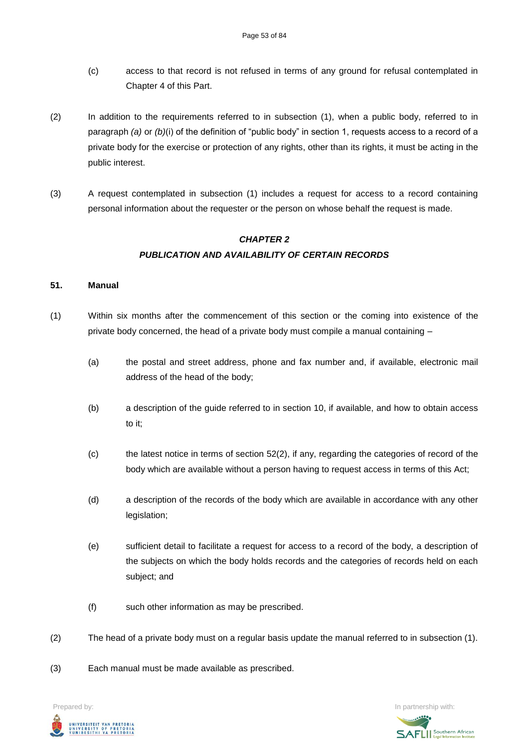- (c) access to that record is not refused in terms of any ground for refusal contemplated in Chapter 4 of this Part.
- (2) In addition to the requirements referred to in subsection (1), when a public body, referred to in paragraph *(a)* or *(b)*(i) of the definition of "public body" in section 1, requests access to a record of a private body for the exercise or protection of any rights, other than its rights, it must be acting in the public interest.
- (3) A request contemplated in subsection (1) includes a request for access to a record containing personal information about the requester or the person on whose behalf the request is made.

# *CHAPTER 2 PUBLICATION AND AVAILABILITY OF CERTAIN RECORDS*

#### **51. Manual**

- (1) Within six months after the commencement of this section or the coming into existence of the private body concerned, the head of a private body must compile a manual containing –
	- (a) the postal and street address, phone and fax number and, if available, electronic mail address of the head of the body;
	- (b) a description of the guide referred to in section 10, if available, and how to obtain access to it;
	- (c) the latest notice in terms of section 52(2), if any, regarding the categories of record of the body which are available without a person having to request access in terms of this Act;
	- (d) a description of the records of the body which are available in accordance with any other legislation;
	- (e) sufficient detail to facilitate a request for access to a record of the body, a description of the subjects on which the body holds records and the categories of records held on each subject; and
	- (f) such other information as may be prescribed.
- (2) The head of a private body must on a regular basis update the manual referred to in subsection (1).
- (3) Each manual must be made available as prescribed.

**Prepared by:** In partnership with:  $\frac{1}{2}$  in partnership with:  $\frac{1}{2}$  in partnership with: UNIVERSITEIT VAN PRETORIA<br>UNIVERSITY OF PRETORIA<br>YUNIBESITHI YA PRETORIA

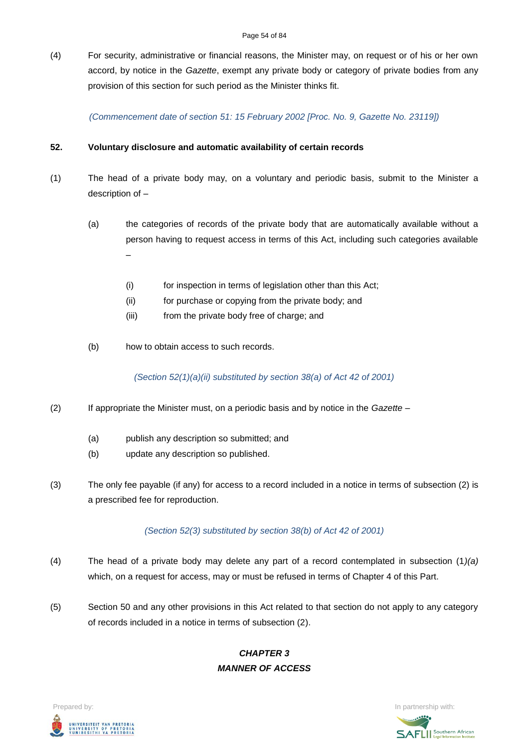(4) For security, administrative or financial reasons, the Minister may, on request or of his or her own accord, by notice in the *Gazette*, exempt any private body or category of private bodies from any provision of this section for such period as the Minister thinks fit.

*(Commencement date of section 51: 15 February 2002 [Proc. No. 9, Gazette No. 23119])*

#### **52. Voluntary disclosure and automatic availability of certain records**

- (1) The head of a private body may, on a voluntary and periodic basis, submit to the Minister a description of –
	- (a) the categories of records of the private body that are automatically available without a person having to request access in terms of this Act, including such categories available –
		- (i) for inspection in terms of legislation other than this Act;
		- (ii) for purchase or copying from the private body; and
		- (iii) from the private body free of charge; and
	- (b) how to obtain access to such records.

*(Section 52(1)(a)(ii) substituted by section 38(a) of Act 42 of 2001)*

- (2) If appropriate the Minister must, on a periodic basis and by notice in the *Gazette*
	- (a) publish any description so submitted; and
	- (b) update any description so published.
- (3) The only fee payable (if any) for access to a record included in a notice in terms of subsection (2) is a prescribed fee for reproduction.

*(Section 52(3) substituted by section 38(b) of Act 42 of 2001)*

- (4) The head of a private body may delete any part of a record contemplated in subsection (1*)(a)* which, on a request for access, may or must be refused in terms of Chapter 4 of this Part.
- (5) Section 50 and any other provisions in this Act related to that section do not apply to any category of records included in a notice in terms of subsection (2).

# *CHAPTER 3 MANNER OF ACCESS*



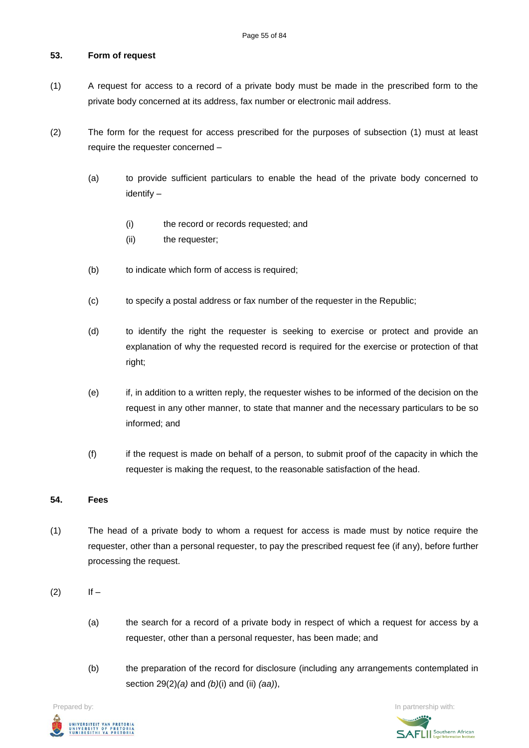### **53. Form of request**

- (1) A request for access to a record of a private body must be made in the prescribed form to the private body concerned at its address, fax number or electronic mail address.
- (2) The form for the request for access prescribed for the purposes of subsection (1) must at least require the requester concerned –
	- (a) to provide sufficient particulars to enable the head of the private body concerned to identify –
		- (i) the record or records requested; and
		- (ii) the requester;
	- (b) to indicate which form of access is required;
	- (c) to specify a postal address or fax number of the requester in the Republic;
	- (d) to identify the right the requester is seeking to exercise or protect and provide an explanation of why the requested record is required for the exercise or protection of that right;
	- (e) if, in addition to a written reply, the requester wishes to be informed of the decision on the request in any other manner, to state that manner and the necessary particulars to be so informed; and
	- (f) if the request is made on behalf of a person, to submit proof of the capacity in which the requester is making the request, to the reasonable satisfaction of the head.

### **54. Fees**

- (1) The head of a private body to whom a request for access is made must by notice require the requester, other than a personal requester, to pay the prescribed request fee (if any), before further processing the request.
- $(2)$  If
	- (a) the search for a record of a private body in respect of which a request for access by a requester, other than a personal requester, has been made; and
	- (b) the preparation of the record for disclosure (including any arrangements contemplated in section 29(2)*(a)* and *(b)*(i) and (ii) *(aa)*),

**Prepared by:** In partnership with:  $\frac{1}{2}$  in partnership with:  $\frac{1}{2}$  in partnership with: UNIVERSITEIT VAN PRETORIA<br>UNIVERSITY OF PRETORIA<br>YUNIBESITHI YA PRETORIA

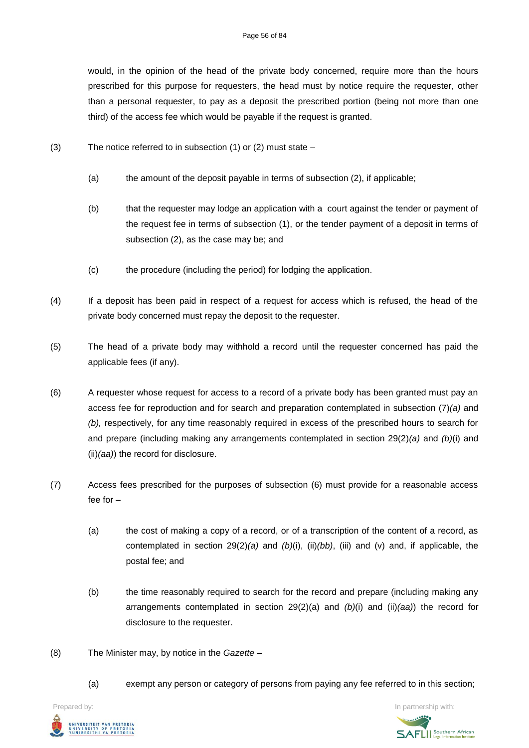would, in the opinion of the head of the private body concerned, require more than the hours prescribed for this purpose for requesters, the head must by notice require the requester, other than a personal requester, to pay as a deposit the prescribed portion (being not more than one third) of the access fee which would be payable if the request is granted.

- (3) The notice referred to in subsection (1) or (2) must state
	- (a) the amount of the deposit payable in terms of subsection (2), if applicable;
	- (b) that the requester may lodge an application with a court against the tender or payment of the request fee in terms of subsection (1), or the tender payment of a deposit in terms of subsection (2), as the case may be; and
	- (c) the procedure (including the period) for lodging the application.
- (4) If a deposit has been paid in respect of a request for access which is refused, the head of the private body concerned must repay the deposit to the requester.
- (5) The head of a private body may withhold a record until the requester concerned has paid the applicable fees (if any).
- (6) A requester whose request for access to a record of a private body has been granted must pay an access fee for reproduction and for search and preparation contemplated in subsection (7)*(a)* and *(b),* respectively, for any time reasonably required in excess of the prescribed hours to search for and prepare (including making any arrangements contemplated in section 29(2)*(a)* and *(b)*(i) and (ii)*(aa)*) the record for disclosure.
- (7) Access fees prescribed for the purposes of subsection (6) must provide for a reasonable access fee for –
	- (a) the cost of making a copy of a record, or of a transcription of the content of a record, as contemplated in section 29(2)*(a)* and *(b)*(i), (ii)*(bb)*, (iii) and (v) and, if applicable, the postal fee; and
	- (b) the time reasonably required to search for the record and prepare (including making any arrangements contemplated in section 29(2)(a) and *(b)*(i) and (ii)*(aa)*) the record for disclosure to the requester.
- (8) The Minister may, by notice in the *Gazette*
	- (a) exempt any person or category of persons from paying any fee referred to in this section;

UNIVERSITEIT VAN PRETORIA<br>UNIVERSITY OF PRETORIA<br>YUNIBESITHI YA PRETORIA

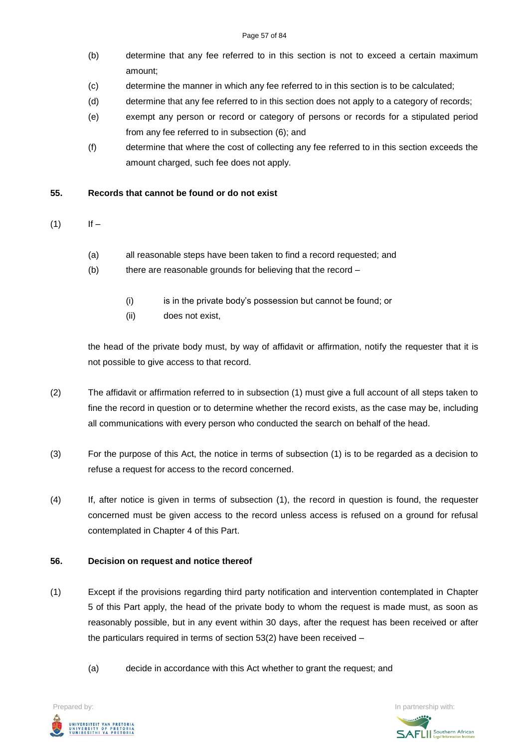- (b) determine that any fee referred to in this section is not to exceed a certain maximum amount;
- (c) determine the manner in which any fee referred to in this section is to be calculated;
- (d) determine that any fee referred to in this section does not apply to a category of records;
- (e) exempt any person or record or category of persons or records for a stipulated period from any fee referred to in subsection (6); and
- (f) determine that where the cost of collecting any fee referred to in this section exceeds the amount charged, such fee does not apply.

### **55. Records that cannot be found or do not exist**

- $(1)$  If
	- (a) all reasonable steps have been taken to find a record requested; and
	- (b) there are reasonable grounds for believing that the record
		- (i) is in the private body's possession but cannot be found; or
		- (ii) does not exist,

the head of the private body must, by way of affidavit or affirmation, notify the requester that it is not possible to give access to that record.

- (2) The affidavit or affirmation referred to in subsection (1) must give a full account of all steps taken to fine the record in question or to determine whether the record exists, as the case may be, including all communications with every person who conducted the search on behalf of the head.
- (3) For the purpose of this Act, the notice in terms of subsection (1) is to be regarded as a decision to refuse a request for access to the record concerned.
- (4) If, after notice is given in terms of subsection (1), the record in question is found, the requester concerned must be given access to the record unless access is refused on a ground for refusal contemplated in Chapter 4 of this Part.

#### **56. Decision on request and notice thereof**

- (1) Except if the provisions regarding third party notification and intervention contemplated in Chapter 5 of this Part apply, the head of the private body to whom the request is made must, as soon as reasonably possible, but in any event within 30 days, after the request has been received or after the particulars required in terms of section 53(2) have been received –
	- (a) decide in accordance with this Act whether to grant the request; and



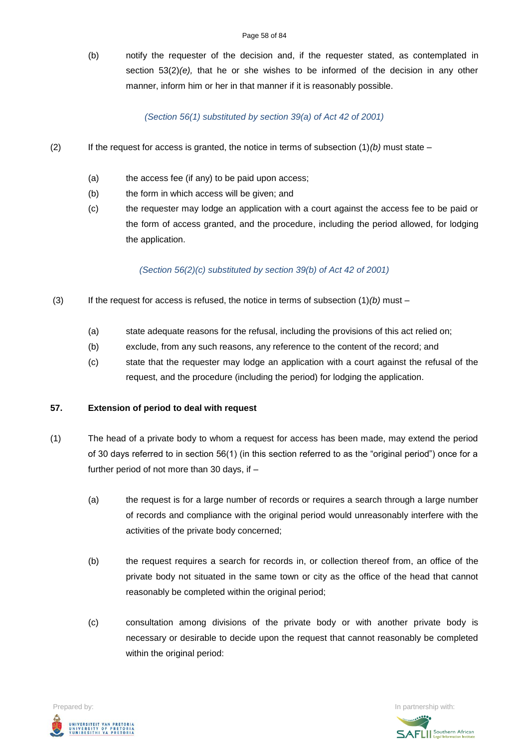(b) notify the requester of the decision and, if the requester stated, as contemplated in section  $53(2)(e)$ , that he or she wishes to be informed of the decision in any other manner, inform him or her in that manner if it is reasonably possible.

#### *(Section 56(1) substituted by section 39(a) of Act 42 of 2001)*

- (2) If the request for access is granted, the notice in terms of subsection  $(1)(b)$  must state
	- (a) the access fee (if any) to be paid upon access;
	- (b) the form in which access will be given; and
	- (c) the requester may lodge an application with a court against the access fee to be paid or the form of access granted, and the procedure, including the period allowed, for lodging the application.

*(Section 56(2)(c) substituted by section 39(b) of Act 42 of 2001)*

- (3) If the request for access is refused, the notice in terms of subsection (1)*(b)* must
	- (a) state adequate reasons for the refusal, including the provisions of this act relied on;
	- (b) exclude, from any such reasons, any reference to the content of the record; and
	- (c) state that the requester may lodge an application with a court against the refusal of the request, and the procedure (including the period) for lodging the application.

#### **57. Extension of period to deal with request**

- (1) The head of a private body to whom a request for access has been made, may extend the period of 30 days referred to in section 56(1) (in this section referred to as the "original period") once for a further period of not more than 30 days, if –
	- (a) the request is for a large number of records or requires a search through a large number of records and compliance with the original period would unreasonably interfere with the activities of the private body concerned;
	- (b) the request requires a search for records in, or collection thereof from, an office of the private body not situated in the same town or city as the office of the head that cannot reasonably be completed within the original period;
	- (c) consultation among divisions of the private body or with another private body is necessary or desirable to decide upon the request that cannot reasonably be completed within the original period:



**SAFLI** Southern African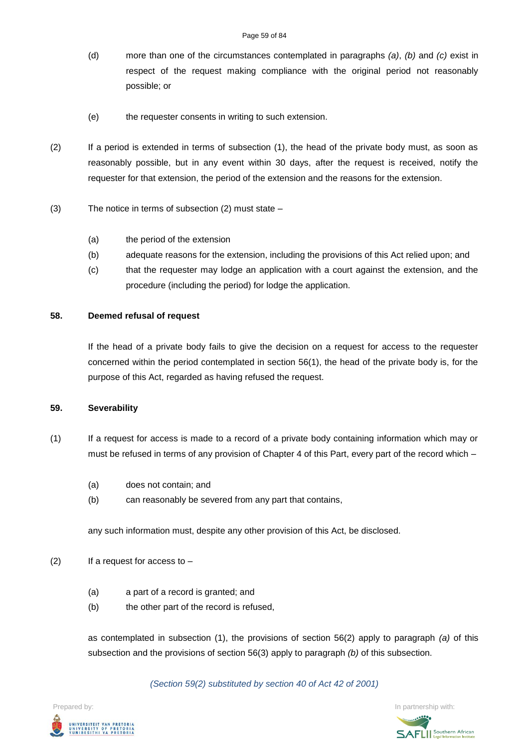- (d) more than one of the circumstances contemplated in paragraphs *(a)*, *(b)* and *(c)* exist in respect of the request making compliance with the original period not reasonably possible; or
- (e) the requester consents in writing to such extension.
- (2) If a period is extended in terms of subsection (1), the head of the private body must, as soon as reasonably possible, but in any event within 30 days, after the request is received, notify the requester for that extension, the period of the extension and the reasons for the extension.
- (3) The notice in terms of subsection (2) must state
	- (a) the period of the extension
	- (b) adequate reasons for the extension, including the provisions of this Act relied upon; and
	- (c) that the requester may lodge an application with a court against the extension, and the procedure (including the period) for lodge the application.

#### **58. Deemed refusal of request**

If the head of a private body fails to give the decision on a request for access to the requester concerned within the period contemplated in section 56(1), the head of the private body is, for the purpose of this Act, regarded as having refused the request.

#### **59. Severability**

- (1) If a request for access is made to a record of a private body containing information which may or must be refused in terms of any provision of Chapter 4 of this Part, every part of the record which –
	- (a) does not contain; and
	- (b) can reasonably be severed from any part that contains,

any such information must, despite any other provision of this Act, be disclosed.

- $(2)$  If a request for access to
	- (a) a part of a record is granted; and
	- (b) the other part of the record is refused,

as contemplated in subsection (1), the provisions of section 56(2) apply to paragraph *(a)* of this subsection and the provisions of section 56(3) apply to paragraph *(b)* of this subsection.

*(Section 59(2) substituted by section 40 of Act 42 of 2001)*



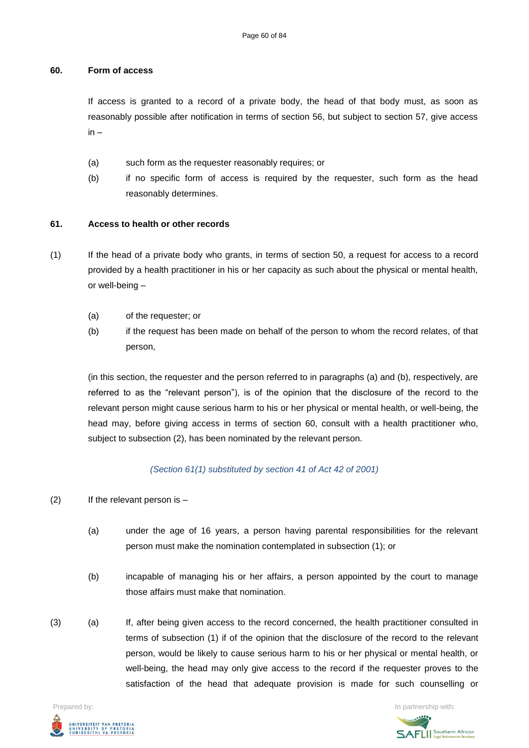#### **60. Form of access**

If access is granted to a record of a private body, the head of that body must, as soon as reasonably possible after notification in terms of section 56, but subject to section 57, give access in –

- (a) such form as the requester reasonably requires; or
- (b) if no specific form of access is required by the requester, such form as the head reasonably determines.

### **61. Access to health or other records**

- (1) If the head of a private body who grants, in terms of section 50, a request for access to a record provided by a health practitioner in his or her capacity as such about the physical or mental health, or well-being –
	- (a) of the requester; or
	- (b) if the request has been made on behalf of the person to whom the record relates, of that person,

(in this section, the requester and the person referred to in paragraphs (a) and (b), respectively, are referred to as the "relevant person"), is of the opinion that the disclosure of the record to the relevant person might cause serious harm to his or her physical or mental health, or well-being, the head may, before giving access in terms of section 60, consult with a health practitioner who, subject to subsection (2), has been nominated by the relevant person.

*(Section 61(1) substituted by section 41 of Act 42 of 2001)*

- (2) If the relevant person is
	- (a) under the age of 16 years, a person having parental responsibilities for the relevant person must make the nomination contemplated in subsection (1); or
	- (b) incapable of managing his or her affairs, a person appointed by the court to manage those affairs must make that nomination.
- (3) (a) If, after being given access to the record concerned, the health practitioner consulted in terms of subsection (1) if of the opinion that the disclosure of the record to the relevant person, would be likely to cause serious harm to his or her physical or mental health, or well-being, the head may only give access to the record if the requester proves to the satisfaction of the head that adequate provision is made for such counselling or



**SAFLI** Southern African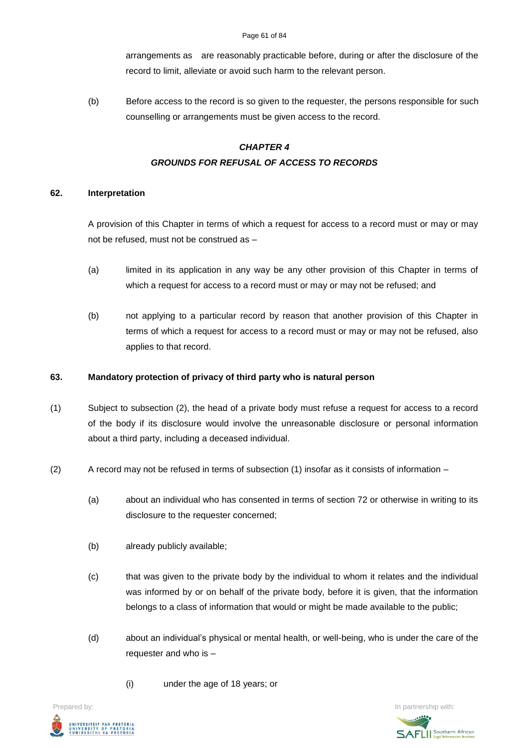arrangements as are reasonably practicable before, during or after the disclosure of the record to limit, alleviate or avoid such harm to the relevant person.

(b) Before access to the record is so given to the requester, the persons responsible for such counselling or arrangements must be given access to the record.

# *CHAPTER 4 GROUNDS FOR REFUSAL OF ACCESS TO RECORDS*

# **62. Interpretation**

A provision of this Chapter in terms of which a request for access to a record must or may or may not be refused, must not be construed as –

- (a) limited in its application in any way be any other provision of this Chapter in terms of which a request for access to a record must or may or may not be refused; and
- (b) not applying to a particular record by reason that another provision of this Chapter in terms of which a request for access to a record must or may or may not be refused, also applies to that record.

# **63. Mandatory protection of privacy of third party who is natural person**

- (1) Subject to subsection (2), the head of a private body must refuse a request for access to a record of the body if its disclosure would involve the unreasonable disclosure or personal information about a third party, including a deceased individual.
- (2) A record may not be refused in terms of subsection (1) insofar as it consists of information
	- (a) about an individual who has consented in terms of section 72 or otherwise in writing to its disclosure to the requester concerned;
	- (b) already publicly available;
	- (c) that was given to the private body by the individual to whom it relates and the individual was informed by or on behalf of the private body, before it is given, that the information belongs to a class of information that would or might be made available to the public;
	- (d) about an individual's physical or mental health, or well-being, who is under the care of the requester and who is –
		- (i) under the age of 18 years; or



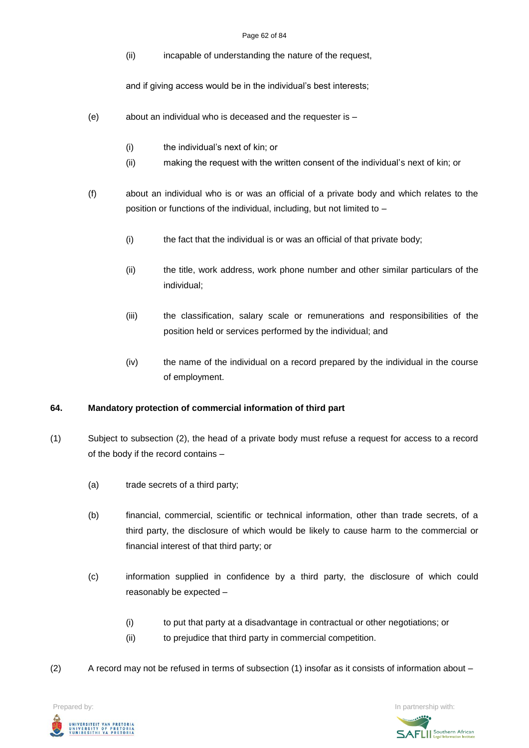#### Page 62 of 84

(ii) incapable of understanding the nature of the request,

and if giving access would be in the individual's best interests;

- (e) about an individual who is deceased and the requester is
	- (i) the individual's next of kin; or
	- (ii) making the request with the written consent of the individual's next of kin; or
- (f) about an individual who is or was an official of a private body and which relates to the position or functions of the individual, including, but not limited to –
	- (i) the fact that the individual is or was an official of that private body;
	- (ii) the title, work address, work phone number and other similar particulars of the individual;
	- (iii) the classification, salary scale or remunerations and responsibilities of the position held or services performed by the individual; and
	- (iv) the name of the individual on a record prepared by the individual in the course of employment.

# **64. Mandatory protection of commercial information of third part**

- (1) Subject to subsection (2), the head of a private body must refuse a request for access to a record of the body if the record contains –
	- (a) trade secrets of a third party;
	- (b) financial, commercial, scientific or technical information, other than trade secrets, of a third party, the disclosure of which would be likely to cause harm to the commercial or financial interest of that third party; or
	- (c) information supplied in confidence by a third party, the disclosure of which could reasonably be expected –
		- (i) to put that party at a disadvantage in contractual or other negotiations; or
		- (ii) to prejudice that third party in commercial competition.
- (2) A record may not be refused in terms of subsection (1) insofar as it consists of information about –

**Prepared by:** In partnership with:  $\frac{1}{2}$  in partnership with:  $\frac{1}{2}$  in partnership with: UNIVERSITEIT VAN PRETORIA<br>UNIVERSITY OF PRETORIA<br>YUNIBESITHI YA PRETORIA

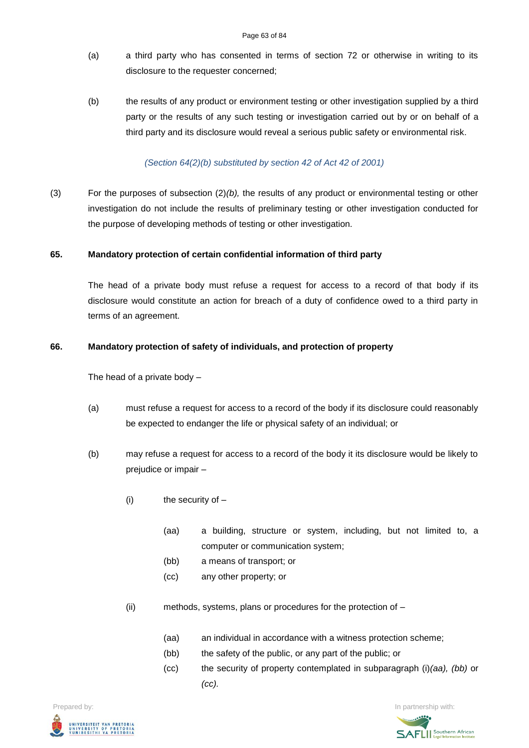- (a) a third party who has consented in terms of section 72 or otherwise in writing to its disclosure to the requester concerned;
- (b) the results of any product or environment testing or other investigation supplied by a third party or the results of any such testing or investigation carried out by or on behalf of a third party and its disclosure would reveal a serious public safety or environmental risk.

### *(Section 64(2)(b) substituted by section 42 of Act 42 of 2001)*

(3) For the purposes of subsection (2)*(b),* the results of any product or environmental testing or other investigation do not include the results of preliminary testing or other investigation conducted for the purpose of developing methods of testing or other investigation.

# **65. Mandatory protection of certain confidential information of third party**

The head of a private body must refuse a request for access to a record of that body if its disclosure would constitute an action for breach of a duty of confidence owed to a third party in terms of an agreement.

### **66. Mandatory protection of safety of individuals, and protection of property**

The head of a private body –

- (a) must refuse a request for access to a record of the body if its disclosure could reasonably be expected to endanger the life or physical safety of an individual; or
- (b) may refuse a request for access to a record of the body it its disclosure would be likely to prejudice or impair –
	- (i) the security of
		- (aa) a building, structure or system, including, but not limited to, a computer or communication system;
		- (bb) a means of transport; or
		- (cc) any other property; or
	- (ii) methods, systems, plans or procedures for the protection of
		- (aa) an individual in accordance with a witness protection scheme;
		- (bb) the safety of the public, or any part of the public; or
		- (cc) the security of property contemplated in subparagraph (i)*(aa), (bb)* or *(cc).*



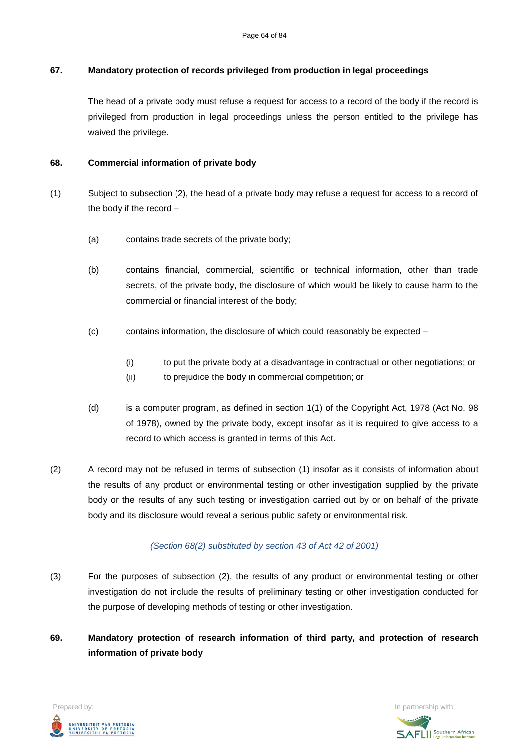# **67. Mandatory protection of records privileged from production in legal proceedings**

The head of a private body must refuse a request for access to a record of the body if the record is privileged from production in legal proceedings unless the person entitled to the privilege has waived the privilege.

# **68. Commercial information of private body**

- (1) Subject to subsection (2), the head of a private body may refuse a request for access to a record of the body if the record –
	- (a) contains trade secrets of the private body;
	- (b) contains financial, commercial, scientific or technical information, other than trade secrets, of the private body, the disclosure of which would be likely to cause harm to the commercial or financial interest of the body;
	- $(c)$  contains information, the disclosure of which could reasonably be expected
		- (i) to put the private body at a disadvantage in contractual or other negotiations; or
		- (ii) to prejudice the body in commercial competition; or
	- (d) is a computer program, as defined in section 1(1) of the Copyright Act, 1978 (Act No. 98 of 1978), owned by the private body, except insofar as it is required to give access to a record to which access is granted in terms of this Act.
- (2) A record may not be refused in terms of subsection (1) insofar as it consists of information about the results of any product or environmental testing or other investigation supplied by the private body or the results of any such testing or investigation carried out by or on behalf of the private body and its disclosure would reveal a serious public safety or environmental risk.

# *(Section 68(2) substituted by section 43 of Act 42 of 2001)*

- (3) For the purposes of subsection (2), the results of any product or environmental testing or other investigation do not include the results of preliminary testing or other investigation conducted for the purpose of developing methods of testing or other investigation.
- **69. Mandatory protection of research information of third party, and protection of research information of private body**



**SAFLI** Southern African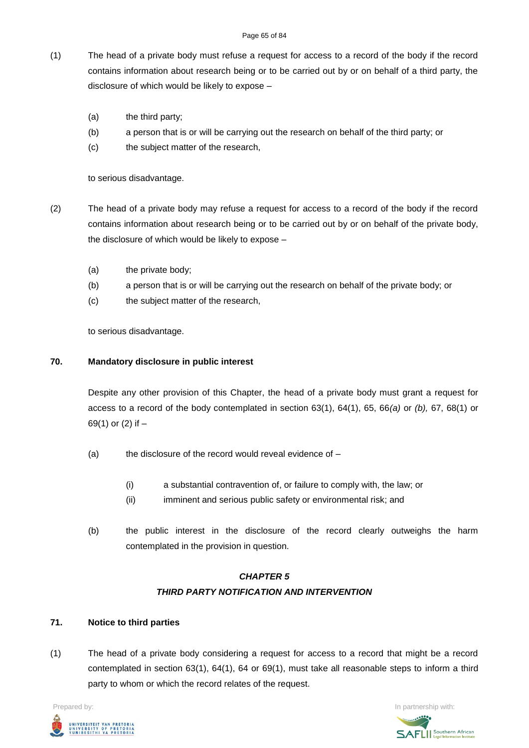- (1) The head of a private body must refuse a request for access to a record of the body if the record contains information about research being or to be carried out by or on behalf of a third party, the disclosure of which would be likely to expose –
	- (a) the third party;
	- (b) a person that is or will be carrying out the research on behalf of the third party; or
	- (c) the subject matter of the research,

to serious disadvantage.

- (2) The head of a private body may refuse a request for access to a record of the body if the record contains information about research being or to be carried out by or on behalf of the private body, the disclosure of which would be likely to expose –
	- (a) the private body;
	- (b) a person that is or will be carrying out the research on behalf of the private body; or
	- (c) the subject matter of the research,

to serious disadvantage.

### **70. Mandatory disclosure in public interest**

Despite any other provision of this Chapter, the head of a private body must grant a request for access to a record of the body contemplated in section 63(1), 64(1), 65, 66*(a)* or *(b),* 67, 68(1) or 69(1) or (2) if –

- (a) the disclosure of the record would reveal evidence of  $-$ 
	- (i) a substantial contravention of, or failure to comply with, the law; or
	- (ii) imminent and serious public safety or environmental risk; and
- (b) the public interest in the disclosure of the record clearly outweighs the harm contemplated in the provision in question.

# *CHAPTER 5 THIRD PARTY NOTIFICATION AND INTERVENTION*

# **71. Notice to third parties**

(1) The head of a private body considering a request for access to a record that might be a record contemplated in section 63(1), 64(1), 64 or 69(1), must take all reasonable steps to inform a third party to whom or which the record relates of the request.

**Prepared by:** In partnership with:  $\frac{1}{2}$  in partnership with:  $\frac{1}{2}$  in partnership with: .<br>UNIVERSITEIT VAN PRETORIA<br>YUNIBESITHI YA PRETORIA

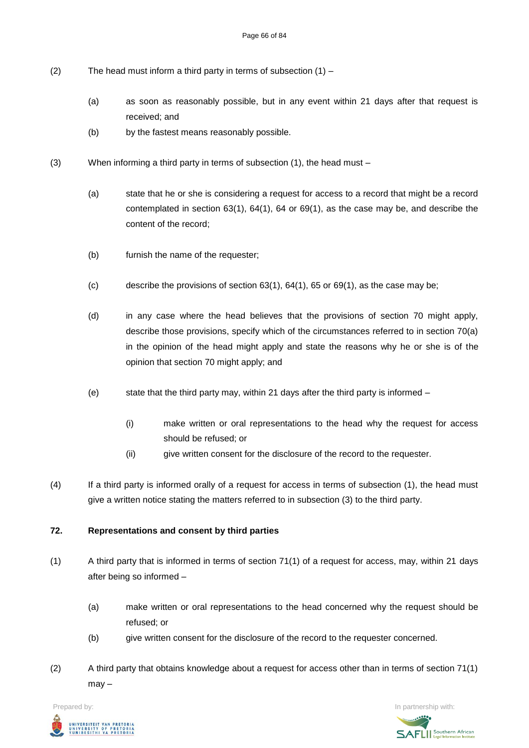- (2) The head must inform a third party in terms of subsection  $(1)$ 
	- (a) as soon as reasonably possible, but in any event within 21 days after that request is received; and
	- (b) by the fastest means reasonably possible.
- (3) When informing a third party in terms of subsection  $(1)$ , the head must
	- (a) state that he or she is considering a request for access to a record that might be a record contemplated in section 63(1), 64(1), 64 or 69(1), as the case may be, and describe the content of the record;
	- (b) furnish the name of the requester;
	- (c) describe the provisions of section  $63(1)$ ,  $64(1)$ ,  $65$  or  $69(1)$ , as the case may be;
	- (d) in any case where the head believes that the provisions of section 70 might apply, describe those provisions, specify which of the circumstances referred to in section 70(a) in the opinion of the head might apply and state the reasons why he or she is of the opinion that section 70 might apply; and
	- (e) state that the third party may, within 21 days after the third party is informed
		- (i) make written or oral representations to the head why the request for access should be refused; or
		- (ii) give written consent for the disclosure of the record to the requester.
- (4) If a third party is informed orally of a request for access in terms of subsection (1), the head must give a written notice stating the matters referred to in subsection (3) to the third party.

# **72. Representations and consent by third parties**

- (1) A third party that is informed in terms of section 71(1) of a request for access, may, within 21 days after being so informed –
	- (a) make written or oral representations to the head concerned why the request should be refused; or
	- (b) give written consent for the disclosure of the record to the requester concerned.
- (2) A third party that obtains knowledge about a request for access other than in terms of section 71(1) may –

**Prepared by:** In partnership with:  $\frac{1}{2}$  in partnership with:  $\frac{1}{2}$  in partnership with: UNIVERSITEIT VAN PRETORIA<br>UNIVERSITY OF PRETORIA<br>YUNIBESITHI YA PRETORIA

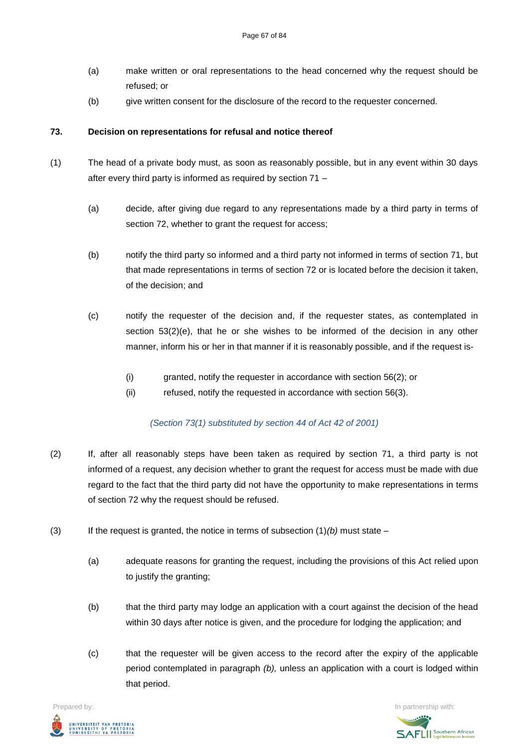- (a) make written or oral representations to the head concerned why the request should be refused; or
- (b) give written consent for the disclosure of the record to the requester concerned.

### **73. Decision on representations for refusal and notice thereof**

- (1) The head of a private body must, as soon as reasonably possible, but in any event within 30 days after every third party is informed as required by section 71 –
	- (a) decide, after giving due regard to any representations made by a third party in terms of section 72, whether to grant the request for access;
	- (b) notify the third party so informed and a third party not informed in terms of section 71, but that made representations in terms of section 72 or is located before the decision it taken, of the decision; and
	- (c) notify the requester of the decision and, if the requester states, as contemplated in section 53(2)(e), that he or she wishes to be informed of the decision in any other manner, inform his or her in that manner if it is reasonably possible, and if the request is-
		- (i) granted, notify the requester in accordance with section 56(2); or
		- (ii) refused, notify the requested in accordance with section 56(3).

#### *(Section 73(1) substituted by section 44 of Act 42 of 2001)*

- (2) If, after all reasonably steps have been taken as required by section 71, a third party is not informed of a request, any decision whether to grant the request for access must be made with due regard to the fact that the third party did not have the opportunity to make representations in terms of section 72 why the request should be refused.
- (3) If the request is granted, the notice in terms of subsection (1)*(b)* must state
	- (a) adequate reasons for granting the request, including the provisions of this Act relied upon to justify the granting;
	- (b) that the third party may lodge an application with a court against the decision of the head within 30 days after notice is given, and the procedure for lodging the application; and
	- (c) that the requester will be given access to the record after the expiry of the applicable period contemplated in paragraph *(b),* unless an application with a court is lodged within that period.



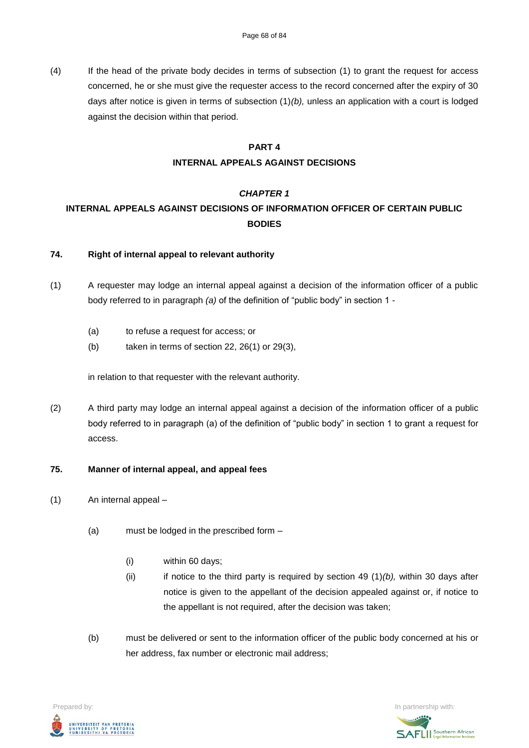(4) If the head of the private body decides in terms of subsection (1) to grant the request for access concerned, he or she must give the requester access to the record concerned after the expiry of 30 days after notice is given in terms of subsection (1)*(b),* unless an application with a court is lodged against the decision within that period.

#### **PART 4**

# **INTERNAL APPEALS AGAINST DECISIONS**

# *CHAPTER 1*

# **INTERNAL APPEALS AGAINST DECISIONS OF INFORMATION OFFICER OF CERTAIN PUBLIC BODIES**

### **74. Right of internal appeal to relevant authority**

- (1) A requester may lodge an internal appeal against a decision of the information officer of a public body referred to in paragraph *(a)* of the definition of "public body" in section 1 -
	- (a) to refuse a request for access; or
	- (b) taken in terms of section 22, 26(1) or 29(3),

in relation to that requester with the relevant authority.

(2) A third party may lodge an internal appeal against a decision of the information officer of a public body referred to in paragraph (a) of the definition of "public body" in section 1 to grant a request for access.

# **75. Manner of internal appeal, and appeal fees**

- (1) An internal appeal
	- (a) must be lodged in the prescribed form
		- (i) within 60 days;
		- (ii) if notice to the third party is required by section 49 (1)*(b),* within 30 days after notice is given to the appellant of the decision appealed against or, if notice to the appellant is not required, after the decision was taken;
	- (b) must be delivered or sent to the information officer of the public body concerned at his or her address, fax number or electronic mail address;



**SAFLI** Southern African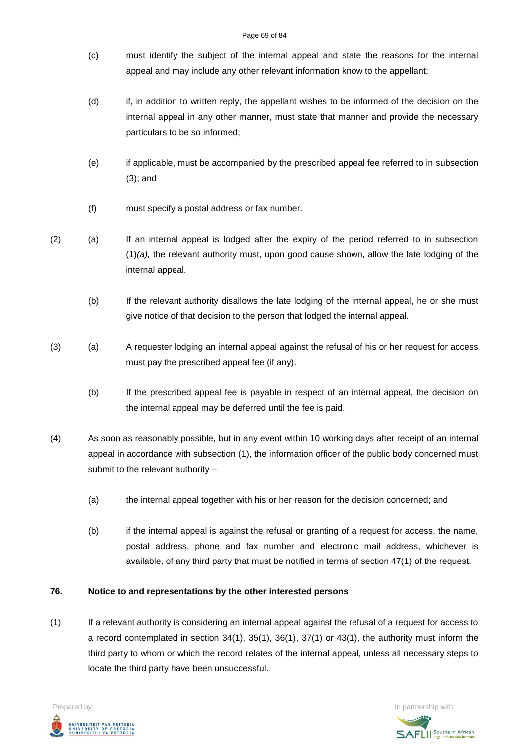#### Page 69 of 84

- (c) must identify the subject of the internal appeal and state the reasons for the internal appeal and may include any other relevant information know to the appellant;
- (d) if, in addition to written reply, the appellant wishes to be informed of the decision on the internal appeal in any other manner, must state that manner and provide the necessary particulars to be so informed;
- (e) if applicable, must be accompanied by the prescribed appeal fee referred to in subsection (3); and
- (f) must specify a postal address or fax number.
- (2) (a) If an internal appeal is lodged after the expiry of the period referred to in subsection (1)*(a),* the relevant authority must, upon good cause shown, allow the late lodging of the internal appeal.
	- (b) If the relevant authority disallows the late lodging of the internal appeal, he or she must give notice of that decision to the person that lodged the internal appeal.
- (3) (a) A requester lodging an internal appeal against the refusal of his or her request for access must pay the prescribed appeal fee (if any).
	- (b) If the prescribed appeal fee is payable in respect of an internal appeal, the decision on the internal appeal may be deferred until the fee is paid.
- (4) As soon as reasonably possible, but in any event within 10 working days after receipt of an internal appeal in accordance with subsection (1), the information officer of the public body concerned must submit to the relevant authority –
	- (a) the internal appeal together with his or her reason for the decision concerned; and
	- (b) if the internal appeal is against the refusal or granting of a request for access, the name, postal address, phone and fax number and electronic mail address, whichever is available, of any third party that must be notified in terms of section 47(1) of the request.

# **76. Notice to and representations by the other interested persons**

(1) If a relevant authority is considering an internal appeal against the refusal of a request for access to a record contemplated in section 34(1), 35(1), 36(1), 37(1) or 43(1), the authority must inform the third party to whom or which the record relates of the internal appeal, unless all necessary steps to locate the third party have been unsuccessful.



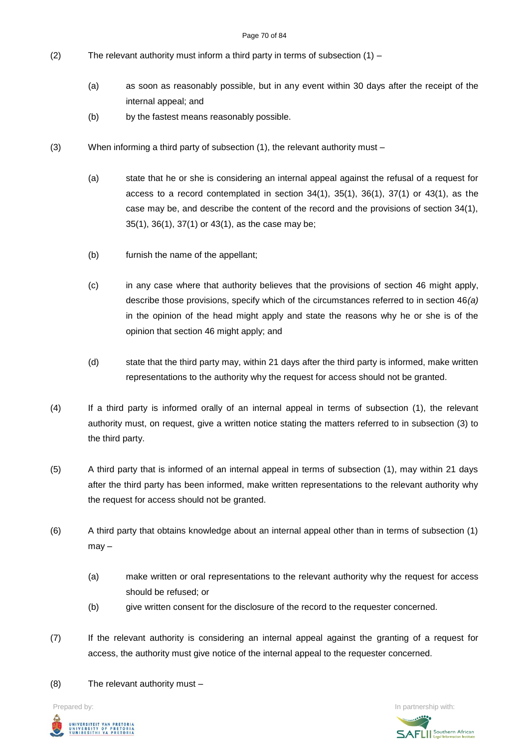#### Page 70 of 84

- (2) The relevant authority must inform a third party in terms of subsection  $(1)$ 
	- (a) as soon as reasonably possible, but in any event within 30 days after the receipt of the internal appeal; and
	- (b) by the fastest means reasonably possible.
- (3) When informing a third party of subsection (1), the relevant authority must
	- (a) state that he or she is considering an internal appeal against the refusal of a request for access to a record contemplated in section 34(1), 35(1), 36(1), 37(1) or 43(1), as the case may be, and describe the content of the record and the provisions of section 34(1), 35(1), 36(1), 37(1) or 43(1), as the case may be;
	- (b) furnish the name of the appellant;
	- (c) in any case where that authority believes that the provisions of section 46 might apply, describe those provisions, specify which of the circumstances referred to in section 46*(a)* in the opinion of the head might apply and state the reasons why he or she is of the opinion that section 46 might apply; and
	- (d) state that the third party may, within 21 days after the third party is informed, make written representations to the authority why the request for access should not be granted.
- (4) If a third party is informed orally of an internal appeal in terms of subsection (1), the relevant authority must, on request, give a written notice stating the matters referred to in subsection (3) to the third party.
- (5) A third party that is informed of an internal appeal in terms of subsection (1), may within 21 days after the third party has been informed, make written representations to the relevant authority why the request for access should not be granted.
- (6) A third party that obtains knowledge about an internal appeal other than in terms of subsection (1) may –
	- (a) make written or oral representations to the relevant authority why the request for access should be refused; or
	- (b) give written consent for the disclosure of the record to the requester concerned.
- (7) If the relevant authority is considering an internal appeal against the granting of a request for access, the authority must give notice of the internal appeal to the requester concerned.
- (8) The relevant authority must –



**Prepared by:** In partnership with:  $\frac{1}{2}$  in partnership with:  $\frac{1}{2}$  in partnership with: **SAFLI** Southern African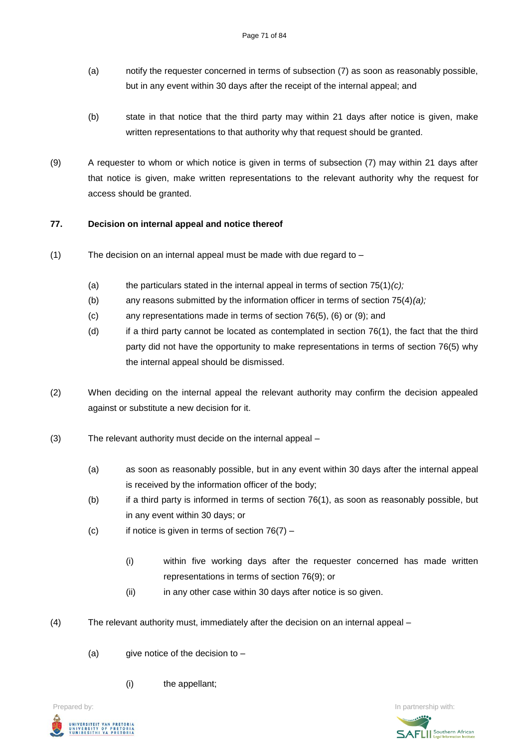- (a) notify the requester concerned in terms of subsection (7) as soon as reasonably possible, but in any event within 30 days after the receipt of the internal appeal; and
- (b) state in that notice that the third party may within 21 days after notice is given, make written representations to that authority why that request should be granted.
- (9) A requester to whom or which notice is given in terms of subsection (7) may within 21 days after that notice is given, make written representations to the relevant authority why the request for access should be granted.

### **77. Decision on internal appeal and notice thereof**

- (1) The decision on an internal appeal must be made with due regard to
	- (a) the particulars stated in the internal appeal in terms of section 75(1)*(c);*
	- (b) any reasons submitted by the information officer in terms of section 75(4)*(a);*
	- (c) any representations made in terms of section 76(5), (6) or (9); and
	- (d) if a third party cannot be located as contemplated in section 76(1), the fact that the third party did not have the opportunity to make representations in terms of section 76(5) why the internal appeal should be dismissed.
- (2) When deciding on the internal appeal the relevant authority may confirm the decision appealed against or substitute a new decision for it.
- (3) The relevant authority must decide on the internal appeal
	- (a) as soon as reasonably possible, but in any event within 30 days after the internal appeal is received by the information officer of the body;
	- $(b)$  if a third party is informed in terms of section 76(1), as soon as reasonably possible, but in any event within 30 days; or
	- (c) if notice is given in terms of section  $76(7)$ 
		- (i) within five working days after the requester concerned has made written representations in terms of section 76(9); or
		- (ii) in any other case within 30 days after notice is so given.
- (4) The relevant authority must, immediately after the decision on an internal appeal
	- (a) give notice of the decision to  $-$ 
		- (i) the appellant;



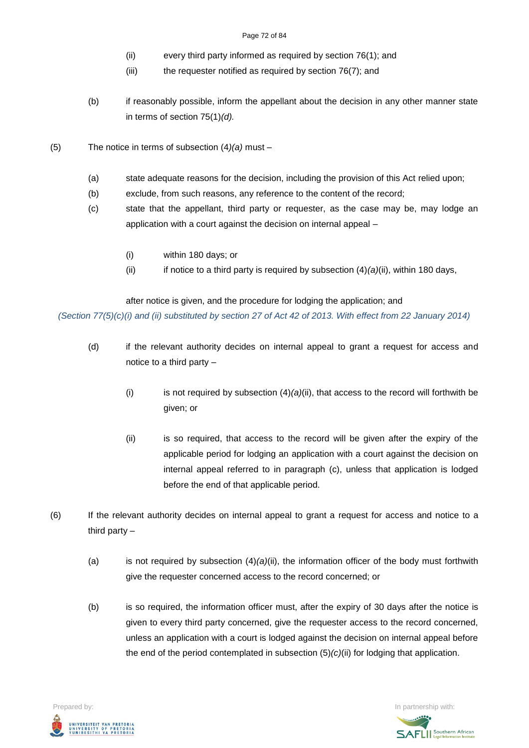#### Page 72 of 84

- (ii) every third party informed as required by section 76(1); and
- (iii) the requester notified as required by section 76(7); and
- (b) if reasonably possible, inform the appellant about the decision in any other manner state in terms of section 75(1)*(d).*
- (5) The notice in terms of subsection (4*)(a)* must
	- (a) state adequate reasons for the decision, including the provision of this Act relied upon;
	- (b) exclude, from such reasons, any reference to the content of the record;
	- (c) state that the appellant, third party or requester, as the case may be, may lodge an application with a court against the decision on internal appeal –
		- (i) within 180 days; or
		- (ii) if notice to a third party is required by subsection  $(4)(a)(ii)$ , within 180 days,

after notice is given, and the procedure for lodging the application; and

*(Section 77(5)(c)(i) and (ii) substituted by section 27 of Act 42 of 2013. With effect from 22 January 2014)*

- (d) if the relevant authority decides on internal appeal to grant a request for access and notice to a third party –
	- (i) is not required by subsection  $(4)(a)(ii)$ , that access to the record will forthwith be given; or
	- (ii) is so required, that access to the record will be given after the expiry of the applicable period for lodging an application with a court against the decision on internal appeal referred to in paragraph (c), unless that application is lodged before the end of that applicable period.
- (6) If the relevant authority decides on internal appeal to grant a request for access and notice to a third party –
	- (a) is not required by subsection (4)*(a)*(ii), the information officer of the body must forthwith give the requester concerned access to the record concerned; or
	- (b) is so required, the information officer must, after the expiry of 30 days after the notice is given to every third party concerned, give the requester access to the record concerned, unless an application with a court is lodged against the decision on internal appeal before the end of the period contemplated in subsection (5)*(c)*(ii) for lodging that application.



**SAFLI** Southern African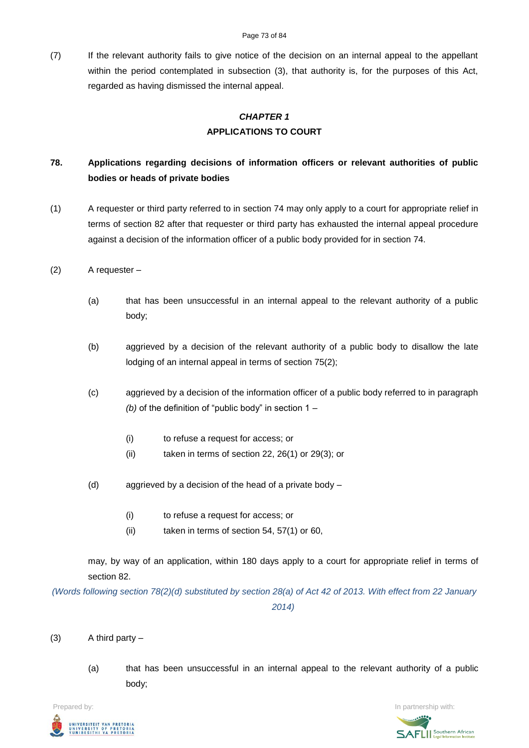(7) If the relevant authority fails to give notice of the decision on an internal appeal to the appellant within the period contemplated in subsection (3), that authority is, for the purposes of this Act, regarded as having dismissed the internal appeal.

# *CHAPTER 1* **APPLICATIONS TO COURT**

# **78. Applications regarding decisions of information officers or relevant authorities of public bodies or heads of private bodies**

(1) A requester or third party referred to in section 74 may only apply to a court for appropriate relief in terms of section 82 after that requester or third party has exhausted the internal appeal procedure against a decision of the information officer of a public body provided for in section 74.

### (2) A requester –

- (a) that has been unsuccessful in an internal appeal to the relevant authority of a public body;
- (b) aggrieved by a decision of the relevant authority of a public body to disallow the late lodging of an internal appeal in terms of section 75(2);
- (c) aggrieved by a decision of the information officer of a public body referred to in paragraph *(b)* of the definition of "public body" in section 1 –
	- (i) to refuse a request for access; or
	- (ii) taken in terms of section 22, 26(1) or 29(3); or
- (d) aggrieved by a decision of the head of a private body
	- (i) to refuse a request for access; or
	- (ii) taken in terms of section 54, 57(1) or 60,

may, by way of an application, within 180 days apply to a court for appropriate relief in terms of section 82.

*(Words following section 78(2)(d) substituted by section 28(a) of Act 42 of 2013. With effect from 22 January 2014)*

### (3) A third party –

(a) that has been unsuccessful in an internal appeal to the relevant authority of a public body;



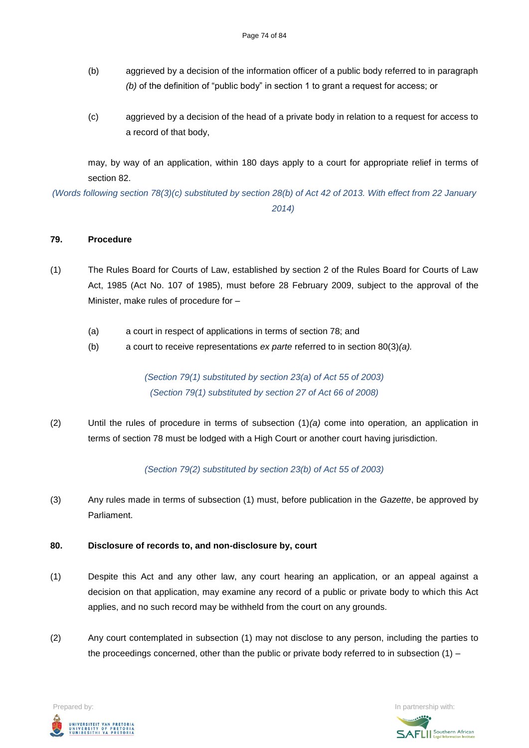- (b) aggrieved by a decision of the information officer of a public body referred to in paragraph *(b)* of the definition of "public body" in section 1 to grant a request for access; or
- (c) aggrieved by a decision of the head of a private body in relation to a request for access to a record of that body,

may, by way of an application, within 180 days apply to a court for appropriate relief in terms of section 82.

*(Words following section 78(3)(c) substituted by section 28(b) of Act 42 of 2013. With effect from 22 January 2014)*

### **79. Procedure**

- (1) The Rules Board for Courts of Law, established by section 2 of the Rules Board for Courts of Law Act, 1985 (Act No. 107 of 1985), must before 28 February 2009, subject to the approval of the Minister, make rules of procedure for –
	- (a) a court in respect of applications in terms of section 78; and
	- (b) a court to receive representations *ex parte* referred to in section 80(3)*(a).*

*(Section 79(1) substituted by section 23(a) of Act 55 of 2003) (Section 79(1) substituted by section 27 of Act 66 of 2008)*

(2) Until the rules of procedure in terms of subsection (1)*(a)* come into operation*,* an application in terms of section 78 must be lodged with a High Court or another court having jurisdiction.

*(Section 79(2) substituted by section 23(b) of Act 55 of 2003)*

(3) Any rules made in terms of subsection (1) must, before publication in the *Gazette*, be approved by Parliament.

### **80. Disclosure of records to, and non-disclosure by, court**

- (1) Despite this Act and any other law, any court hearing an application, or an appeal against a decision on that application, may examine any record of a public or private body to which this Act applies, and no such record may be withheld from the court on any grounds.
- (2) Any court contemplated in subsection (1) may not disclose to any person, including the parties to the proceedings concerned, other than the public or private body referred to in subsection (1) –

**Prepared by:** In partnership with:  $\frac{1}{2}$  in partnership with:  $\frac{1}{2}$  in partnership with: .<br>UNIVERSITEIT VAN PRETORIA<br>YUNIBESITHI YA PRETORIA

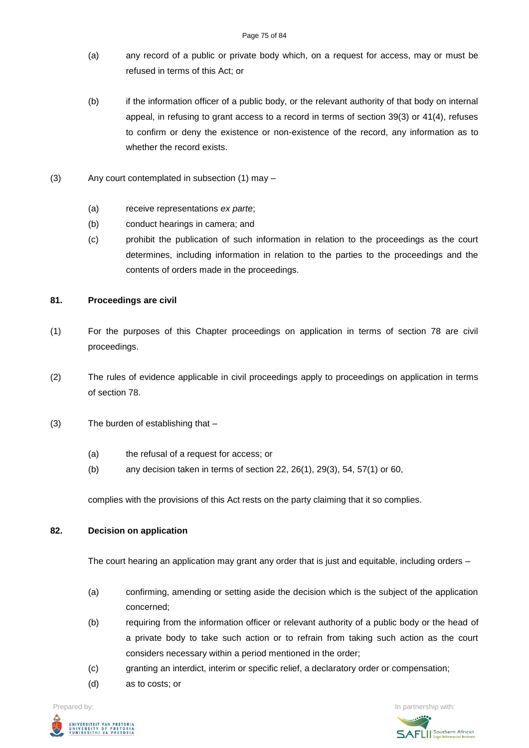- (a) any record of a public or private body which, on a request for access, may or must be refused in terms of this Act; or
- (b) if the information officer of a public body, or the relevant authority of that body on internal appeal, in refusing to grant access to a record in terms of section 39(3) or 41(4), refuses to confirm or deny the existence or non-existence of the record, any information as to whether the record exists.
- (3) Any court contemplated in subsection (1) may
	- (a) receive representations *ex parte*;
	- (b) conduct hearings in camera; and
	- (c) prohibit the publication of such information in relation to the proceedings as the court determines, including information in relation to the parties to the proceedings and the contents of orders made in the proceedings.

### **81. Proceedings are civil**

- (1) For the purposes of this Chapter proceedings on application in terms of section 78 are civil proceedings.
- (2) The rules of evidence applicable in civil proceedings apply to proceedings on application in terms of section 78.
- (3) The burden of establishing that
	- (a) the refusal of a request for access; or
	- (b) any decision taken in terms of section 22, 26(1), 29(3), 54, 57(1) or 60,

complies with the provisions of this Act rests on the party claiming that it so complies.

### **82. Decision on application**

The court hearing an application may grant any order that is just and equitable, including orders –

- (a) confirming, amending or setting aside the decision which is the subject of the application concerned;
- (b) requiring from the information officer or relevant authority of a public body or the head of a private body to take such action or to refrain from taking such action as the court considers necessary within a period mentioned in the order;
- (c) granting an interdict, interim or specific relief, a declaratory order or compensation;
- (d) as to costs; or

UNIVERSITEIT VAN PRETORIA<br>UNIVERSITY OF PRETORIA<br>YUNIBESITHI YA PRETORIA

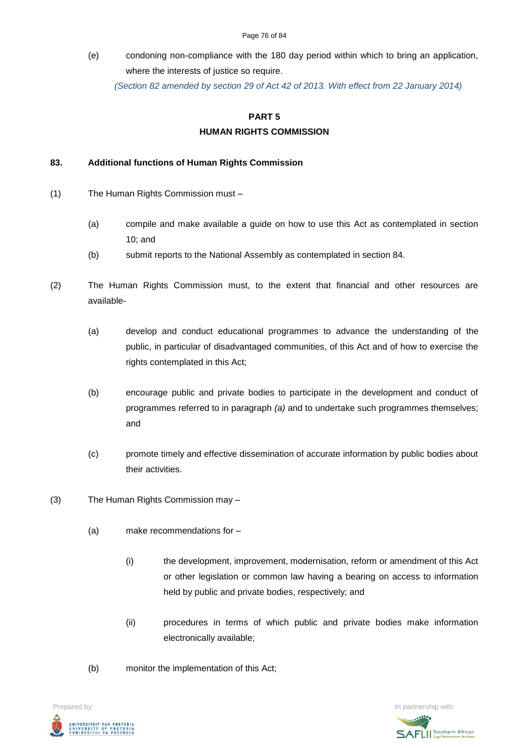#### Page 76 of 84

(e) condoning non-compliance with the 180 day period within which to bring an application, where the interests of justice so require.

*(Section 82 amended by section 29 of Act 42 of 2013. With effect from 22 January 2014)*

#### **PART 5**

### **HUMAN RIGHTS COMMISSION**

#### **83. Additional functions of Human Rights Commission**

- (1) The Human Rights Commission must
	- (a) compile and make available a guide on how to use this Act as contemplated in section 10; and
	- (b) submit reports to the National Assembly as contemplated in section 84.
- (2) The Human Rights Commission must, to the extent that financial and other resources are available-
	- (a) develop and conduct educational programmes to advance the understanding of the public, in particular of disadvantaged communities, of this Act and of how to exercise the rights contemplated in this Act;
	- (b) encourage public and private bodies to participate in the development and conduct of programmes referred to in paragraph *(a)* and to undertake such programmes themselves; and
	- (c) promote timely and effective dissemination of accurate information by public bodies about their activities.
- (3) The Human Rights Commission may
	- (a) make recommendations for
		- (i) the development, improvement, modernisation, reform or amendment of this Act or other legislation or common law having a bearing on access to information held by public and private bodies, respectively; and
		- (ii) procedures in terms of which public and private bodies make information electronically available;
	- (b) monitor the implementation of this Act;



**SAFLI** Southern African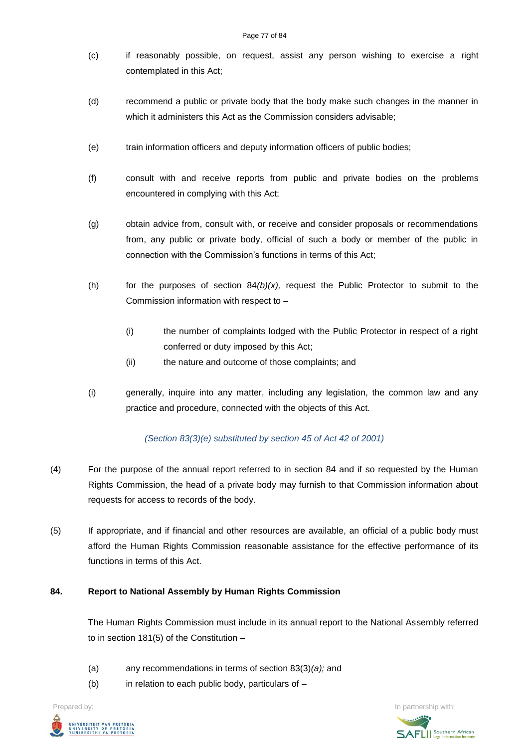#### Page 77 of 84

- (c) if reasonably possible, on request, assist any person wishing to exercise a right contemplated in this Act;
- (d) recommend a public or private body that the body make such changes in the manner in which it administers this Act as the Commission considers advisable;
- (e) train information officers and deputy information officers of public bodies;
- (f) consult with and receive reports from public and private bodies on the problems encountered in complying with this Act;
- (g) obtain advice from, consult with, or receive and consider proposals or recommendations from, any public or private body, official of such a body or member of the public in connection with the Commission's functions in terms of this Act;
- (h) for the purposes of section  $84(b)(x)$ , request the Public Protector to submit to the Commission information with respect to –
	- (i) the number of complaints lodged with the Public Protector in respect of a right conferred or duty imposed by this Act;
	- (ii) the nature and outcome of those complaints; and
- (i) generally, inquire into any matter, including any legislation, the common law and any practice and procedure, connected with the objects of this Act.

## *(Section 83(3)(e) substituted by section 45 of Act 42 of 2001)*

- (4) For the purpose of the annual report referred to in section 84 and if so requested by the Human Rights Commission, the head of a private body may furnish to that Commission information about requests for access to records of the body.
- (5) If appropriate, and if financial and other resources are available, an official of a public body must afford the Human Rights Commission reasonable assistance for the effective performance of its functions in terms of this Act.

### **84. Report to National Assembly by Human Rights Commission**

The Human Rights Commission must include in its annual report to the National Assembly referred to in section 181(5) of the Constitution –

- (a) any recommendations in terms of section 83(3)*(a);* and
- (b) in relation to each public body, particulars of  $-$

**Prepared by:** In partnership with:  $\frac{1}{2}$  in partnership with:  $\frac{1}{2}$  in partnership with: .<br>Iniversiteit van Pretori*i*<br>Iniversity of Pretori*i*<br>Iunibesithi ya Pretori*i* 

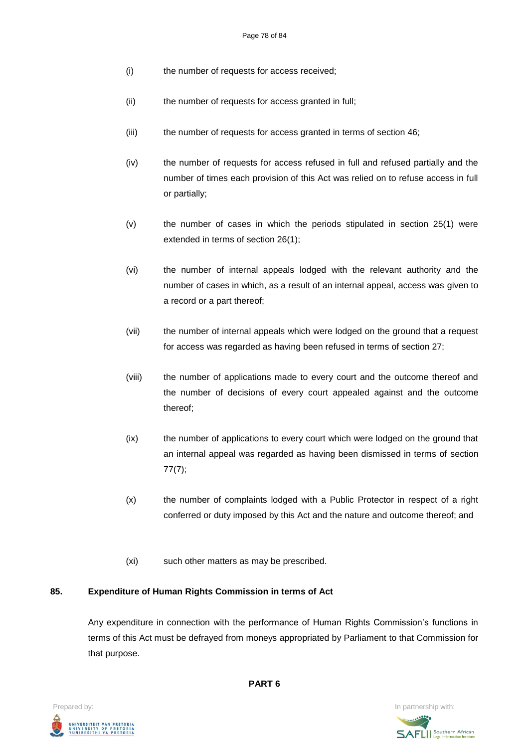- (i) the number of requests for access received;
- (ii) the number of requests for access granted in full;
- (iii) the number of requests for access granted in terms of section 46;
- (iv) the number of requests for access refused in full and refused partially and the number of times each provision of this Act was relied on to refuse access in full or partially;
- (v) the number of cases in which the periods stipulated in section 25(1) were extended in terms of section 26(1);
- (vi) the number of internal appeals lodged with the relevant authority and the number of cases in which, as a result of an internal appeal, access was given to a record or a part thereof;
- (vii) the number of internal appeals which were lodged on the ground that a request for access was regarded as having been refused in terms of section 27;
- (viii) the number of applications made to every court and the outcome thereof and the number of decisions of every court appealed against and the outcome thereof;
- (ix) the number of applications to every court which were lodged on the ground that an internal appeal was regarded as having been dismissed in terms of section 77(7);
- (x) the number of complaints lodged with a Public Protector in respect of a right conferred or duty imposed by this Act and the nature and outcome thereof; and
- (xi) such other matters as may be prescribed.

### **85. Expenditure of Human Rights Commission in terms of Act**

Any expenditure in connection with the performance of Human Rights Commission's functions in terms of this Act must be defrayed from moneys appropriated by Parliament to that Commission for that purpose.



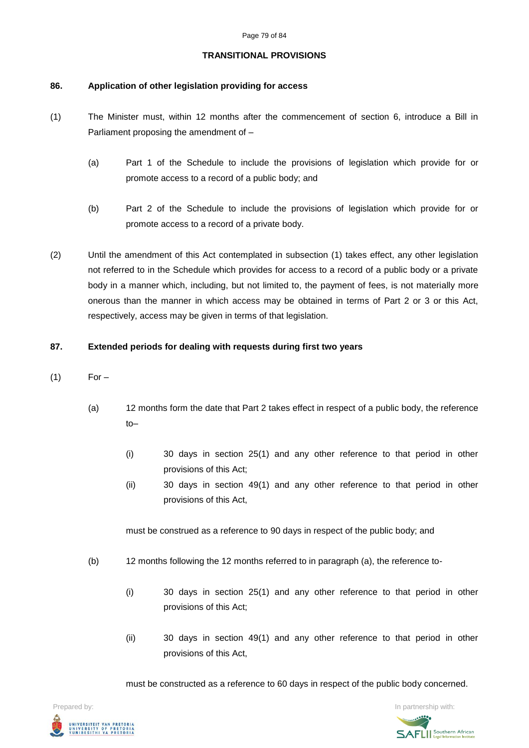### **TRANSITIONAL PROVISIONS**

# **86. Application of other legislation providing for access**

- (1) The Minister must, within 12 months after the commencement of section 6, introduce a Bill in Parliament proposing the amendment of –
	- (a) Part 1 of the Schedule to include the provisions of legislation which provide for or promote access to a record of a public body; and
	- (b) Part 2 of the Schedule to include the provisions of legislation which provide for or promote access to a record of a private body.
- (2) Until the amendment of this Act contemplated in subsection (1) takes effect, any other legislation not referred to in the Schedule which provides for access to a record of a public body or a private body in a manner which, including, but not limited to, the payment of fees, is not materially more onerous than the manner in which access may be obtained in terms of Part 2 or 3 or this Act, respectively, access may be given in terms of that legislation.

# **87. Extended periods for dealing with requests during first two years**

- $(1)$  For
	- (a) 12 months form the date that Part 2 takes effect in respect of a public body, the reference to–
		- (i) 30 days in section 25(1) and any other reference to that period in other provisions of this Act;
		- (ii) 30 days in section 49(1) and any other reference to that period in other provisions of this Act,

must be construed as a reference to 90 days in respect of the public body; and

- (b) 12 months following the 12 months referred to in paragraph (a), the reference to-
	- (i) 30 days in section 25(1) and any other reference to that period in other provisions of this Act;
	- (ii) 30 days in section 49(1) and any other reference to that period in other provisions of this Act,

must be constructed as a reference to 60 days in respect of the public body concerned.



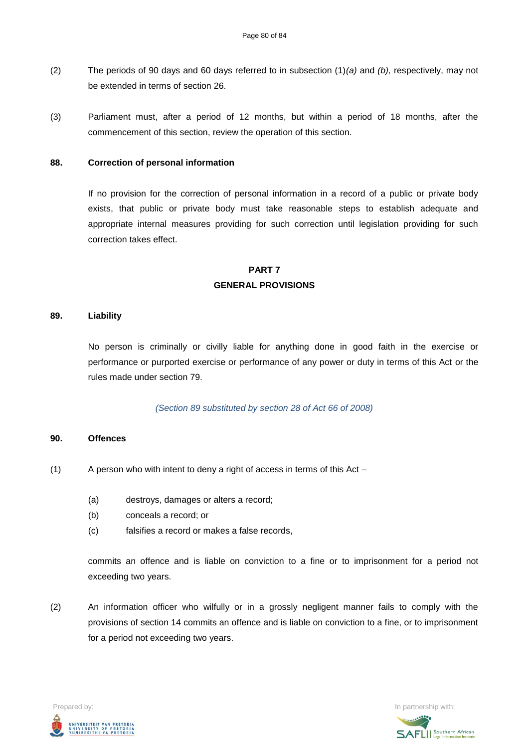- (2) The periods of 90 days and 60 days referred to in subsection (1)*(a)* and *(b),* respectively, may not be extended in terms of section 26.
- (3) Parliament must, after a period of 12 months, but within a period of 18 months, after the commencement of this section, review the operation of this section.

### **88. Correction of personal information**

If no provision for the correction of personal information in a record of a public or private body exists, that public or private body must take reasonable steps to establish adequate and appropriate internal measures providing for such correction until legislation providing for such correction takes effect.

# **PART 7 GENERAL PROVISIONS**

### **89. Liability**

No person is criminally or civilly liable for anything done in good faith in the exercise or performance or purported exercise or performance of any power or duty in terms of this Act or the rules made under section 79.

### *(Section 89 substituted by section 28 of Act 66 of 2008)*

#### **90. Offences**

- (1) A person who with intent to deny a right of access in terms of this Act
	- (a) destroys, damages or alters a record;
	- (b) conceals a record; or
	- (c) falsifies a record or makes a false records,

commits an offence and is liable on conviction to a fine or to imprisonment for a period not exceeding two years.

(2) An information officer who wilfully or in a grossly negligent manner fails to comply with the provisions of section 14 commits an offence and is liable on conviction to a fine, or to imprisonment for a period not exceeding two years.



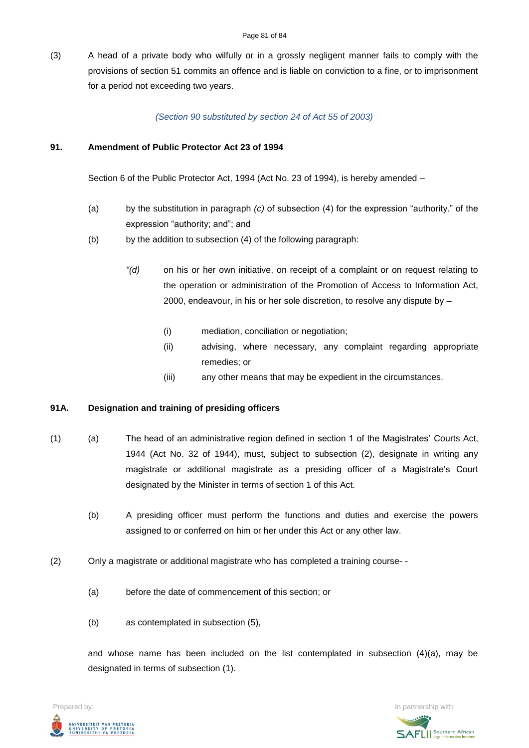(3) A head of a private body who wilfully or in a grossly negligent manner fails to comply with the provisions of section 51 commits an offence and is liable on conviction to a fine, or to imprisonment for a period not exceeding two years.

### *(Section 90 substituted by section 24 of Act 55 of 2003)*

### **91. Amendment of Public Protector Act 23 of 1994**

Section 6 of the Public Protector Act, 1994 (Act No. 23 of 1994), is hereby amended –

- (a) by the substitution in paragraph *(c)* of subsection (4) for the expression "authority." of the expression "authority; and"; and
- (b) by the addition to subsection (4) of the following paragraph:
	- *"(d)* on his or her own initiative, on receipt of a complaint or on request relating to the operation or administration of the Promotion of Access to Information Act, 2000, endeavour, in his or her sole discretion, to resolve any dispute by –
		- (i) mediation, conciliation or negotiation;
		- (ii) advising, where necessary, any complaint regarding appropriate remedies; or
		- (iii) any other means that may be expedient in the circumstances.

### **91A. Designation and training of presiding officers**

- (1) (a) The head of an administrative region defined in section 1 of the Magistrates' Courts Act, 1944 (Act No. 32 of 1944), must, subject to subsection (2), designate in writing any magistrate or additional magistrate as a presiding officer of a Magistrate's Court designated by the Minister in terms of section 1 of this Act.
	- (b) A presiding officer must perform the functions and duties and exercise the powers assigned to or conferred on him or her under this Act or any other law.
- (2) Only a magistrate or additional magistrate who has completed a training course-
	- (a) before the date of commencement of this section; or
	- (b) as contemplated in subsection (5),

and whose name has been included on the list contemplated in subsection (4)(a), may be designated in terms of subsection (1).



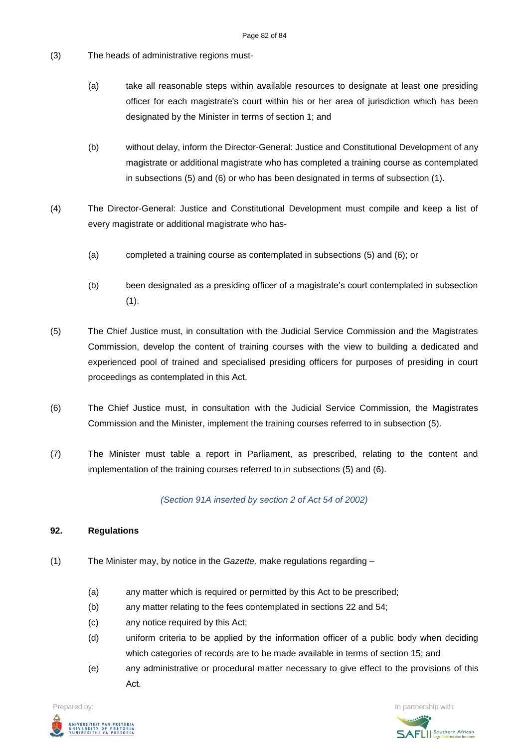- (3) The heads of administrative regions must-
	- (a) take all reasonable steps within available resources to designate at least one presiding officer for each magistrate's court within his or her area of jurisdiction which has been designated by the Minister in terms of section 1; and
	- (b) without delay, inform the Director-General: Justice and Constitutional Development of any magistrate or additional magistrate who has completed a training course as contemplated in subsections (5) and (6) or who has been designated in terms of subsection (1).
- (4) The Director-General: Justice and Constitutional Development must compile and keep a list of every magistrate or additional magistrate who has-
	- (a) completed a training course as contemplated in subsections (5) and (6); or
	- (b) been designated as a presiding officer of a magistrate's court contemplated in subsection  $(1).$
- (5) The Chief Justice must, in consultation with the Judicial Service Commission and the Magistrates Commission, develop the content of training courses with the view to building a dedicated and experienced pool of trained and specialised presiding officers for purposes of presiding in court proceedings as contemplated in this Act.
- (6) The Chief Justice must, in consultation with the Judicial Service Commission, the Magistrates Commission and the Minister, implement the training courses referred to in subsection (5).
- (7) The Minister must table a report in Parliament, as prescribed, relating to the content and implementation of the training courses referred to in subsections (5) and (6).

*(Section 91A inserted by section 2 of Act 54 of 2002)*

### **92. Regulations**

- (1) The Minister may, by notice in the *Gazette,* make regulations regarding
	- (a) any matter which is required or permitted by this Act to be prescribed;
	- (b) any matter relating to the fees contemplated in sections 22 and 54;
	- (c) any notice required by this Act;
	- (d) uniform criteria to be applied by the information officer of a public body when deciding which categories of records are to be made available in terms of section 15; and
	- (e) any administrative or procedural matter necessary to give effect to the provisions of this Act.



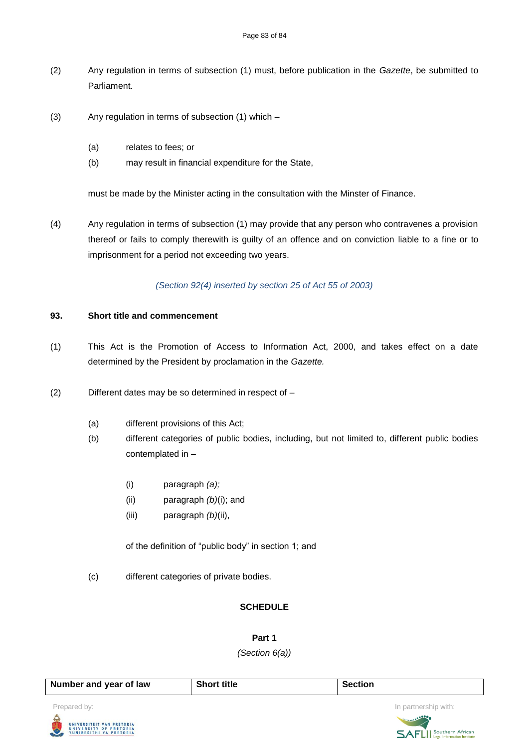- (2) Any regulation in terms of subsection (1) must, before publication in the *Gazette*, be submitted to Parliament.
- (3) Any regulation in terms of subsection (1) which
	- (a) relates to fees; or
	- (b) may result in financial expenditure for the State,

must be made by the Minister acting in the consultation with the Minster of Finance.

(4) Any regulation in terms of subsection (1) may provide that any person who contravenes a provision thereof or fails to comply therewith is guilty of an offence and on conviction liable to a fine or to imprisonment for a period not exceeding two years.

*(Section 92(4) inserted by section 25 of Act 55 of 2003)*

### **93. Short title and commencement**

- (1) This Act is the Promotion of Access to Information Act, 2000, and takes effect on a date determined by the President by proclamation in the *Gazette.*
- (2) Different dates may be so determined in respect of
	- (a) different provisions of this Act;
	- (b) different categories of public bodies, including, but not limited to, different public bodies contemplated in –
		- (i) paragraph *(a);*
		- (ii) paragraph *(b)*(i); and
		- (iii) paragraph *(b)*(ii),

of the definition of "public body" in section 1; and

(c) different categories of private bodies.

### **SCHEDULE**

**Part 1**

*(Section 6(a))*

| Number and year of law | <b>Short title</b> | Section |                      |
|------------------------|--------------------|---------|----------------------|
| Prepared by:           |                    |         | In partnership with: |